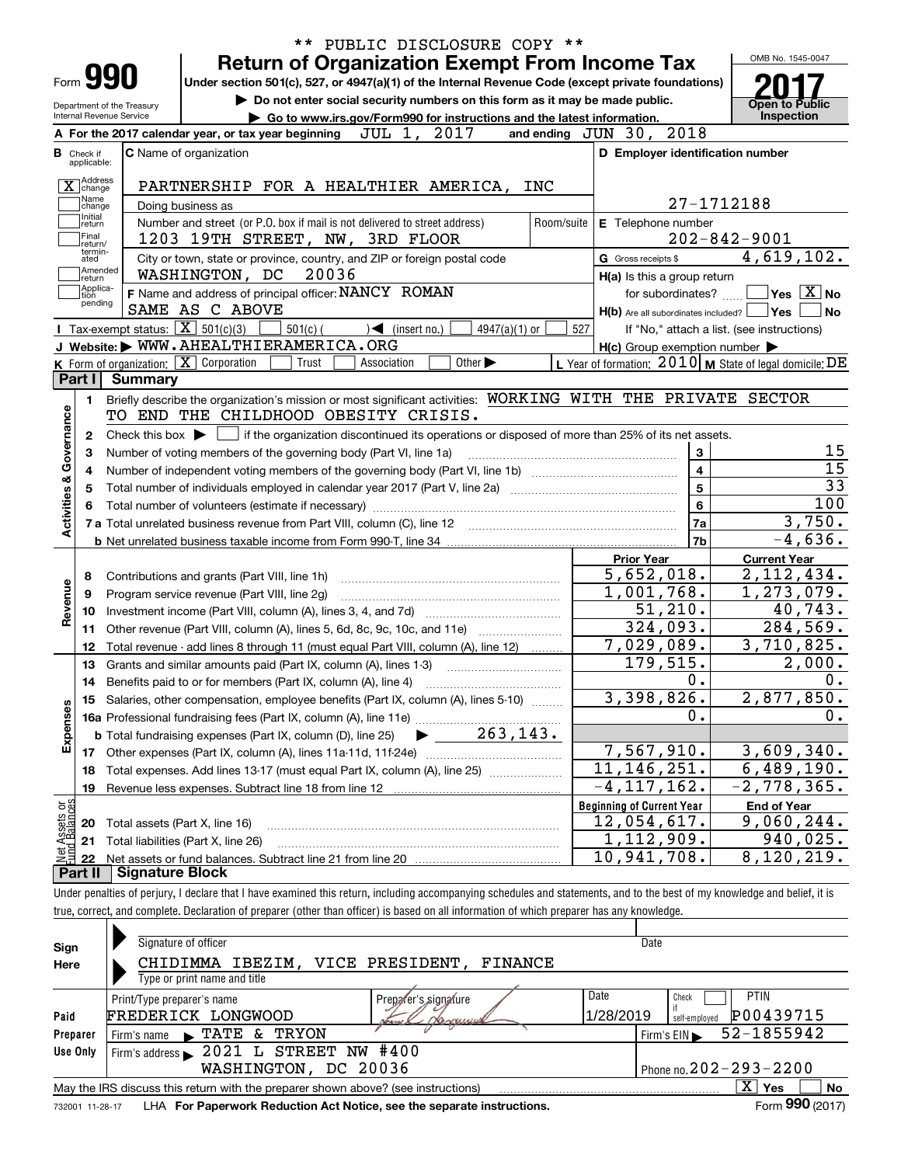|                                                        |                                                   | <b>Return of Organization Exempt From Income Tax</b>                                                                                                                                                             | ** PUBLIC DISCLOSURE COPY **                              | OMB No. 1545-0047                                                                                                                                                                                                                |
|--------------------------------------------------------|---------------------------------------------------|------------------------------------------------------------------------------------------------------------------------------------------------------------------------------------------------------------------|-----------------------------------------------------------|----------------------------------------------------------------------------------------------------------------------------------------------------------------------------------------------------------------------------------|
| Form <b>990</b>                                        |                                                   | Under section 501(c), 527, or 4947(a)(1) of the Internal Revenue Code (except private foundations)                                                                                                               |                                                           |                                                                                                                                                                                                                                  |
|                                                        |                                                   | Do not enter social security numbers on this form as it may be made public.                                                                                                                                      |                                                           |                                                                                                                                                                                                                                  |
| Department of the Treasury<br>Internal Revenue Service |                                                   | Go to www.irs.gov/Form990 for instructions and the latest information.                                                                                                                                           |                                                           | Open to Public<br>Inspection                                                                                                                                                                                                     |
|                                                        |                                                   | JUL 1, 2017<br>A For the 2017 calendar year, or tax year beginning                                                                                                                                               | and ending JUN 30, 2018                                   |                                                                                                                                                                                                                                  |
| <b>B</b> Check if<br>applicable:                       |                                                   | C Name of organization                                                                                                                                                                                           | D Employer identification number                          |                                                                                                                                                                                                                                  |
|                                                        |                                                   |                                                                                                                                                                                                                  |                                                           |                                                                                                                                                                                                                                  |
| X Address                                              |                                                   | PARTNERSHIP FOR A HEALTHIER AMERICA, INC                                                                                                                                                                         |                                                           |                                                                                                                                                                                                                                  |
| Name<br>change<br>Initial                              |                                                   | Doing business as                                                                                                                                                                                                |                                                           | 27-1712188                                                                                                                                                                                                                       |
| return<br>Final                                        |                                                   | Number and street (or P.O. box if mail is not delivered to street address)<br>Room/suite<br>1203 19TH STREET, NW, 3RD FLOOR                                                                                      | E Telephone number                                        | $202 - 842 - 9001$                                                                                                                                                                                                               |
| return/<br>termin-                                     |                                                   | City or town, state or province, country, and ZIP or foreign postal code                                                                                                                                         | G Gross receipts \$                                       | 4,619,102.                                                                                                                                                                                                                       |
| ated<br>Amended                                        |                                                   | 20036<br>WASHINGTON, DC                                                                                                                                                                                          | H(a) Is this a group return                               |                                                                                                                                                                                                                                  |
| return<br> Applica-<br>tion                            |                                                   | F Name and address of principal officer: NANCY ROMAN                                                                                                                                                             | for subordinates?                                         | $\sqrt{}$ Yes $\sqrt{X}$ No                                                                                                                                                                                                      |
| pending                                                |                                                   | SAME AS C ABOVE                                                                                                                                                                                                  | $H(b)$ Are all subordinates included? $\Box$ Yes $\Box$   | ∣No                                                                                                                                                                                                                              |
|                                                        | Tax-exempt status: $\boxed{\mathbf{X}}$ 501(c)(3) | $501(c)$ (<br>$\sqrt{\bullet}$ (insert no.)<br>$4947(a)(1)$ or                                                                                                                                                   | 527                                                       | If "No," attach a list. (see instructions)                                                                                                                                                                                       |
|                                                        |                                                   | J Website: WWW.AHEALTHIERAMERICA.ORG                                                                                                                                                                             | $H(c)$ Group exemption number $\blacktriangleright$       |                                                                                                                                                                                                                                  |
|                                                        |                                                   | K Form of organization: X Corporation<br>Trust<br>Association<br>Other $\blacktriangleright$                                                                                                                     | L Year of formation: $2010$ M State of legal domicile: DE |                                                                                                                                                                                                                                  |
| Part I                                                 | Summary                                           |                                                                                                                                                                                                                  |                                                           |                                                                                                                                                                                                                                  |
| Activities & Governance<br>2<br>з<br>4<br>5            |                                                   | Check this box $\blacktriangleright$ $\Box$ if the organization discontinued its operations or disposed of more than 25% of its net assets.<br>Number of voting members of the governing body (Part VI, line 1a) | 3<br>$\overline{\mathbf{4}}$<br>5<br>6                    | 15<br>15<br>$\overline{33}$<br>100                                                                                                                                                                                               |
| 8<br>9                                                 |                                                   | 7 a Total unrelated business revenue from Part VIII, column (C), line 12 [11] [12] [11] [12] [11] [11] [12] [1<br>Contributions and grants (Part VIII, line 1h)<br>Program service revenue (Part VIII, line 2g)  | 7a<br>7b<br><b>Prior Year</b><br>5,652,018.<br>1,001,768. | <b>Current Year</b>                                                                                                                                                                                                              |
| 10                                                     |                                                   |                                                                                                                                                                                                                  | 51,210.                                                   |                                                                                                                                                                                                                                  |
| 11                                                     |                                                   | Other revenue (Part VIII, column (A), lines 5, 6d, 8c, 9c, 10c, and 11e)                                                                                                                                         | 324,093.                                                  |                                                                                                                                                                                                                                  |
| 12                                                     |                                                   | Total revenue - add lines 8 through 11 (must equal Part VIII, column (A), line 12)                                                                                                                               | 7,029,089.                                                |                                                                                                                                                                                                                                  |
| 13                                                     |                                                   | Grants and similar amounts paid (Part IX, column (A), lines 1-3)                                                                                                                                                 | 179,515.                                                  |                                                                                                                                                                                                                                  |
| 14                                                     |                                                   | Benefits paid to or for members (Part IX, column (A), line 4)                                                                                                                                                    | 0.                                                        |                                                                                                                                                                                                                                  |
|                                                        |                                                   | 15 Salaries, other compensation, employee benefits (Part IX, column (A), lines 5-10)                                                                                                                             | 3,398,826.                                                |                                                                                                                                                                                                                                  |
|                                                        |                                                   | 16a Professional fundraising fees (Part IX, column (A), line 11e)                                                                                                                                                | 0.                                                        |                                                                                                                                                                                                                                  |
|                                                        |                                                   | <b>b</b> Total fundraising expenses (Part IX, column (D), line 25)                                                                                                                                               |                                                           |                                                                                                                                                                                                                                  |
|                                                        |                                                   | $rac{263,143.}{263,143.}$                                                                                                                                                                                        | 7,567,910.                                                |                                                                                                                                                                                                                                  |
| 18                                                     |                                                   | Total expenses. Add lines 13-17 (must equal Part IX, column (A), line 25)                                                                                                                                        | $\overline{11}$ , 146, 251.                               |                                                                                                                                                                                                                                  |
| 19                                                     |                                                   | Revenue less expenses. Subtract line 18 from line 12                                                                                                                                                             | $-4, 117, 162$ .                                          |                                                                                                                                                                                                                                  |
|                                                        |                                                   |                                                                                                                                                                                                                  | <b>Beginning of Current Year</b>                          | <b>End of Year</b>                                                                                                                                                                                                               |
|                                                        |                                                   | Total assets (Part X, line 16)                                                                                                                                                                                   | <u>12,054,617.</u>                                        | 3,750.<br>$-4,636.$<br>2,112,434.<br>$\overline{1}$ , 273, 079.<br>40,743.<br>$\overline{284,569}$ .<br>3,710,825.<br>2,000.<br>0.<br>2,877,850.<br>0.<br>3,609,340.<br>$\overline{6,489}, 190.$<br>$-2,778,365$ .<br>9,060,244. |
|                                                        |                                                   | Total liabilities (Part X, line 26)                                                                                                                                                                              | 1,112,909.                                                | 940,025.                                                                                                                                                                                                                         |
| Revenue<br>Expenses<br>Met Assets or<br>Fund Balances  |                                                   |                                                                                                                                                                                                                  | $\overline{10}$ , 941, 708.                               | $\overline{8,1}$ 20, 219.                                                                                                                                                                                                        |

true, correct, and complete. Declaration of preparer (other than officer) is based on all information of which preparer has any knowledge.

| Sign<br>Here    | Signature of officer<br>CHIDIMMA IBEZIM, VICE PRESIDENT.<br>FINANCE               | Date                                    |
|-----------------|-----------------------------------------------------------------------------------|-----------------------------------------|
|                 | Type or print name and title                                                      |                                         |
|                 | Print/Type preparer's name<br>Preparer's signature                                | Date<br><b>PTIN</b><br>Check            |
| Paid            | FREDERICK LONGWOOD<br>Nevermunity                                                 | 1/28/2019<br>P00439715<br>self-employed |
| Preparer        | TRYON<br>TATE<br>&.<br>Firm's name<br>$\blacktriangleright$                       | 52-1855942<br>Firm's $EIN$              |
| Use Only        | 2021 L STREET NW #400<br>Firm's address                                           |                                         |
|                 | WASHINGTON, DC 20036                                                              | Phone no. $202 - 293 - 2200$            |
|                 | May the IRS discuss this return with the preparer shown above? (see instructions) | x<br>No<br>Yes                          |
| 732001 11-28-17 | LHA For Paperwork Reduction Act Notice, see the separate instructions.            | Form 990 (2017)                         |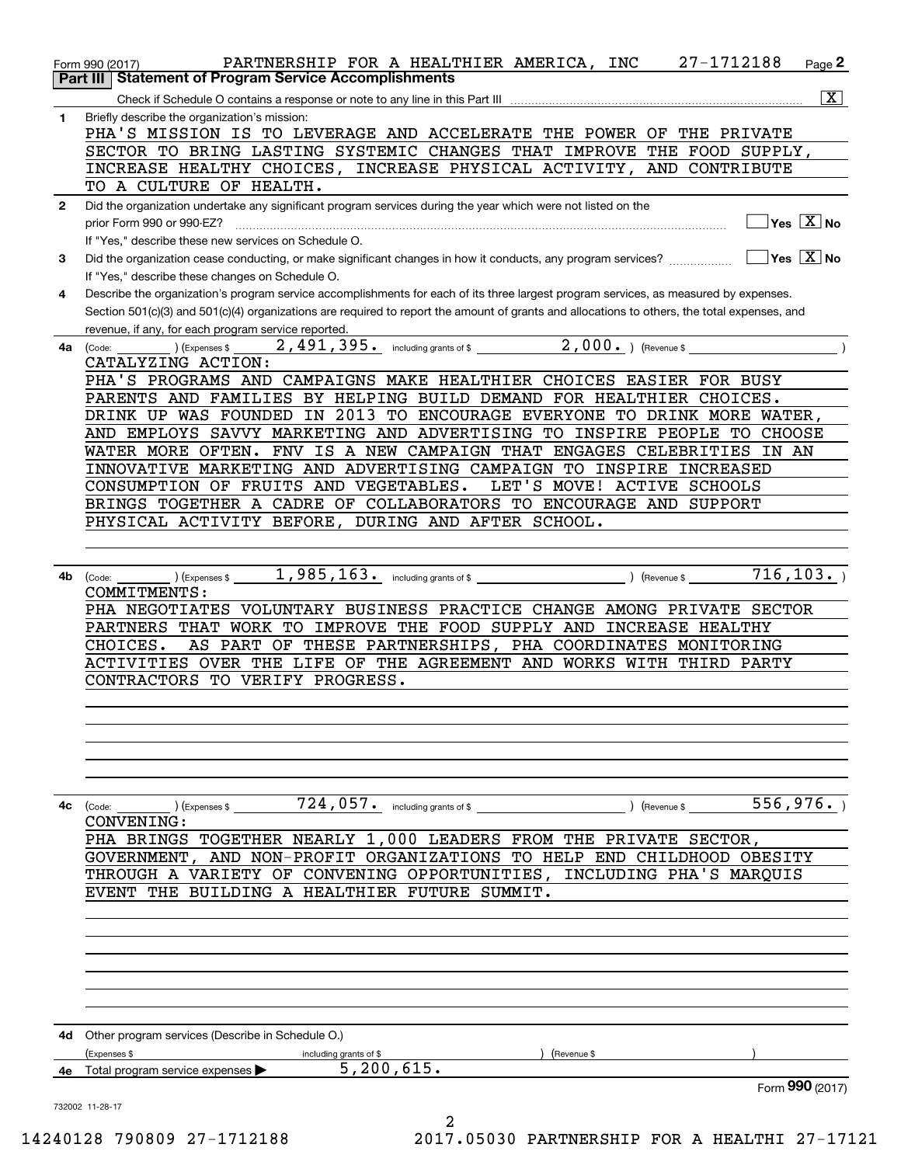|              | PARTNERSHIP FOR A HEALTHIER AMERICA, INC 27-1712188<br>Page 2<br>Form 990 (2017)                                                             |
|--------------|----------------------------------------------------------------------------------------------------------------------------------------------|
|              | <b>Statement of Program Service Accomplishments</b><br><b>Part III</b>                                                                       |
|              | $\boxed{\textbf{X}}$                                                                                                                         |
| 1            | Briefly describe the organization's mission:                                                                                                 |
|              | PHA'S MISSION IS TO LEVERAGE AND ACCELERATE THE POWER OF THE PRIVATE                                                                         |
|              | SECTOR TO BRING LASTING SYSTEMIC CHANGES THAT IMPROVE THE FOOD SUPPLY,                                                                       |
|              | INCREASE HEALTHY CHOICES, INCREASE PHYSICAL ACTIVITY, AND CONTRIBUTE                                                                         |
|              | TO A CULTURE OF HEALTH.                                                                                                                      |
| $\mathbf{2}$ | Did the organization undertake any significant program services during the year which were not listed on the                                 |
|              | $\Box$ Yes $\overline{\mathrm{X}}$ No<br>prior Form 990 or 990-EZ?                                                                           |
|              | If "Yes," describe these new services on Schedule O.                                                                                         |
| 3            | If "Yes," describe these changes on Schedule O.                                                                                              |
| 4            | Describe the organization's program service accomplishments for each of its three largest program services, as measured by expenses.         |
|              | Section 501(c)(3) and 501(c)(4) organizations are required to report the amount of grants and allocations to others, the total expenses, and |
|              | revenue, if any, for each program service reported.                                                                                          |
| 4a           | Tor each program service reported.<br>(Expenses \$2,491,395. including grants of \$2,000.) (Revenue \$<br>(Code:                             |
|              | CATALYZING ACTION:                                                                                                                           |
|              | PHA'S PROGRAMS AND CAMPAIGNS MAKE HEALTHIER CHOICES EASIER FOR BUSY                                                                          |
|              | PARENTS AND FAMILIES BY HELPING BUILD DEMAND FOR HEALTHIER CHOICES.                                                                          |
|              | DRINK UP WAS FOUNDED IN 2013 TO ENCOURAGE EVERYONE TO DRINK MORE WATER,                                                                      |
|              | AND EMPLOYS SAVVY MARKETING AND ADVERTISING TO INSPIRE PEOPLE TO CHOOSE                                                                      |
|              | WATER MORE OFTEN. FNV IS A NEW CAMPAIGN THAT ENGAGES CELEBRITIES IN AN                                                                       |
|              | INNOVATIVE MARKETING AND ADVERTISING CAMPAIGN TO INSPIRE INCREASED                                                                           |
|              | CONSUMPTION OF FRUITS AND VEGETABLES.<br>LET'S MOVE! ACTIVE SCHOOLS                                                                          |
|              | BRINGS TOGETHER A CADRE OF COLLABORATORS TO ENCOURAGE AND SUPPORT                                                                            |
|              | PHYSICAL ACTIVITY BEFORE, DURING AND AFTER SCHOOL.                                                                                           |
|              |                                                                                                                                              |
|              |                                                                                                                                              |
| 4b           | (Code:                                                                                                                                       |
|              | COMMITMENTS:<br>PHA NEGOTIATES VOLUNTARY BUSINESS PRACTICE CHANGE AMONG PRIVATE SECTOR                                                       |
|              | PARTNERS THAT WORK TO IMPROVE THE FOOD SUPPLY AND INCREASE HEALTHY                                                                           |
|              | AS PART OF THESE PARTNERSHIPS, PHA COORDINATES MONITORING<br>CHOICES.                                                                        |
|              | ACTIVITIES OVER THE LIFE OF THE AGREEMENT AND WORKS WITH THIRD PARTY                                                                         |
|              | CONTRACTORS TO VERIFY PROGRESS.                                                                                                              |
|              |                                                                                                                                              |
|              |                                                                                                                                              |
|              |                                                                                                                                              |
|              |                                                                                                                                              |
|              |                                                                                                                                              |
|              |                                                                                                                                              |
| 4с           | $\overline{556}$ , 976.<br>$724$ , $057$ . including grants of \$<br>(Revenue \$<br>(Code:<br>) (Expenses \$                                 |
|              | CONVENING:                                                                                                                                   |
|              | PHA BRINGS TOGETHER NEARLY 1,000 LEADERS FROM THE PRIVATE SECTOR,                                                                            |
|              | GOVERNMENT, AND NON-PROFIT ORGANIZATIONS TO HELP END CHILDHOOD OBESITY                                                                       |
|              | THROUGH A VARIETY OF CONVENING OPPORTUNITIES, INCLUDING PHA'S MARQUIS                                                                        |
|              | EVENT THE BUILDING A HEALTHIER FUTURE SUMMIT.                                                                                                |
|              |                                                                                                                                              |
|              |                                                                                                                                              |
|              |                                                                                                                                              |
|              |                                                                                                                                              |
|              |                                                                                                                                              |
|              |                                                                                                                                              |
|              | <b>4d</b> Other program services (Describe in Schedule O.)                                                                                   |
|              | (Expenses \$<br>(Revenue \$<br>including grants of \$                                                                                        |
|              | 5, 200, 615.<br>4e Total program service expenses                                                                                            |
|              | Form 990 (2017)                                                                                                                              |
|              | 732002 11-28-17                                                                                                                              |
|              | 2                                                                                                                                            |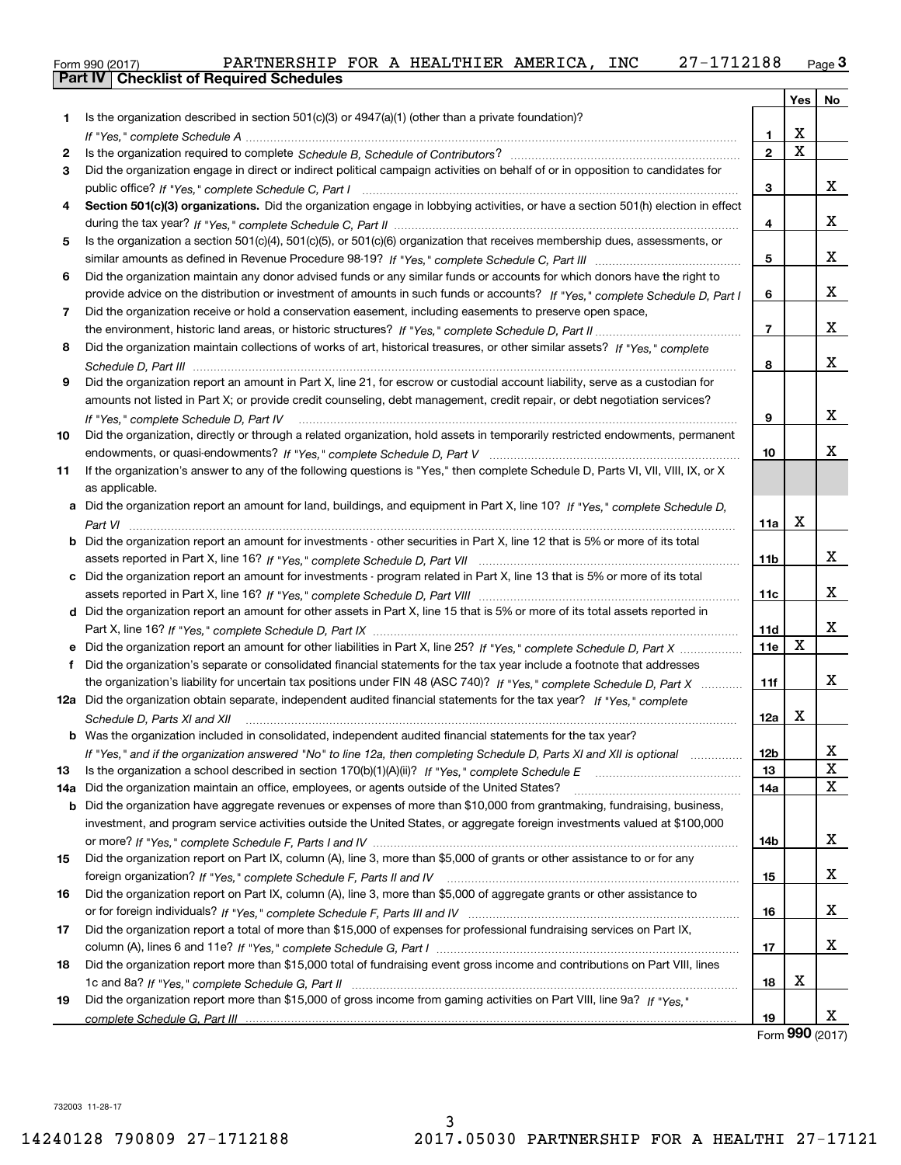| Form 990 (2017) |                                                  | PARTNERSHIP FOR A HEALTHIER AMERICA, |  |  | <b>INC</b> | 27-1712188 | نة Page |
|-----------------|--------------------------------------------------|--------------------------------------|--|--|------------|------------|---------|
|                 | <b>Part IV   Checklist of Required Schedules</b> |                                      |  |  |            |            |         |

|     |                                                                                                                                                                         |                 | Yes         | No          |
|-----|-------------------------------------------------------------------------------------------------------------------------------------------------------------------------|-----------------|-------------|-------------|
| 1   | Is the organization described in section 501(c)(3) or 4947(a)(1) (other than a private foundation)?                                                                     |                 |             |             |
|     |                                                                                                                                                                         | 1               | X           |             |
| 2   |                                                                                                                                                                         | $\overline{2}$  | $\mathbf X$ |             |
| 3   | Did the organization engage in direct or indirect political campaign activities on behalf of or in opposition to candidates for                                         |                 |             |             |
|     |                                                                                                                                                                         | 3               |             | х           |
| 4   | Section 501(c)(3) organizations. Did the organization engage in lobbying activities, or have a section 501(h) election in effect                                        |                 |             |             |
|     |                                                                                                                                                                         | 4               |             | x           |
| 5   | Is the organization a section 501(c)(4), 501(c)(5), or 501(c)(6) organization that receives membership dues, assessments, or                                            |                 |             |             |
|     |                                                                                                                                                                         | 5               |             | x           |
| 6   | Did the organization maintain any donor advised funds or any similar funds or accounts for which donors have the right to                                               |                 |             |             |
|     | provide advice on the distribution or investment of amounts in such funds or accounts? If "Yes," complete Schedule D, Part I                                            | 6               |             | x           |
| 7   | Did the organization receive or hold a conservation easement, including easements to preserve open space,                                                               |                 |             |             |
|     |                                                                                                                                                                         | $\overline{7}$  |             | x           |
| 8   | Did the organization maintain collections of works of art, historical treasures, or other similar assets? If "Yes," complete                                            |                 |             |             |
|     |                                                                                                                                                                         | 8               |             | х           |
| 9   | Did the organization report an amount in Part X, line 21, for escrow or custodial account liability, serve as a custodian for                                           |                 |             |             |
|     | amounts not listed in Part X; or provide credit counseling, debt management, credit repair, or debt negotiation services?                                               |                 |             |             |
|     |                                                                                                                                                                         | 9               |             | х           |
| 10  | If "Yes," complete Schedule D, Part IV<br>Did the organization, directly or through a related organization, hold assets in temporarily restricted endowments, permanent |                 |             |             |
|     |                                                                                                                                                                         | 10              |             | x           |
|     |                                                                                                                                                                         |                 |             |             |
| 11  | If the organization's answer to any of the following questions is "Yes," then complete Schedule D, Parts VI, VII, VIII, IX, or X                                        |                 |             |             |
|     | as applicable.                                                                                                                                                          |                 |             |             |
|     | a Did the organization report an amount for land, buildings, and equipment in Part X, line 10? If "Yes," complete Schedule D,                                           |                 | X           |             |
|     |                                                                                                                                                                         | 11a             |             |             |
|     | <b>b</b> Did the organization report an amount for investments - other securities in Part X, line 12 that is 5% or more of its total                                    |                 |             |             |
|     |                                                                                                                                                                         | 11b             |             | х           |
|     | c Did the organization report an amount for investments - program related in Part X, line 13 that is 5% or more of its total                                            |                 |             |             |
|     |                                                                                                                                                                         | 11c             |             | х           |
|     | d Did the organization report an amount for other assets in Part X, line 15 that is 5% or more of its total assets reported in                                          |                 |             |             |
|     |                                                                                                                                                                         | 11d             |             | х           |
|     | e Did the organization report an amount for other liabilities in Part X, line 25? If "Yes," complete Schedule D, Part X                                                 | 11e             | $\mathbf X$ |             |
|     | f Did the organization's separate or consolidated financial statements for the tax year include a footnote that addresses                                               |                 |             |             |
|     | the organization's liability for uncertain tax positions under FIN 48 (ASC 740)? If "Yes," complete Schedule D, Part X                                                  | 11f             |             | х           |
|     | 12a Did the organization obtain separate, independent audited financial statements for the tax year? If "Yes," complete                                                 |                 |             |             |
|     | Schedule D, Parts XI and XII                                                                                                                                            | 12a             | х           |             |
|     | <b>b</b> Was the organization included in consolidated, independent audited financial statements for the tax year?                                                      |                 |             |             |
|     | If "Yes," and if the organization answered "No" to line 12a, then completing Schedule D, Parts XI and XII is optional manuman                                           | 12 <sub>b</sub> |             | х           |
| 13  | Is the organization a school described in section 170(b)(1)(A)(ii)? If "Yes," complete Schedule E                                                                       | 13              |             | $\mathbf X$ |
| 14a | Did the organization maintain an office, employees, or agents outside of the United States?                                                                             | 14a             |             | $\mathbf X$ |
| b   | Did the organization have aggregate revenues or expenses of more than \$10,000 from grantmaking, fundraising, business,                                                 |                 |             |             |
|     | investment, and program service activities outside the United States, or aggregate foreign investments valued at \$100,000                                              |                 |             |             |
|     |                                                                                                                                                                         | 14b             |             | х           |
| 15  | Did the organization report on Part IX, column (A), line 3, more than \$5,000 of grants or other assistance to or for any                                               |                 |             |             |
|     |                                                                                                                                                                         | 15              |             | х           |
| 16  | Did the organization report on Part IX, column (A), line 3, more than \$5,000 of aggregate grants or other assistance to                                                |                 |             |             |
|     |                                                                                                                                                                         | 16              |             | х           |
| 17  | Did the organization report a total of more than \$15,000 of expenses for professional fundraising services on Part IX,                                                 |                 |             |             |
|     |                                                                                                                                                                         | 17              |             | х           |
| 18  | Did the organization report more than \$15,000 total of fundraising event gross income and contributions on Part VIII, lines                                            |                 |             |             |
|     |                                                                                                                                                                         | 18              | х           |             |
| 19  | Did the organization report more than \$15,000 of gross income from gaming activities on Part VIII, line 9a? If "Yes."                                                  |                 |             |             |
|     |                                                                                                                                                                         | 19              |             | x           |
|     |                                                                                                                                                                         |                 |             |             |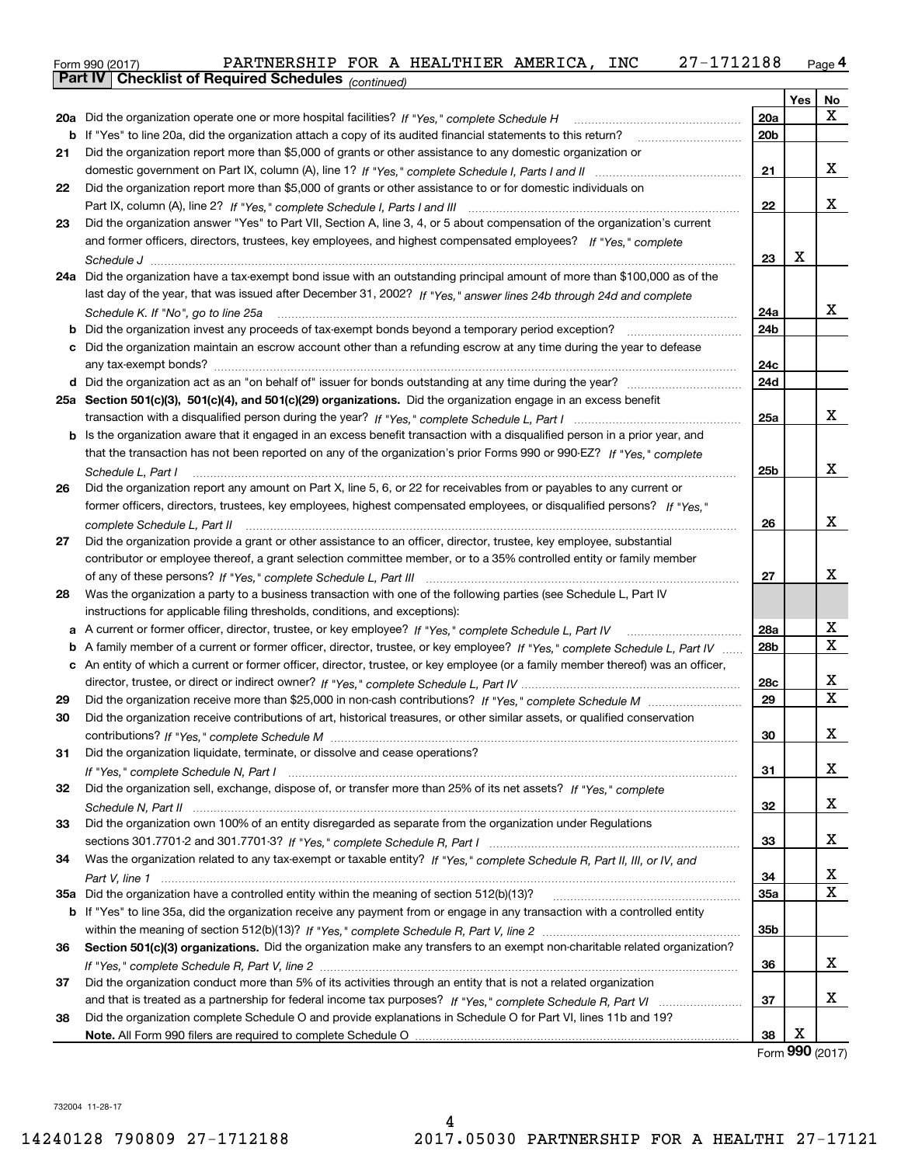|    | 27-1712188<br>PARTNERSHIP FOR A HEALTHIER AMERICA, INC<br>Form 990 (2017)                                                           |                 |        | Page 4      |
|----|-------------------------------------------------------------------------------------------------------------------------------------|-----------------|--------|-------------|
|    | Part IV   Checklist of Required Schedules (continued)                                                                               |                 |        |             |
|    |                                                                                                                                     |                 | Yes    | No          |
|    |                                                                                                                                     | 20a             |        | x           |
|    | b If "Yes" to line 20a, did the organization attach a copy of its audited financial statements to this return?                      | 20 <sub>b</sub> |        |             |
| 21 | Did the organization report more than \$5,000 of grants or other assistance to any domestic organization or                         |                 |        |             |
|    |                                                                                                                                     | 21              |        | x           |
| 22 | Did the organization report more than \$5,000 of grants or other assistance to or for domestic individuals on                       |                 |        |             |
|    |                                                                                                                                     | 22              |        | x           |
| 23 | Did the organization answer "Yes" to Part VII, Section A, line 3, 4, or 5 about compensation of the organization's current          |                 |        |             |
|    | and former officers, directors, trustees, key employees, and highest compensated employees? If "Yes," complete                      |                 |        |             |
|    |                                                                                                                                     | 23              | х      |             |
|    | 24a Did the organization have a tax-exempt bond issue with an outstanding principal amount of more than \$100,000 as of the         |                 |        |             |
|    |                                                                                                                                     |                 |        |             |
|    | last day of the year, that was issued after December 31, 2002? If "Yes," answer lines 24b through 24d and complete                  |                 |        | x           |
|    | Schedule K. If "No", go to line 25a                                                                                                 | 24a             |        |             |
|    |                                                                                                                                     | 24b             |        |             |
|    | c Did the organization maintain an escrow account other than a refunding escrow at any time during the year to defease              |                 |        |             |
|    |                                                                                                                                     | 24c             |        |             |
|    |                                                                                                                                     | 24d             |        |             |
|    | 25a Section 501(c)(3), 501(c)(4), and 501(c)(29) organizations. Did the organization engage in an excess benefit                    |                 |        |             |
|    |                                                                                                                                     | 25a             |        | x           |
|    | <b>b</b> Is the organization aware that it engaged in an excess benefit transaction with a disqualified person in a prior year, and |                 |        |             |
|    | that the transaction has not been reported on any of the organization's prior Forms 990 or 990-EZ? If "Yes," complete               |                 |        |             |
|    | Schedule L, Part I                                                                                                                  | 25b             |        | x           |
| 26 | Did the organization report any amount on Part X, line 5, 6, or 22 for receivables from or payables to any current or               |                 |        |             |
|    | former officers, directors, trustees, key employees, highest compensated employees, or disqualified persons? If "Yes."              |                 |        |             |
|    | complete Schedule L, Part II music communication of the Schedule L and The Complete Schedule L, Part II                             | 26              |        | x           |
| 27 | Did the organization provide a grant or other assistance to an officer, director, trustee, key employee, substantial                |                 |        |             |
|    | contributor or employee thereof, a grant selection committee member, or to a 35% controlled entity or family member                 |                 |        |             |
|    |                                                                                                                                     | 27              |        | x           |
| 28 | Was the organization a party to a business transaction with one of the following parties (see Schedule L, Part IV                   |                 |        |             |
|    | instructions for applicable filing thresholds, conditions, and exceptions):                                                         |                 |        |             |
|    |                                                                                                                                     | 28a             |        | Х           |
|    | b A family member of a current or former officer, director, trustee, or key employee? If "Yes," complete Schedule L, Part IV        | 28b             |        | X           |
|    | c An entity of which a current or former officer, director, trustee, or key employee (or a family member thereof) was an officer,   |                 |        |             |
|    |                                                                                                                                     | 28c             |        | х           |
| 29 |                                                                                                                                     | 29              |        | X           |
| 30 | Did the organization receive contributions of art, historical treasures, or other similar assets, or qualified conservation         |                 |        |             |
|    |                                                                                                                                     | 30              |        | х           |
| 31 | Did the organization liquidate, terminate, or dissolve and cease operations?                                                        |                 |        |             |
|    |                                                                                                                                     | 31              |        | х           |
|    | Did the organization sell, exchange, dispose of, or transfer more than 25% of its net assets? If "Yes," complete                    |                 |        |             |
| 32 |                                                                                                                                     |                 |        | х           |
|    |                                                                                                                                     | 32              |        |             |
| 33 | Did the organization own 100% of an entity disregarded as separate from the organization under Regulations                          |                 |        |             |
|    |                                                                                                                                     | 33              |        | х           |
| 34 | Was the organization related to any tax-exempt or taxable entity? If "Yes," complete Schedule R, Part II, III, or IV, and           |                 |        |             |
|    |                                                                                                                                     | 34              |        | X           |
|    |                                                                                                                                     | <b>35a</b>      |        | $\mathbf X$ |
|    | b If "Yes" to line 35a, did the organization receive any payment from or engage in any transaction with a controlled entity         |                 |        |             |
|    |                                                                                                                                     | 35b             |        |             |
| 36 | Section 501(c)(3) organizations. Did the organization make any transfers to an exempt non-charitable related organization?          |                 |        |             |
|    |                                                                                                                                     | 36              |        | х           |
| 37 | Did the organization conduct more than 5% of its activities through an entity that is not a related organization                    |                 |        |             |
|    |                                                                                                                                     | 37              |        | х           |
| 38 | Did the organization complete Schedule O and provide explanations in Schedule O for Part VI, lines 11b and 19?                      |                 |        |             |
|    |                                                                                                                                     | 38              | х      |             |
|    |                                                                                                                                     |                 | $\sim$ |             |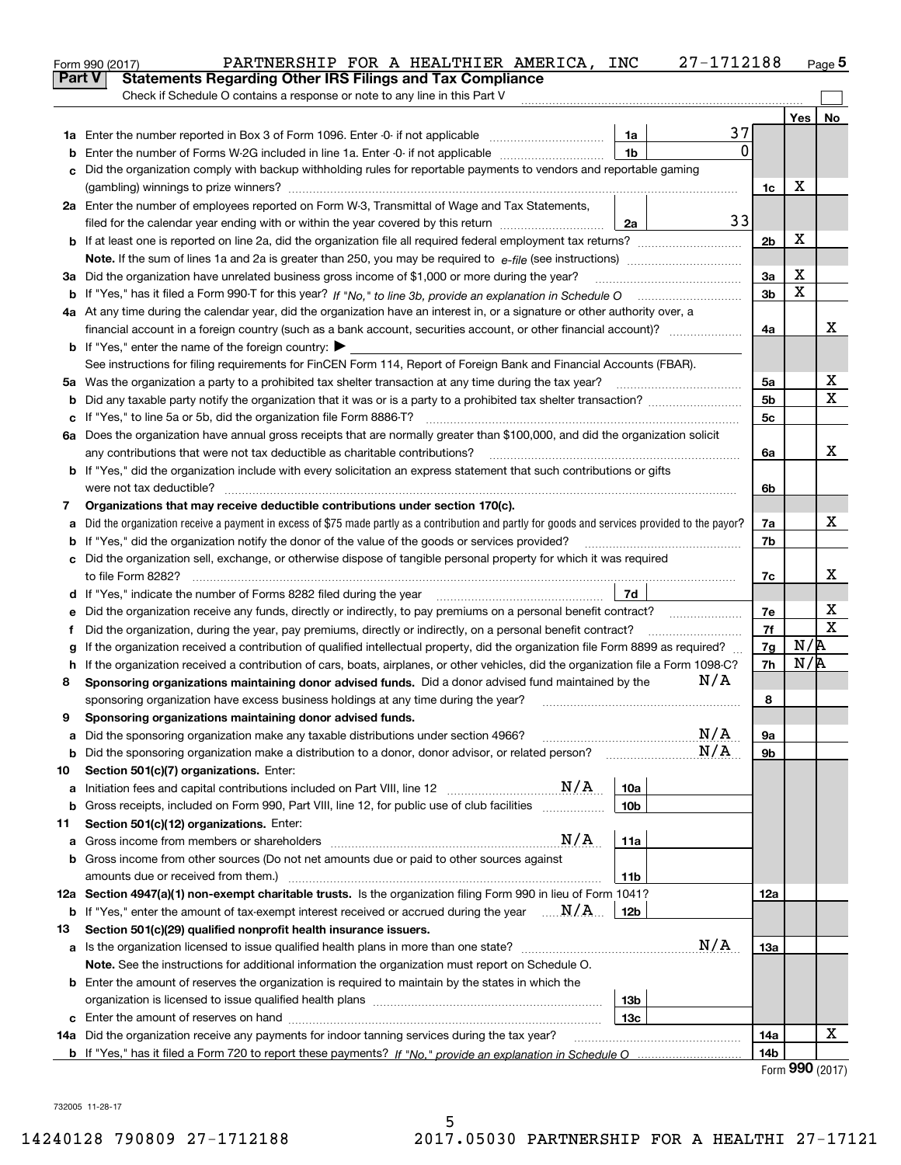|               | 27-1712188<br>PARTNERSHIP FOR A HEALTHIER AMERICA, INC<br>Form 990 (2017)                                                                                                                                                        |                 |                             | Page 5      |
|---------------|----------------------------------------------------------------------------------------------------------------------------------------------------------------------------------------------------------------------------------|-----------------|-----------------------------|-------------|
| <b>Part V</b> | <b>Statements Regarding Other IRS Filings and Tax Compliance</b>                                                                                                                                                                 |                 |                             |             |
|               | Check if Schedule O contains a response or note to any line in this Part V                                                                                                                                                       |                 |                             |             |
|               |                                                                                                                                                                                                                                  |                 | Yes                         | No          |
|               | 37<br>1a                                                                                                                                                                                                                         |                 |                             |             |
| b             | $\mathbf{0}$<br>1 <sub>b</sub><br>Enter the number of Forms W-2G included in line 1a. Enter -0- if not applicable                                                                                                                |                 |                             |             |
| c             | Did the organization comply with backup withholding rules for reportable payments to vendors and reportable gaming                                                                                                               |                 |                             |             |
|               |                                                                                                                                                                                                                                  | 1c              | х                           |             |
|               | 2a Enter the number of employees reported on Form W-3, Transmittal of Wage and Tax Statements,                                                                                                                                   |                 |                             |             |
|               | 33<br>filed for the calendar year ending with or within the year covered by this return<br>2a                                                                                                                                    |                 |                             |             |
|               |                                                                                                                                                                                                                                  | 2 <sub>b</sub>  | х                           |             |
|               |                                                                                                                                                                                                                                  |                 |                             |             |
|               | 3a Did the organization have unrelated business gross income of \$1,000 or more during the year?                                                                                                                                 | 3a              | х                           |             |
|               |                                                                                                                                                                                                                                  | 3 <sub>b</sub>  | X                           |             |
|               | 4a At any time during the calendar year, did the organization have an interest in, or a signature or other authority over, a                                                                                                     |                 |                             |             |
|               | financial account in a foreign country (such as a bank account, securities account, or other financial account)?                                                                                                                 | 4a              |                             | x           |
|               | <b>b</b> If "Yes," enter the name of the foreign country: $\blacktriangleright$                                                                                                                                                  |                 |                             |             |
|               | See instructions for filing requirements for FinCEN Form 114, Report of Foreign Bank and Financial Accounts (FBAR).                                                                                                              |                 |                             |             |
|               |                                                                                                                                                                                                                                  | 5a              |                             | х<br>х      |
| b             |                                                                                                                                                                                                                                  | 5 <sub>b</sub>  |                             |             |
| c             |                                                                                                                                                                                                                                  | 5c              |                             |             |
|               | 6a Does the organization have annual gross receipts that are normally greater than \$100,000, and did the organization solicit                                                                                                   |                 |                             | x           |
|               | any contributions that were not tax deductible as charitable contributions?                                                                                                                                                      | 6a              |                             |             |
|               | <b>b</b> If "Yes," did the organization include with every solicitation an express statement that such contributions or gifts                                                                                                    |                 |                             |             |
|               | were not tax deductible?                                                                                                                                                                                                         | 6b              |                             |             |
| 7             | Organizations that may receive deductible contributions under section 170(c).<br>Did the organization receive a payment in excess of \$75 made partly as a contribution and partly for goods and services provided to the payor? |                 |                             | x           |
| a             | <b>b</b> If "Yes," did the organization notify the donor of the value of the goods or services provided?                                                                                                                         | 7a<br>7b        |                             |             |
|               | c Did the organization sell, exchange, or otherwise dispose of tangible personal property for which it was required                                                                                                              |                 |                             |             |
|               |                                                                                                                                                                                                                                  | 7c              |                             | x           |
|               | 7d                                                                                                                                                                                                                               |                 |                             |             |
| е             | Did the organization receive any funds, directly or indirectly, to pay premiums on a personal benefit contract?                                                                                                                  | 7e              |                             | х           |
| f             | Did the organization, during the year, pay premiums, directly or indirectly, on a personal benefit contract?                                                                                                                     | 7f              |                             | $\mathbf X$ |
| g             | If the organization received a contribution of qualified intellectual property, did the organization file Form 8899 as required?                                                                                                 | 7g              | N/R                         |             |
| h.            | If the organization received a contribution of cars, boats, airplanes, or other vehicles, did the organization file a Form 1098-C?                                                                                               | 7h              | N/R                         |             |
| 8             | N/A<br>Sponsoring organizations maintaining donor advised funds. Did a donor advised fund maintained by the                                                                                                                      |                 |                             |             |
|               | sponsoring organization have excess business holdings at any time during the year?                                                                                                                                               | 8               |                             |             |
|               | Sponsoring organizations maintaining donor advised funds.                                                                                                                                                                        |                 |                             |             |
| a             | N/A<br>Did the sponsoring organization make any taxable distributions under section 4966?                                                                                                                                        | 9a              |                             |             |
| b             | N/A<br>Did the sponsoring organization make a distribution to a donor, donor advisor, or related person?                                                                                                                         | 9b              |                             |             |
| 10            | Section 501(c)(7) organizations. Enter:                                                                                                                                                                                          |                 |                             |             |
| а             | $\mathrm{N}/\mathrm{A}$<br>10a<br>Initiation fees and capital contributions included on Part VIII, line 12                                                                                                                       |                 |                             |             |
| b             | Gross receipts, included on Form 990, Part VIII, line 12, for public use of club facilities <i>manumum</i><br>10 <sub>b</sub>                                                                                                    |                 |                             |             |
| 11            | Section 501(c)(12) organizations. Enter:                                                                                                                                                                                         |                 |                             |             |
| а             | N/A<br>11a                                                                                                                                                                                                                       |                 |                             |             |
| b             | Gross income from other sources (Do not net amounts due or paid to other sources against                                                                                                                                         |                 |                             |             |
|               | amounts due or received from them.)<br>11b                                                                                                                                                                                       |                 |                             |             |
|               | 12a Section 4947(a)(1) non-exempt charitable trusts. Is the organization filing Form 990 in lieu of Form 1041?                                                                                                                   | 12a             |                             |             |
| b             | If "Yes," enter the amount of tax-exempt interest received or accrued during the year $\ldots \mathbf{N}/\mathbf{A}$<br>12b                                                                                                      |                 |                             |             |
| 13            | Section 501(c)(29) qualified nonprofit health insurance issuers.                                                                                                                                                                 |                 |                             |             |
| a             | N/A<br>Is the organization licensed to issue qualified health plans in more than one state?                                                                                                                                      | 13а             |                             |             |
|               | Note. See the instructions for additional information the organization must report on Schedule O.                                                                                                                                |                 |                             |             |
|               | <b>b</b> Enter the amount of reserves the organization is required to maintain by the states in which the                                                                                                                        |                 |                             |             |
|               | 13b                                                                                                                                                                                                                              |                 |                             |             |
|               | 13c                                                                                                                                                                                                                              |                 |                             |             |
|               | 14a Did the organization receive any payments for indoor tanning services during the tax year?                                                                                                                                   | 14a             |                             | X           |
|               |                                                                                                                                                                                                                                  | 14 <sub>b</sub> |                             |             |
|               |                                                                                                                                                                                                                                  |                 | $F_{\text{Orm}}$ 990 (2017) |             |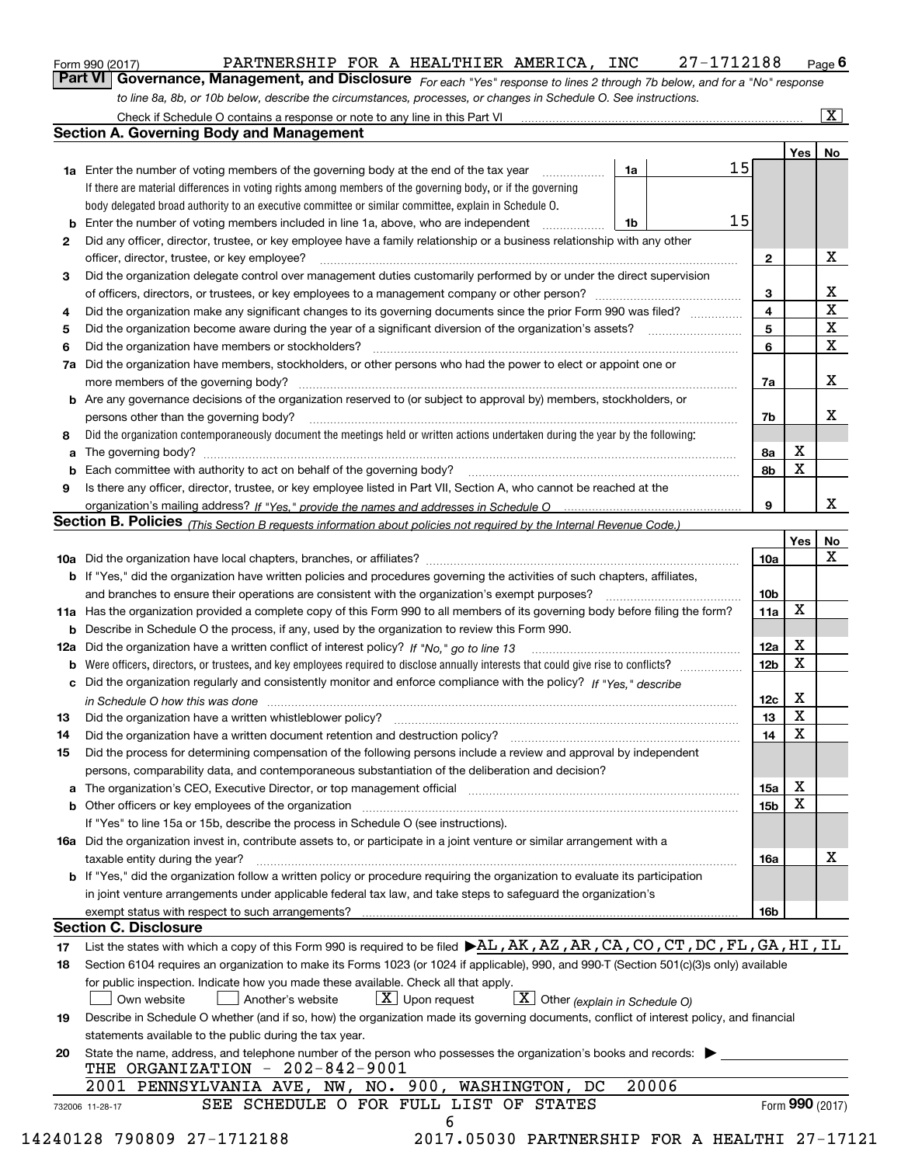| Form 990 (2017) | PARTNERSHIP FOR A HEALTHIER AMERICA, INC |  |  | 27-1712188                                                                                                                         | $Page$ <sup>6</sup> |
|-----------------|------------------------------------------|--|--|------------------------------------------------------------------------------------------------------------------------------------|---------------------|
|                 |                                          |  |  | <b>Part VI</b> Governance, Management, and Disclosure For each "Yes" response to lines 2 through 7b below, and for a "No" response |                     |

*For each "Yes" response to lines 2 through 7b below, and for a "No" response to line 8a, 8b, or 10b below, describe the circumstances, processes, or changes in Schedule O. See instructions.*

|    |                                                                                                                                                                               |    |       |    |                 | Yes   No        |             |
|----|-------------------------------------------------------------------------------------------------------------------------------------------------------------------------------|----|-------|----|-----------------|-----------------|-------------|
|    | <b>1a</b> Enter the number of voting members of the governing body at the end of the tax year                                                                                 | 1a |       | 15 |                 |                 |             |
|    | If there are material differences in voting rights among members of the governing body, or if the governing                                                                   |    |       |    |                 |                 |             |
|    | body delegated broad authority to an executive committee or similar committee, explain in Schedule O.                                                                         |    |       |    |                 |                 |             |
|    | <b>b</b> Enter the number of voting members included in line 1a, above, who are independent <i>manumum</i>                                                                    | 1b |       | 15 |                 |                 |             |
| 2  | Did any officer, director, trustee, or key employee have a family relationship or a business relationship with any other                                                      |    |       |    |                 |                 |             |
|    | officer, director, trustee, or key employee?                                                                                                                                  |    |       |    | $\mathbf{2}$    |                 | X           |
| 3  | Did the organization delegate control over management duties customarily performed by or under the direct supervision                                                         |    |       |    |                 |                 |             |
|    |                                                                                                                                                                               |    |       |    | 3               |                 | X           |
| 4  | Did the organization make any significant changes to its governing documents since the prior Form 990 was filed?                                                              |    |       |    | $\overline{4}$  |                 | $\mathbf X$ |
| 5  |                                                                                                                                                                               |    |       |    | 5               |                 | $\mathbf X$ |
| 6  |                                                                                                                                                                               |    |       |    | 6               |                 | $\mathbf X$ |
| 7a | Did the organization have members, stockholders, or other persons who had the power to elect or appoint one or                                                                |    |       |    |                 |                 |             |
|    |                                                                                                                                                                               |    |       |    | 7a              |                 | x           |
|    | <b>b</b> Are any governance decisions of the organization reserved to (or subject to approval by) members, stockholders, or                                                   |    |       |    |                 |                 |             |
|    | persons other than the governing body?                                                                                                                                        |    |       |    | 7b              |                 | х           |
| 8  | Did the organization contemporaneously document the meetings held or written actions undertaken during the year by the following:                                             |    |       |    |                 |                 |             |
| a  |                                                                                                                                                                               |    |       |    | 8a              | X               |             |
|    |                                                                                                                                                                               |    |       |    | 8b              | X               |             |
| 9  | Is there any officer, director, trustee, or key employee listed in Part VII, Section A, who cannot be reached at the                                                          |    |       |    |                 |                 |             |
|    |                                                                                                                                                                               |    |       |    | 9               |                 | x           |
|    | Section B. Policies (This Section B requests information about policies not required by the Internal Revenue Code.)                                                           |    |       |    |                 |                 |             |
|    |                                                                                                                                                                               |    |       |    |                 | Yes             | No          |
|    |                                                                                                                                                                               |    |       |    | 10a             |                 | X           |
|    |                                                                                                                                                                               |    |       |    |                 |                 |             |
|    | <b>b</b> If "Yes," did the organization have written policies and procedures governing the activities of such chapters, affiliates,                                           |    |       |    |                 |                 |             |
|    |                                                                                                                                                                               |    |       |    | 10 <sub>b</sub> | X               |             |
|    | 11a Has the organization provided a complete copy of this Form 990 to all members of its governing body before filing the form?                                               |    |       |    | 11a             |                 |             |
|    | <b>b</b> Describe in Schedule O the process, if any, used by the organization to review this Form 990.                                                                        |    |       |    |                 |                 |             |
|    |                                                                                                                                                                               |    |       |    | 12a             | X<br>X          |             |
| b  |                                                                                                                                                                               |    |       |    | 12 <sub>b</sub> |                 |             |
|    | c Did the organization regularly and consistently monitor and enforce compliance with the policy? If "Yes." describe                                                          |    |       |    |                 |                 |             |
|    | in Schedule O how this was done manufactured and continuum control of the Schedule O how this was done manufactured and continuum control of the Schedule O how this was done |    |       |    | 12c             | X               |             |
| 13 |                                                                                                                                                                               |    |       |    | 13              | X               |             |
| 14 | Did the organization have a written document retention and destruction policy? manufactured and the organization have a written document retention and destruction policy?    |    |       |    | 14              | X               |             |
| 15 | Did the process for determining compensation of the following persons include a review and approval by independent                                                            |    |       |    |                 |                 |             |
|    | persons, comparability data, and contemporaneous substantiation of the deliberation and decision?                                                                             |    |       |    |                 |                 |             |
|    |                                                                                                                                                                               |    |       |    | 15a             | X               |             |
|    |                                                                                                                                                                               |    |       |    | 15 <sub>b</sub> | X               |             |
|    | If "Yes" to line 15a or 15b, describe the process in Schedule O (see instructions).                                                                                           |    |       |    |                 |                 |             |
|    | 16a Did the organization invest in, contribute assets to, or participate in a joint venture or similar arrangement with a                                                     |    |       |    |                 |                 |             |
|    | taxable entity during the year?                                                                                                                                               |    |       |    | 16a             |                 | X           |
|    | b If "Yes," did the organization follow a written policy or procedure requiring the organization to evaluate its participation                                                |    |       |    |                 |                 |             |
|    | in joint venture arrangements under applicable federal tax law, and take steps to safequard the organization's                                                                |    |       |    |                 |                 |             |
|    | exempt status with respect to such arrangements?                                                                                                                              |    |       |    | 16 <sub>b</sub> |                 |             |
|    | <b>Section C. Disclosure</b>                                                                                                                                                  |    |       |    |                 |                 |             |
| 17 | List the states with which a copy of this Form 990 is required to be filed $\blacktriangleright$ AL, AK, AZ, AR, CA, CO, CT, DC, FL, GA, HI, IL                               |    |       |    |                 |                 |             |
| 18 | Section 6104 requires an organization to make its Forms 1023 (or 1024 if applicable), 990, and 990-T (Section 501(c)(3)s only) available                                      |    |       |    |                 |                 |             |
|    | for public inspection. Indicate how you made these available. Check all that apply.                                                                                           |    |       |    |                 |                 |             |
|    | $\boxed{\mathbf{X}}$ Other (explain in Schedule O)<br>$\lfloor x \rfloor$ Upon request<br>Own website<br>Another's website                                                    |    |       |    |                 |                 |             |
| 19 | Describe in Schedule O whether (and if so, how) the organization made its governing documents, conflict of interest policy, and financial                                     |    |       |    |                 |                 |             |
|    | statements available to the public during the tax year.                                                                                                                       |    |       |    |                 |                 |             |
| 20 | State the name, address, and telephone number of the person who possesses the organization's books and records:                                                               |    |       |    |                 |                 |             |
|    | THE ORGANIZATION $-202-842-9001$                                                                                                                                              |    |       |    |                 |                 |             |
|    | 2001 PENNSYLVANIA AVE, NW, NO. 900, WASHINGTON, DC                                                                                                                            |    | 20006 |    |                 |                 |             |
|    | SEE SCHEDULE O FOR FULL LIST OF STATES                                                                                                                                        |    |       |    |                 | Form 990 (2017) |             |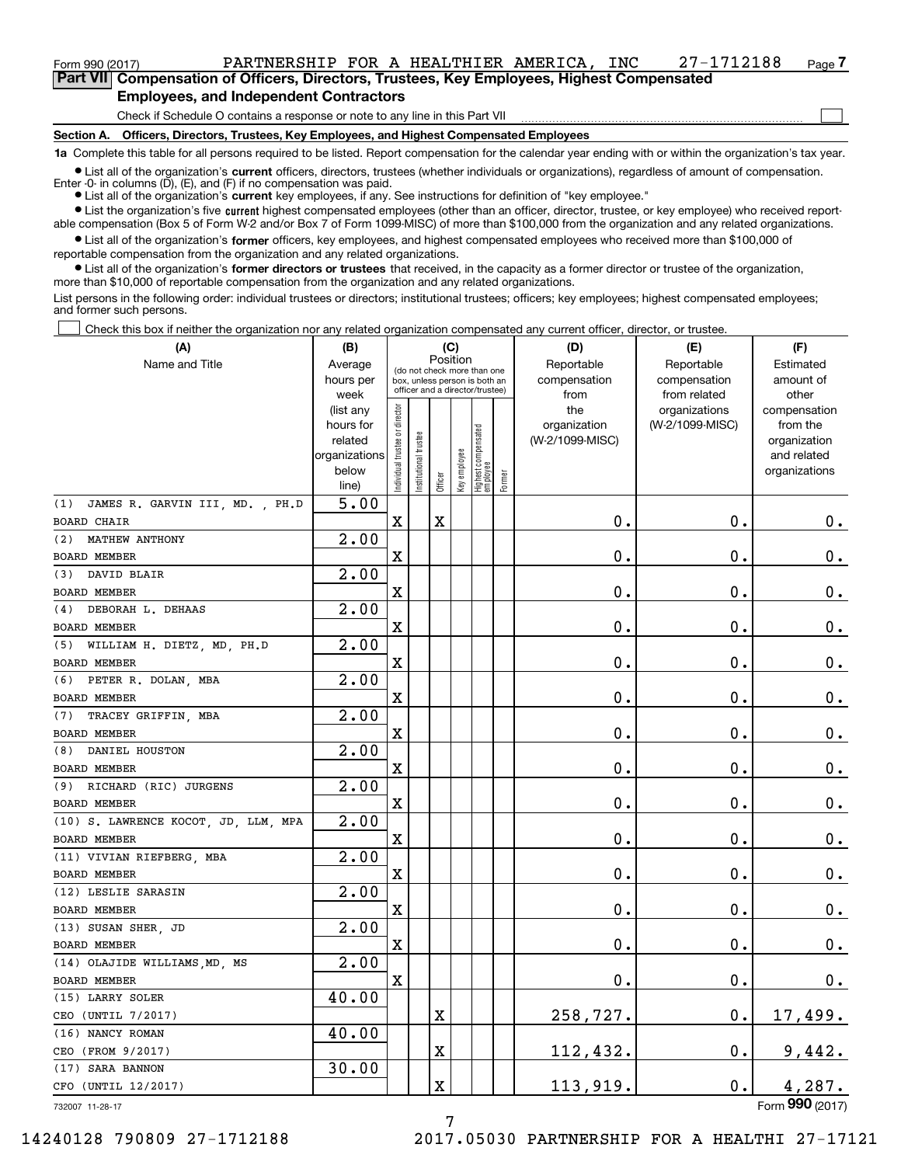# Form 990 (2017) PARTNERSHIP FOR A HEALTHIER AMERICA , INC 27-1712188 Page **7Part VII Compensation of Officers, Directors, Trustees, Key Employees, Highest Compensated**

 $\mathcal{L}^{\text{max}}$ 

**Employees, and Independent Contractors**

Check if Schedule O contains a response or note to any line in this Part VII

**Section A. Officers, Directors, Trustees, Key Employees, and Highest Compensated Employees**

**1a**  Complete this table for all persons required to be listed. Report compensation for the calendar year ending with or within the organization's tax year.

**•** List all of the organization's current officers, directors, trustees (whether individuals or organizations), regardless of amount of compensation. Enter -0- in columns  $(D)$ ,  $(E)$ , and  $(F)$  if no compensation was paid.

● List all of the organization's **current** key employees, if any. See instructions for definition of "key employee."

**•** List the organization's five current highest compensated employees (other than an officer, director, trustee, or key employee) who received reportable compensation (Box 5 of Form W-2 and/or Box 7 of Form 1099-MISC) of more than \$100,000 from the organization and any related organizations.

 $\bullet$  List all of the organization's **former** officers, key employees, and highest compensated employees who received more than \$100,000 of reportable compensation from the organization and any related organizations.

**•** List all of the organization's former directors or trustees that received, in the capacity as a former director or trustee of the organization, more than \$10,000 of reportable compensation from the organization and any related organizations.

List persons in the following order: individual trustees or directors; institutional trustees; officers; key employees; highest compensated employees; and former such persons.

Check this box if neither the organization nor any related organization compensated any current officer, director, or trustee.  $\mathcal{L}^{\text{max}}$ 

| (A)                                  | (B)                    |                                |                       |                                                                  | (C)          |                                  |        | (D)                 | (E)                              | (F)                      |
|--------------------------------------|------------------------|--------------------------------|-----------------------|------------------------------------------------------------------|--------------|----------------------------------|--------|---------------------|----------------------------------|--------------------------|
| Name and Title                       | Average                |                                |                       | Position<br>(do not check more than one                          |              |                                  |        | Reportable          | Reportable                       | Estimated                |
|                                      | hours per              |                                |                       | box, unless person is both an<br>officer and a director/trustee) |              |                                  |        | compensation        | compensation                     | amount of                |
|                                      | week                   |                                |                       |                                                                  |              |                                  |        | from                | from related                     | other                    |
|                                      | (list any<br>hours for |                                |                       |                                                                  |              |                                  |        | the<br>organization | organizations<br>(W-2/1099-MISC) | compensation<br>from the |
|                                      | related                |                                |                       |                                                                  |              |                                  |        | (W-2/1099-MISC)     |                                  | organization             |
|                                      | organizations          |                                |                       |                                                                  |              |                                  |        |                     |                                  | and related              |
|                                      | below                  | Individual trustee or director | Institutional trustee |                                                                  | Key employee |                                  |        |                     |                                  | organizations            |
|                                      | line)                  |                                |                       | Officer                                                          |              | Highest compensated<br> employee | Former |                     |                                  |                          |
| (1) JAMES R. GARVIN III, MD., PH.D   | 5.00                   |                                |                       |                                                                  |              |                                  |        |                     |                                  |                          |
| <b>BOARD CHAIR</b>                   |                        | X                              |                       | X                                                                |              |                                  |        | $0$ .               | 0.                               | 0.                       |
| (2) MATHEW ANTHONY                   | 2.00                   |                                |                       |                                                                  |              |                                  |        |                     |                                  |                          |
| BOARD MEMBER                         |                        | $\mathbf X$                    |                       |                                                                  |              |                                  |        | 0.                  | $\mathbf 0$ .                    | 0.                       |
| (3) DAVID BLAIR                      | 2.00                   |                                |                       |                                                                  |              |                                  |        |                     |                                  |                          |
| <b>BOARD MEMBER</b>                  |                        | $\mathbf X$                    |                       |                                                                  |              |                                  |        | 0.                  | $\mathbf 0$ .                    | 0.                       |
| (4) DEBORAH L. DEHAAS                | 2.00                   |                                |                       |                                                                  |              |                                  |        |                     |                                  |                          |
| BOARD MEMBER                         |                        | $\mathbf X$                    |                       |                                                                  |              |                                  |        | 0.                  | $\mathbf 0$ .                    | 0.                       |
| (5) WILLIAM H. DIETZ, MD, PH.D       | 2.00                   |                                |                       |                                                                  |              |                                  |        |                     |                                  |                          |
| <b>BOARD MEMBER</b>                  |                        | $\mathbf X$                    |                       |                                                                  |              |                                  |        | 0.                  | $\mathbf 0$ .                    | 0.                       |
| (6) PETER R. DOLAN, MBA              | 2.00                   |                                |                       |                                                                  |              |                                  |        |                     |                                  |                          |
| <b>BOARD MEMBER</b>                  |                        | $\mathbf X$                    |                       |                                                                  |              |                                  |        | 0.                  | $\mathbf 0$ .                    | 0.                       |
| (7) TRACEY GRIFFIN, MBA              | 2.00                   |                                |                       |                                                                  |              |                                  |        |                     |                                  |                          |
| BOARD MEMBER                         |                        | $\mathbf X$                    |                       |                                                                  |              |                                  |        | 0.                  | $\mathbf 0$ .                    | 0.                       |
| (8) DANIEL HOUSTON                   | 2.00                   |                                |                       |                                                                  |              |                                  |        |                     |                                  |                          |
| <b>BOARD MEMBER</b>                  |                        | $\mathbf X$                    |                       |                                                                  |              |                                  |        | 0.                  | $\mathbf 0$ .                    | 0.                       |
| (9) RICHARD (RIC) JURGENS            | 2.00                   |                                |                       |                                                                  |              |                                  |        |                     |                                  |                          |
| BOARD MEMBER                         |                        | $\mathbf X$                    |                       |                                                                  |              |                                  |        | 0.                  | $\mathbf 0$ .                    | 0.                       |
| (10) S. LAWRENCE KOCOT, JD, LLM, MPA | 2.00                   |                                |                       |                                                                  |              |                                  |        |                     |                                  |                          |
| BOARD MEMBER                         |                        | $\mathbf X$                    |                       |                                                                  |              |                                  |        | 0.                  | $\mathbf 0$ .                    | 0.                       |
| (11) VIVIAN RIEFBERG, MBA            | 2.00                   |                                |                       |                                                                  |              |                                  |        |                     |                                  |                          |
| BOARD MEMBER                         |                        | $\mathbf X$                    |                       |                                                                  |              |                                  |        | 0.                  | $\mathbf 0$ .                    | 0.                       |
| (12) LESLIE SARASIN                  | 2.00                   |                                |                       |                                                                  |              |                                  |        |                     |                                  |                          |
| BOARD MEMBER                         |                        | $\mathbf X$                    |                       |                                                                  |              |                                  |        | 0.                  | $\mathbf 0$ .                    | 0.                       |
| (13) SUSAN SHER JD                   | 2.00                   |                                |                       |                                                                  |              |                                  |        |                     |                                  |                          |
| BOARD MEMBER                         |                        | $\mathbf X$                    |                       |                                                                  |              |                                  |        | 0.                  | $\mathbf 0$ .                    | 0.                       |
| (14) OLAJIDE WILLIAMS, MD, MS        | 2.00                   |                                |                       |                                                                  |              |                                  |        |                     |                                  |                          |
| <b>BOARD MEMBER</b>                  |                        | X                              |                       |                                                                  |              |                                  |        | $\mathbf 0$ .       | $\mathbf 0$ .                    | 0.                       |
| (15) LARRY SOLER                     | 40.00                  |                                |                       |                                                                  |              |                                  |        |                     |                                  |                          |
| CEO (UNTIL 7/2017)                   |                        |                                |                       | Χ                                                                |              |                                  |        | 258,727.            | $\mathbf 0$ .                    | <u>17,499.</u>           |
| (16) NANCY ROMAN                     | 40.00                  |                                |                       |                                                                  |              |                                  |        |                     |                                  |                          |
| CEO (FROM 9/2017)                    |                        |                                |                       | Χ                                                                |              |                                  |        | 112,432.            | $\mathbf 0$ .                    | 9,442.                   |
| (17) SARA BANNON                     | 30.00                  |                                |                       |                                                                  |              |                                  |        |                     |                                  |                          |
| CFO (UNTIL 12/2017)                  |                        |                                |                       | X                                                                |              |                                  |        | <u>113,919.</u>     | 0.                               | 4,287.                   |
| 732007 11-28-17                      |                        |                                |                       |                                                                  |              |                                  |        |                     |                                  | Form 990 (2017)          |

7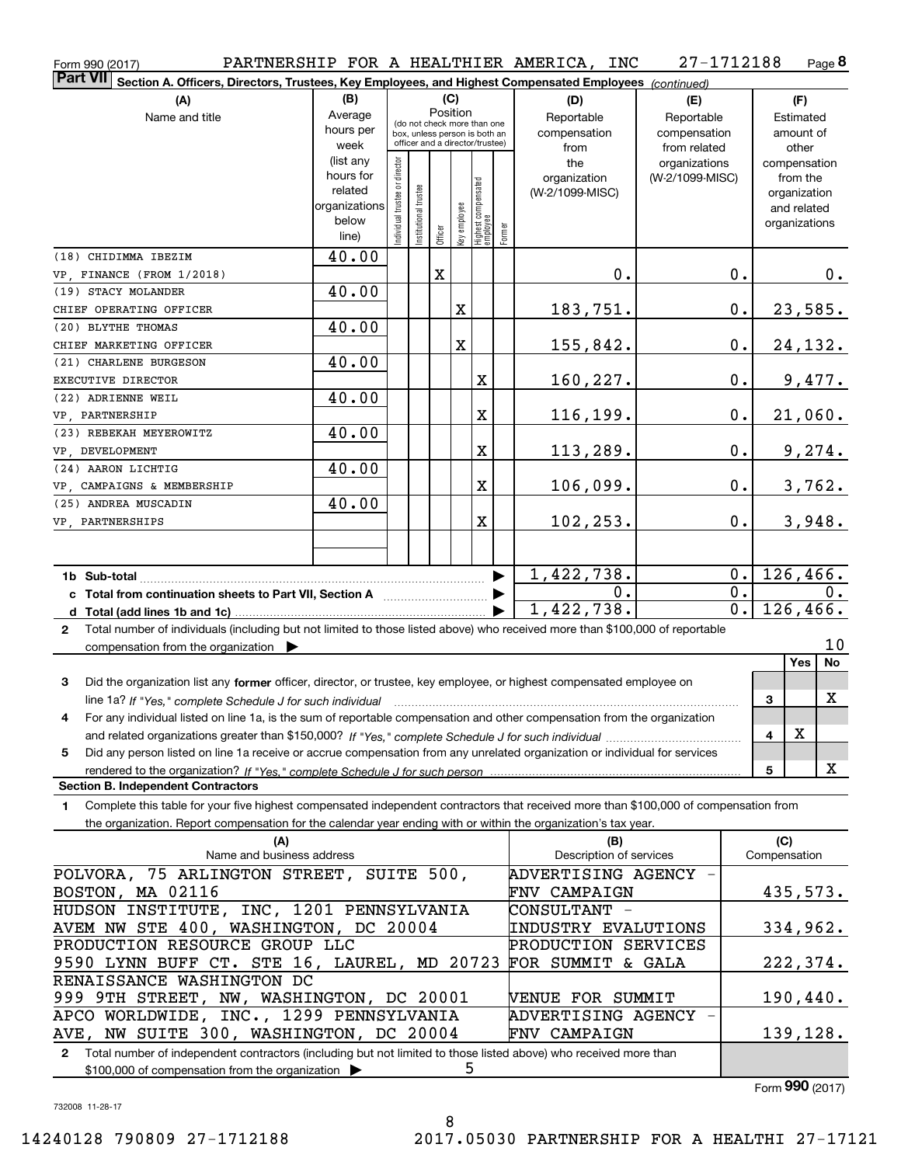| Form 990 (2017)                                                                                                                              |                        |                               |                       |                                         |   |                                                           | PARTNERSHIP FOR A HEALTHIER AMERICA, INC | 27-1712188      |                  |              | Page 8         |
|----------------------------------------------------------------------------------------------------------------------------------------------|------------------------|-------------------------------|-----------------------|-----------------------------------------|---|-----------------------------------------------------------|------------------------------------------|-----------------|------------------|--------------|----------------|
| <b>Part VII</b><br>Section A. Officers, Directors, Trustees, Key Employees, and Highest Compensated Employees (continued)                    |                        |                               |                       |                                         |   |                                                           |                                          |                 |                  |              |                |
| (A)                                                                                                                                          | (B)                    |                               |                       | (C)                                     |   |                                                           | (D)                                      | (E)             |                  |              | (F)            |
| Name and title                                                                                                                               | Average                |                               |                       | Position<br>(do not check more than one |   |                                                           | Reportable                               | Reportable      |                  | Estimated    |                |
|                                                                                                                                              | hours per              |                               |                       | box, unless person is both an           |   |                                                           | compensation                             | compensation    |                  |              | amount of      |
|                                                                                                                                              | week                   |                               |                       | officer and a director/trustee)         |   |                                                           | from                                     | from related    |                  |              | other          |
|                                                                                                                                              | (list any<br>hours for |                               |                       |                                         |   |                                                           | the                                      | organizations   |                  |              | compensation   |
|                                                                                                                                              | related                |                               |                       |                                         |   |                                                           | organization<br>(W-2/1099-MISC)          | (W-2/1099-MISC) |                  | from the     |                |
|                                                                                                                                              | organizations          |                               |                       |                                         |   |                                                           |                                          |                 |                  | and related  | organization   |
|                                                                                                                                              | below                  | ndividual trustee or director | Institutional trustee |                                         |   |                                                           |                                          |                 |                  |              | organizations  |
|                                                                                                                                              | line)                  |                               |                       | Officer                                 |   | key employee<br>Highest compensated<br>employee<br>Former |                                          |                 |                  |              |                |
| (18) CHIDIMMA IBEZIM                                                                                                                         | 40.00                  |                               |                       |                                         |   |                                                           |                                          |                 |                  |              |                |
| VP, FINANCE (FROM 1/2018)                                                                                                                    |                        |                               |                       | x                                       |   |                                                           | 0.                                       |                 | $0$ .            |              | $0$ .          |
| (19) STACY MOLANDER                                                                                                                          | 40.00                  |                               |                       |                                         |   |                                                           |                                          |                 |                  |              |                |
| CHIEF OPERATING OFFICER                                                                                                                      |                        |                               |                       |                                         | X |                                                           | 183,751.                                 |                 | $\mathbf 0$ .    |              | 23,585.        |
| (20) BLYTHE THOMAS                                                                                                                           | 40.00                  |                               |                       |                                         |   |                                                           |                                          |                 |                  |              |                |
| CHIEF MARKETING OFFICER                                                                                                                      |                        |                               |                       |                                         | X |                                                           | 155,842.                                 |                 | 0.               |              | <u>24,132.</u> |
| (21) CHARLENE BURGESON                                                                                                                       | 40.00                  |                               |                       |                                         |   |                                                           |                                          |                 |                  |              |                |
| EXECUTIVE DIRECTOR                                                                                                                           |                        |                               |                       |                                         |   | X                                                         | 160,227.                                 |                 | 0.               |              | 9,477.         |
| (22) ADRIENNE WEIL                                                                                                                           | 40.00                  |                               |                       |                                         |   |                                                           |                                          |                 |                  |              |                |
| VP, PARTNERSHIP                                                                                                                              |                        |                               |                       |                                         |   | X                                                         | 116,199.                                 |                 | 0.               |              | 21,060.        |
| (23) REBEKAH MEYEROWITZ                                                                                                                      | 40.00                  |                               |                       |                                         |   |                                                           |                                          |                 |                  |              |                |
| VP , DEVELOPMENT                                                                                                                             |                        |                               |                       |                                         |   | X                                                         | 113,289.                                 |                 | 0.               |              | 9,274.         |
| (24) AARON LICHTIG                                                                                                                           | 40.00                  |                               |                       |                                         |   |                                                           |                                          |                 |                  |              |                |
| VP, CAMPAIGNS & MEMBERSHIP                                                                                                                   |                        |                               |                       |                                         |   | X                                                         | 106,099.                                 |                 | 0.               |              | 3,762.         |
| (25) ANDREA MUSCADIN                                                                                                                         | 40.00                  |                               |                       |                                         |   |                                                           |                                          |                 |                  |              |                |
| VP, PARTNERSHIPS                                                                                                                             |                        |                               |                       |                                         |   | X                                                         | 102, 253.                                |                 | 0.               |              | 3,948.         |
|                                                                                                                                              |                        |                               |                       |                                         |   |                                                           |                                          |                 |                  |              |                |
|                                                                                                                                              |                        |                               |                       |                                         |   |                                                           |                                          |                 |                  |              |                |
|                                                                                                                                              |                        |                               |                       |                                         |   |                                                           | 1,422,738.                               |                 | 0.               |              | 126,466.       |
| c Total from continuation sheets to Part VII, Section A [111] [120] [20]                                                                     |                        |                               |                       |                                         |   |                                                           | 0.                                       |                 | $\overline{0}$ . |              | 0.             |
|                                                                                                                                              |                        |                               |                       |                                         |   |                                                           | 1,422,738.                               |                 | $\overline{0}$ . |              | 126,466.       |
| Total number of individuals (including but not limited to those listed above) who received more than \$100,000 of reportable<br>$\mathbf{2}$ |                        |                               |                       |                                         |   |                                                           |                                          |                 |                  |              |                |
| compensation from the organization $\blacktriangleright$                                                                                     |                        |                               |                       |                                         |   |                                                           |                                          |                 |                  |              | 10<br>Yes      |
|                                                                                                                                              |                        |                               |                       |                                         |   |                                                           |                                          |                 |                  |              | No             |
| 3<br>Did the organization list any former officer, director, or trustee, key employee, or highest compensated employee on                    |                        |                               |                       |                                         |   |                                                           |                                          |                 |                  |              | X              |
| line 1a? If "Yes," complete Schedule J for such individual manufactured contained and the Ves," complete Schedule J for such individual      |                        |                               |                       |                                         |   |                                                           |                                          |                 |                  | 3            |                |
| For any individual listed on line 1a, is the sum of reportable compensation and other compensation from the organization                     |                        |                               |                       |                                         |   |                                                           |                                          |                 |                  |              | X              |
|                                                                                                                                              |                        |                               |                       |                                         |   |                                                           |                                          |                 |                  | 4            |                |
| Did any person listed on line 1a receive or accrue compensation from any unrelated organization or individual for services<br>5              |                        |                               |                       |                                         |   |                                                           |                                          |                 |                  |              | X              |
| rendered to the organization? If "Yes." complete Schedule J for such person<br><b>Section B. Independent Contractors</b>                     |                        |                               |                       |                                         |   |                                                           |                                          |                 |                  | 5            |                |
| Complete this table for your five highest compensated independent contractors that received more than \$100,000 of compensation from<br>1    |                        |                               |                       |                                         |   |                                                           |                                          |                 |                  |              |                |
| the organization. Report compensation for the calendar year ending with or within the organization's tax year.                               |                        |                               |                       |                                         |   |                                                           |                                          |                 |                  |              |                |
| (A)                                                                                                                                          |                        |                               |                       |                                         |   |                                                           | (B)                                      |                 |                  | (C)          |                |
| Name and business address                                                                                                                    |                        |                               |                       |                                         |   |                                                           | Description of services                  |                 |                  | Compensation |                |
| POLVORA, 75 ARLINGTON STREET, SUITE 500,                                                                                                     |                        |                               |                       |                                         |   |                                                           | ADVERTISING AGENCY                       |                 |                  |              |                |
| BOSTON, MA 02116                                                                                                                             |                        |                               |                       |                                         |   |                                                           | <b>FNV CAMPAIGN</b>                      |                 |                  |              | 435,573.       |
| HUDSON INSTITUTE, INC, 1201 PENNSYLVANIA                                                                                                     |                        |                               |                       |                                         |   |                                                           | CONSULTANT -                             |                 |                  |              |                |
| AVEM NW STE 400, WASHINGTON, DC 20004                                                                                                        |                        |                               |                       |                                         |   |                                                           | INDUSTRY EVALUTIONS                      |                 |                  |              | 334,962.       |
| PRODUCTION RESOURCE GROUP LLC                                                                                                                |                        |                               |                       |                                         |   |                                                           | PRODUCTION SERVICES                      |                 |                  |              |                |
| 9590 LYNN BUFF CT. STE 16, LAUREL, MD 20723                                                                                                  |                        |                               |                       |                                         |   |                                                           | FOR SUMMIT & GALA                        |                 |                  |              | 222,374.       |
| RENAISSANCE WASHINGTON DC                                                                                                                    |                        |                               |                       |                                         |   |                                                           |                                          |                 |                  |              |                |
| 999 9TH STREET, NW, WASHINGTON, DC 20001                                                                                                     |                        |                               |                       |                                         |   |                                                           | VENUE FOR SUMMIT                         |                 |                  |              | 190,440.       |
| APCO WORLDWIDE, INC., 1299 PENNSYLVANIA                                                                                                      |                        |                               |                       |                                         |   |                                                           | ADVERTISING AGENCY                       |                 |                  |              |                |
| AVE, NW SUITE 300, WASHINGTON, DC 20004                                                                                                      |                        |                               |                       |                                         |   |                                                           | <b>FNV CAMPAIGN</b>                      |                 |                  |              | 139,128.       |
|                                                                                                                                              |                        |                               |                       |                                         |   |                                                           |                                          |                 |                  |              |                |

**2**Total number of independent contractors (including but not limited to those listed above) who received more than \$100,000 of compensation from the organization 5

Form (2017) **990**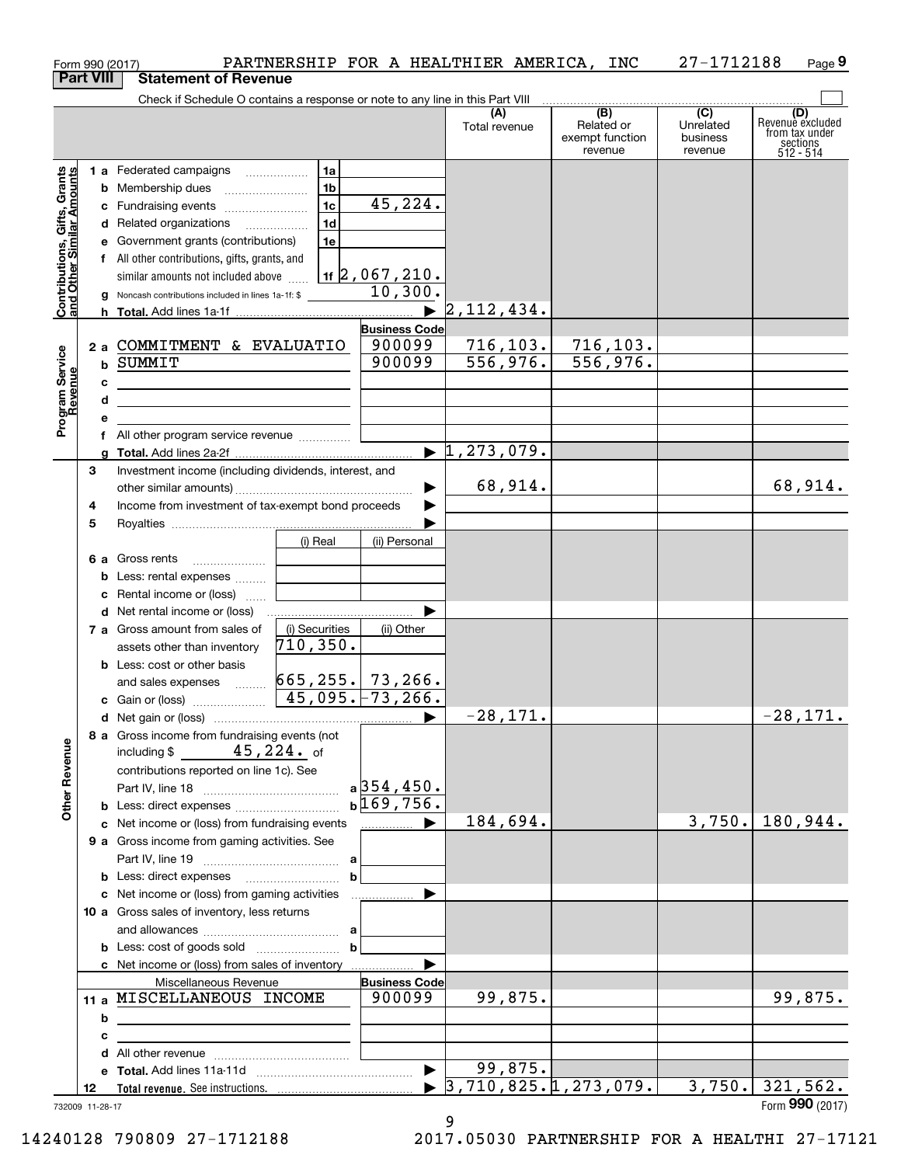| Form 990 (2017)                                           |    |   |                                                                                                                      |                     |                              | PARTNERSHIP FOR A HEALTHIER AMERICA, INC   |                                                 | 27-1712188                                         | Page 9                                                             |
|-----------------------------------------------------------|----|---|----------------------------------------------------------------------------------------------------------------------|---------------------|------------------------------|--------------------------------------------|-------------------------------------------------|----------------------------------------------------|--------------------------------------------------------------------|
| <b>Part VIII</b>                                          |    |   | <b>Statement of Revenue</b>                                                                                          |                     |                              |                                            |                                                 |                                                    |                                                                    |
|                                                           |    |   | Check if Schedule O contains a response or note to any line in this Part VIII                                        |                     |                              | (A)<br>Total revenue                       | (B)<br>Related or<br>exempt function<br>revenue | $\overline{C}$<br>Unrelated<br>business<br>revenue | (D)<br>Revenue excluded<br>from tax under<br>sections<br>512 - 514 |
|                                                           |    |   | 1 a Federated campaigns                                                                                              | 1a                  |                              |                                            |                                                 |                                                    |                                                                    |
| Contributions, Gifts, Grants<br>and Other Similar Amounts |    |   |                                                                                                                      | 1 <sub>b</sub>      |                              |                                            |                                                 |                                                    |                                                                    |
|                                                           |    |   | c Fundraising events                                                                                                 | 1c                  | 45,224.                      |                                            |                                                 |                                                    |                                                                    |
|                                                           |    |   | d Related organizations                                                                                              | 1d                  |                              |                                            |                                                 |                                                    |                                                                    |
|                                                           |    |   | e Government grants (contributions)                                                                                  | 1e                  |                              |                                            |                                                 |                                                    |                                                                    |
|                                                           |    |   | f All other contributions, gifts, grants, and                                                                        |                     |                              |                                            |                                                 |                                                    |                                                                    |
|                                                           |    |   | similar amounts not included above                                                                                   |                     | 1f $\sqrt{2}$ , 067, 210.    |                                            |                                                 |                                                    |                                                                    |
|                                                           |    | g | Noncash contributions included in lines 1a-1f: \$                                                                    |                     | 10,300.                      |                                            |                                                 |                                                    |                                                                    |
|                                                           |    |   |                                                                                                                      |                     |                              | 2,112,434.                                 |                                                 |                                                    |                                                                    |
|                                                           |    |   |                                                                                                                      |                     | <b>Business Code</b>         |                                            |                                                 |                                                    |                                                                    |
|                                                           |    |   | 2 a COMMITMENT & EVALUATIO                                                                                           |                     | 900099                       | 716, 103.                                  | 716, 103.                                       |                                                    |                                                                    |
|                                                           |    |   | <b>b SUMMIT</b>                                                                                                      |                     | 900099                       | 556, 976.                                  | 556,976.                                        |                                                    |                                                                    |
|                                                           |    | с | <u> 1989 - Johann Stein, marwolaethau (b. 1989)</u>                                                                  |                     |                              |                                            |                                                 |                                                    |                                                                    |
| Program Service<br>Revenue                                |    | d | the control of the control of the control of the control of the control of                                           |                     |                              |                                            |                                                 |                                                    |                                                                    |
|                                                           |    | е |                                                                                                                      |                     |                              |                                            |                                                 |                                                    |                                                                    |
|                                                           |    |   | f All other program service revenue                                                                                  |                     |                              |                                            |                                                 |                                                    |                                                                    |
|                                                           |    |   |                                                                                                                      |                     |                              | $\blacktriangleright$ 1,273,079.           |                                                 |                                                    |                                                                    |
|                                                           | 3  |   | Investment income (including dividends, interest, and                                                                |                     |                              |                                            |                                                 |                                                    |                                                                    |
|                                                           |    |   |                                                                                                                      |                     |                              | 68,914.                                    |                                                 |                                                    | 68,914.                                                            |
|                                                           | 4  |   | Income from investment of tax-exempt bond proceeds                                                                   |                     |                              |                                            |                                                 |                                                    |                                                                    |
|                                                           | 5  |   |                                                                                                                      |                     |                              |                                            |                                                 |                                                    |                                                                    |
|                                                           |    |   |                                                                                                                      | (i) Real            | (ii) Personal                |                                            |                                                 |                                                    |                                                                    |
|                                                           |    |   | 6 a Gross rents                                                                                                      |                     |                              |                                            |                                                 |                                                    |                                                                    |
|                                                           |    |   | <b>b</b> Less: rental expenses                                                                                       |                     |                              |                                            |                                                 |                                                    |                                                                    |
|                                                           |    |   | c Rental income or (loss)                                                                                            |                     |                              |                                            |                                                 |                                                    |                                                                    |
|                                                           |    |   |                                                                                                                      |                     |                              |                                            |                                                 |                                                    |                                                                    |
|                                                           |    |   | 7 a Gross amount from sales of                                                                                       | (i) Securities      | (ii) Other                   |                                            |                                                 |                                                    |                                                                    |
|                                                           |    |   | assets other than inventory                                                                                          | $\sqrt{710}$ , 350. |                              |                                            |                                                 |                                                    |                                                                    |
|                                                           |    |   | <b>b</b> Less: cost or other basis                                                                                   |                     |                              |                                            |                                                 |                                                    |                                                                    |
|                                                           |    |   | and sales expenses  665, 255. 73, 266.                                                                               |                     |                              |                                            |                                                 |                                                    |                                                                    |
|                                                           |    |   |                                                                                                                      |                     | $45,095.$ $-73,266.$         |                                            |                                                 |                                                    |                                                                    |
|                                                           |    |   |                                                                                                                      |                     |                              | $-28,171.$                                 |                                                 |                                                    | $-28,171.$                                                         |
|                                                           |    |   | 8 a Gross income from fundraising events (not                                                                        |                     |                              |                                            |                                                 |                                                    |                                                                    |
|                                                           |    |   | including \$ $45,224$ of                                                                                             |                     |                              |                                            |                                                 |                                                    |                                                                    |
|                                                           |    |   | contributions reported on line 1c). See                                                                              |                     |                              |                                            |                                                 |                                                    |                                                                    |
| <b>Other Revenue</b>                                      |    |   |                                                                                                                      |                     | $a$ 354,450.<br>$b$ 169,756. |                                            |                                                 |                                                    |                                                                    |
|                                                           |    |   | c Net income or (loss) from fundraising events                                                                       |                     |                              | 184,694.                                   |                                                 | 3,750.                                             | 180,944.                                                           |
|                                                           |    |   | 9 a Gross income from gaming activities. See                                                                         |                     |                              |                                            |                                                 |                                                    |                                                                    |
|                                                           |    |   |                                                                                                                      |                     |                              |                                            |                                                 |                                                    |                                                                    |
|                                                           |    |   |                                                                                                                      |                     | $\mathbf b$                  |                                            |                                                 |                                                    |                                                                    |
|                                                           |    |   |                                                                                                                      |                     |                              |                                            |                                                 |                                                    |                                                                    |
|                                                           |    |   | 10 a Gross sales of inventory, less returns                                                                          |                     |                              |                                            |                                                 |                                                    |                                                                    |
|                                                           |    |   |                                                                                                                      |                     |                              |                                            |                                                 |                                                    |                                                                    |
|                                                           |    |   |                                                                                                                      | $\mathbf b$         |                              |                                            |                                                 |                                                    |                                                                    |
|                                                           |    |   |                                                                                                                      |                     |                              |                                            |                                                 |                                                    |                                                                    |
|                                                           |    |   | Miscellaneous Revenue                                                                                                |                     | <b>Business Code</b>         |                                            |                                                 |                                                    |                                                                    |
|                                                           |    |   | 11 a MISCELLANEOUS INCOME                                                                                            |                     | 900099                       | 99,875.                                    |                                                 |                                                    | 99,875.                                                            |
|                                                           |    | b | <u> 1989 - Johann Stein, marwolaethau a bhann an t-Amhair an t-Amhair an t-Amhair an t-Amhair an t-Amhair an t-A</u> |                     |                              |                                            |                                                 |                                                    |                                                                    |
|                                                           |    | с | the control of the control of the control of the control of the control of                                           |                     |                              |                                            |                                                 |                                                    |                                                                    |
|                                                           |    |   |                                                                                                                      |                     |                              |                                            |                                                 |                                                    |                                                                    |
|                                                           |    |   |                                                                                                                      |                     |                              | 99,875.                                    |                                                 |                                                    |                                                                    |
|                                                           |    |   |                                                                                                                      |                     |                              |                                            |                                                 |                                                    |                                                                    |
|                                                           | 12 |   |                                                                                                                      |                     |                              | $\blacktriangleright$ 3,710,825.1,273,079. |                                                 |                                                    | $3,750.$ 321,562.<br>Form 990 (2017)                               |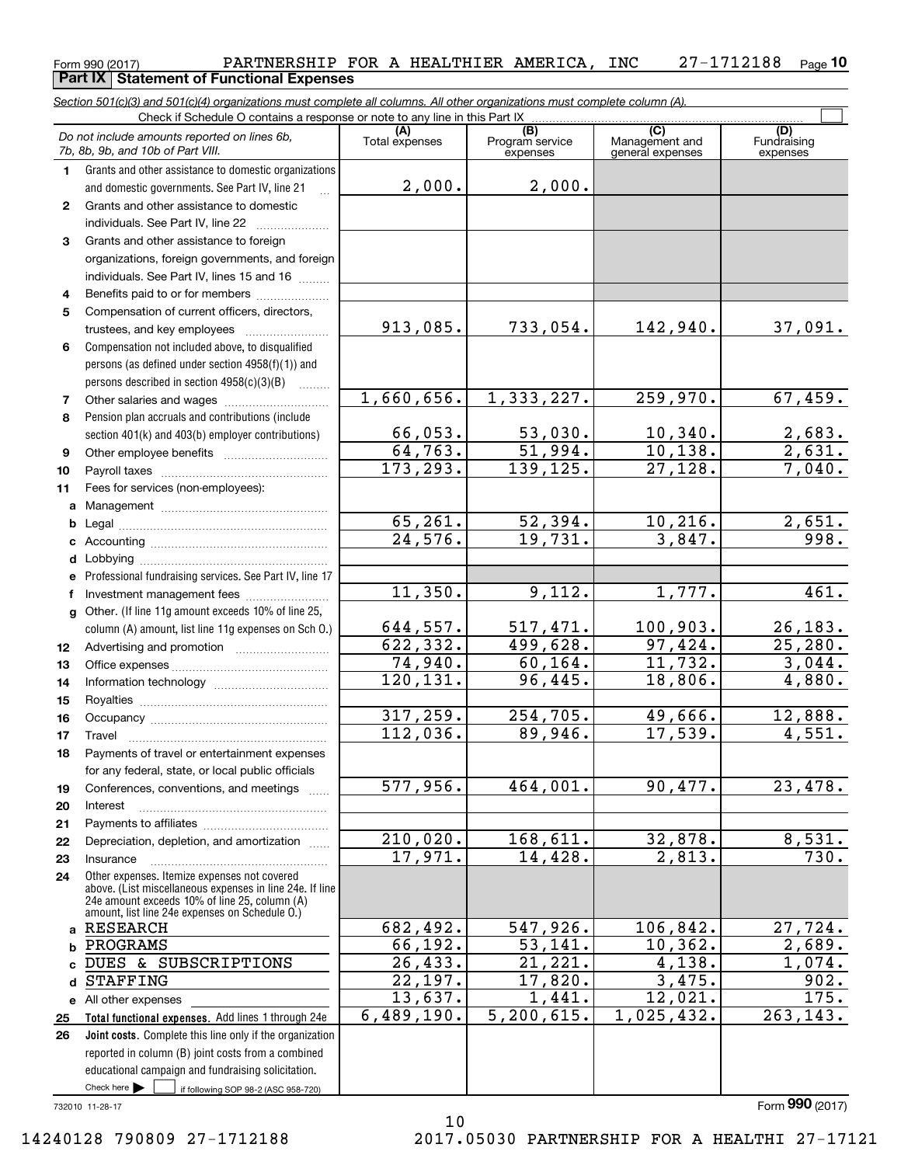# Form 990 (2017) Page **10** PARTNERSHIP FOR A HEALTHIER AMERICA, INC 27-1712188 **Part IX** Statement of Functional Expenses<br>Section 501(c)(3) and 501(c)(4) organizations must complete all columns. All other experienties

|              | <u>Section 501(c)(3) and 501(c)(4) organizations must complete all columns. All other organizations must complete column (A).</u><br>Check if Schedule O contains a response or note to any line in this Part IX |                        |                                    |                                           |                           |
|--------------|------------------------------------------------------------------------------------------------------------------------------------------------------------------------------------------------------------------|------------------------|------------------------------------|-------------------------------------------|---------------------------|
|              |                                                                                                                                                                                                                  |                        |                                    |                                           | (D)                       |
|              | Do not include amounts reported on lines 6b,<br>7b, 8b, 9b, and 10b of Part VIII.                                                                                                                                | (A)<br>Total expenses  | (B)<br>Program service<br>expenses | (C)<br>Management and<br>general expenses | Fundraising<br>expenses   |
| $\mathbf 1$  | Grants and other assistance to domestic organizations                                                                                                                                                            |                        |                                    |                                           |                           |
|              | and domestic governments. See Part IV, line 21                                                                                                                                                                   | 2,000.                 | 2,000.                             |                                           |                           |
| $\mathbf{2}$ | Grants and other assistance to domestic                                                                                                                                                                          |                        |                                    |                                           |                           |
|              | individuals. See Part IV, line 22                                                                                                                                                                                |                        |                                    |                                           |                           |
| 3            | Grants and other assistance to foreign                                                                                                                                                                           |                        |                                    |                                           |                           |
|              | organizations, foreign governments, and foreign                                                                                                                                                                  |                        |                                    |                                           |                           |
|              | individuals. See Part IV, lines 15 and 16                                                                                                                                                                        |                        |                                    |                                           |                           |
| 4            | Benefits paid to or for members                                                                                                                                                                                  |                        |                                    |                                           |                           |
| 5            | Compensation of current officers, directors,                                                                                                                                                                     |                        |                                    |                                           |                           |
|              | trustees, and key employees                                                                                                                                                                                      | 913,085.               | 733,054.                           | 142,940.                                  | 37,091.                   |
| 6            | Compensation not included above, to disqualified                                                                                                                                                                 |                        |                                    |                                           |                           |
|              | persons (as defined under section 4958(f)(1)) and                                                                                                                                                                |                        |                                    |                                           |                           |
|              | persons described in section 4958(c)(3)(B)                                                                                                                                                                       |                        |                                    |                                           |                           |
| 7            | Other salaries and wages                                                                                                                                                                                         | 1,660,656.             | 1,333,227.                         | 259,970.                                  | 67,459.                   |
| 8            | Pension plan accruals and contributions (include                                                                                                                                                                 |                        |                                    |                                           |                           |
|              | section 401(k) and 403(b) employer contributions)                                                                                                                                                                | 66,053.                | $\frac{53,030.}{51,994.}$          | 10,340.                                   | $\frac{2,683}{2,631}$     |
| 9            |                                                                                                                                                                                                                  | 64,763.                |                                    | 10, 138.                                  |                           |
| 10           |                                                                                                                                                                                                                  | 173, 293.              | 139, 125.                          | 27,128.                                   | 7,040.                    |
| 11           | Fees for services (non-employees):                                                                                                                                                                               |                        |                                    |                                           |                           |
|              |                                                                                                                                                                                                                  |                        |                                    |                                           |                           |
| b            |                                                                                                                                                                                                                  | 65, 261.               | 52,394.<br>19,731.                 | 10, 216.                                  | 2,651.                    |
|              |                                                                                                                                                                                                                  | $\overline{24,576}$ .  |                                    | 3,847.                                    | 998.                      |
|              |                                                                                                                                                                                                                  |                        |                                    |                                           |                           |
|              | e Professional fundraising services. See Part IV, line 17                                                                                                                                                        | 11,350.                | 9,112.                             | 1,777.                                    | 461.                      |
| f            | Investment management fees                                                                                                                                                                                       |                        |                                    |                                           |                           |
| g            | Other. (If line 11g amount exceeds 10% of line 25,                                                                                                                                                               | <u>644,557.</u>        | <u>517,471.</u>                    |                                           |                           |
|              | column (A) amount, list line 11g expenses on Sch O.)                                                                                                                                                             | 622, 332.              | 499,628.                           | $\frac{100,903.}{97,424.}$                | $\frac{26,183.}{25,280.}$ |
| 12<br>13     |                                                                                                                                                                                                                  | 74,940.                | 60, 164.                           | 11,732.                                   | 3,044.                    |
| 14           |                                                                                                                                                                                                                  | 120, 131.              | 96,445.                            | 18,806.                                   | 4,880.                    |
| 15           |                                                                                                                                                                                                                  |                        |                                    |                                           |                           |
| 16           |                                                                                                                                                                                                                  | 317,259.               | 254,705.                           | 49,666.                                   | 12,888.                   |
| 17           | Travel                                                                                                                                                                                                           | $\overline{112,036}$ . | 89,946.                            | 17,539.                                   | 4,551.                    |
| 18           | Payments of travel or entertainment expenses                                                                                                                                                                     |                        |                                    |                                           |                           |
|              | for any federal, state, or local public officials                                                                                                                                                                |                        |                                    |                                           |                           |
| 19           | Conferences, conventions, and meetings                                                                                                                                                                           | 577,956.               | 464,001.                           | 90,477.                                   | 23,478.                   |
| 20           | Interest                                                                                                                                                                                                         |                        |                                    |                                           |                           |
| 21           |                                                                                                                                                                                                                  |                        |                                    |                                           |                           |
| 22           | Depreciation, depletion, and amortization                                                                                                                                                                        | 210,020.               | 168,611.                           | <u>32,878.</u>                            | 8,531.                    |
| 23           | Insurance                                                                                                                                                                                                        | 17,971.                | 14,428.                            | 2,813.                                    | 730.                      |
| 24           | Other expenses. Itemize expenses not covered<br>above. (List miscellaneous expenses in line 24e. If line                                                                                                         |                        |                                    |                                           |                           |
|              | 24e amount exceeds 10% of line 25, column (A)                                                                                                                                                                    |                        |                                    |                                           |                           |
|              | amount, list line 24e expenses on Schedule O.)                                                                                                                                                                   |                        |                                    |                                           |                           |
| a            | <b>RESEARCH</b>                                                                                                                                                                                                  | 682,492.               | 547,926.                           | 106,842.                                  | 27,724.                   |
|              | PROGRAMS                                                                                                                                                                                                         | 66,192.                | 53,141.                            | 10, 362.                                  | $\overline{2,689}$ .      |
|              | DUES & SUBSCRIPTIONS                                                                                                                                                                                             | 26,433.                | $\overline{21,221}$ .              | 4,138.<br>3,475.                          | 1,074.<br>902.            |
| d            | <b>STAFFING</b>                                                                                                                                                                                                  | 22,197.<br>13,637.     | 17,820.<br>1,441.                  | 12,021.                                   | 175.                      |
|              | e All other expenses                                                                                                                                                                                             | 6,489,190.             | 5,200,615.                         | 1,025,432.                                | 263,143.                  |
| 25<br>26     | Total functional expenses. Add lines 1 through 24e<br>Joint costs. Complete this line only if the organization                                                                                                   |                        |                                    |                                           |                           |
|              | reported in column (B) joint costs from a combined                                                                                                                                                               |                        |                                    |                                           |                           |
|              | educational campaign and fundraising solicitation.                                                                                                                                                               |                        |                                    |                                           |                           |
|              | Check here $\blacktriangleright$<br>if following SOP 98-2 (ASC 958-720)                                                                                                                                          |                        |                                    |                                           |                           |
|              |                                                                                                                                                                                                                  |                        |                                    |                                           |                           |

732010 11-28-17

Form (2017) **990**

10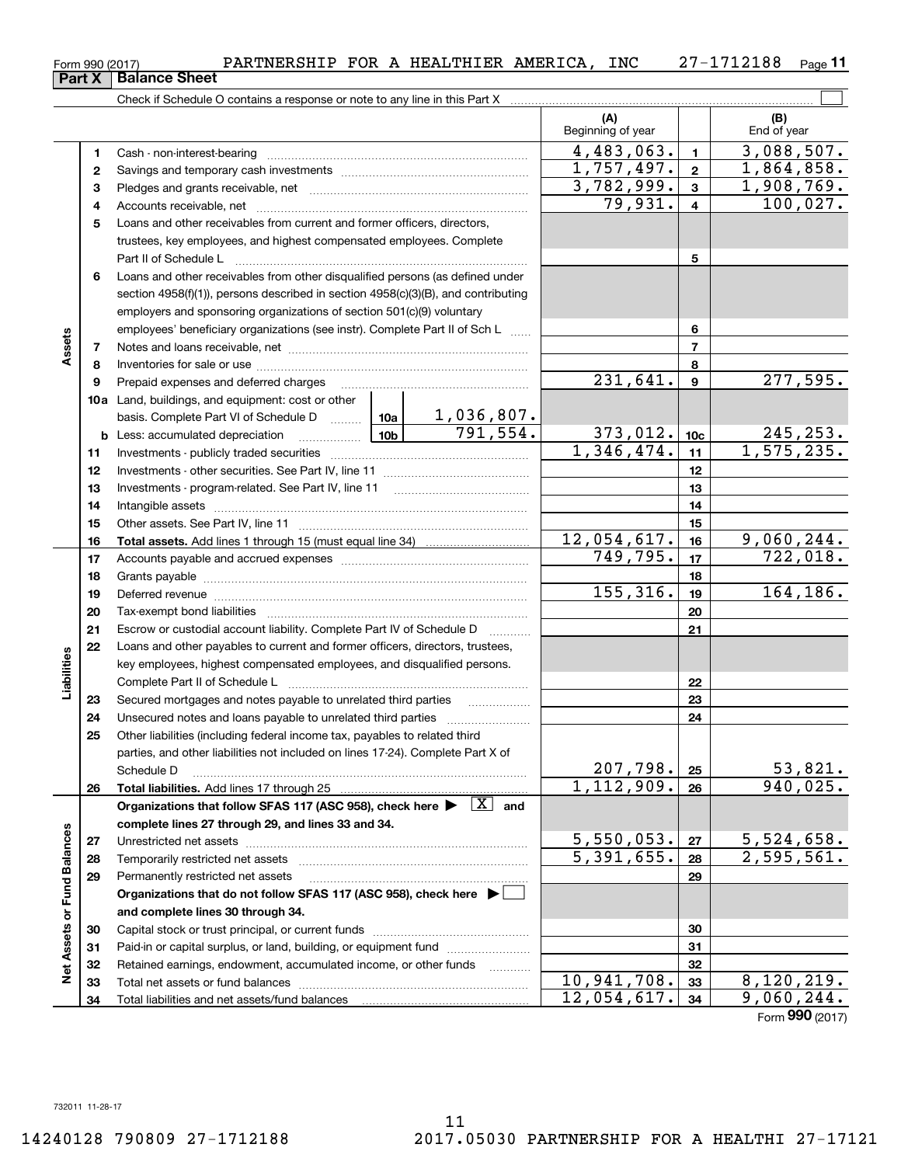| Form 990 (2017) | PARTNERSHIP | <b>FOR</b><br>A | HEALTHIER | AMERICA | INC | 188.<br>ິ<br>. . | Page |
|-----------------|-------------|-----------------|-----------|---------|-----|------------------|------|
|                 |             |                 |           |         |     |                  |      |

**11**

|                             |    | Check if Schedule O contains a response or note to any line in this Part X                                                                                                                                                     |                          |                       |                          |                          |                    |
|-----------------------------|----|--------------------------------------------------------------------------------------------------------------------------------------------------------------------------------------------------------------------------------|--------------------------|-----------------------|--------------------------|--------------------------|--------------------|
|                             |    |                                                                                                                                                                                                                                |                          |                       | (A)<br>Beginning of year |                          | (B)<br>End of year |
|                             | 1  |                                                                                                                                                                                                                                |                          |                       | 4,483,063.               | $\blacksquare$           | 3,088,507.         |
|                             | 2  |                                                                                                                                                                                                                                |                          |                       | $\overline{1,757,497}$ . | $\mathbf{2}$             | 1,864,858.         |
|                             | з  |                                                                                                                                                                                                                                | 3,782,999.               | $\mathbf{3}$          | 1,908,769.               |                          |                    |
|                             | 4  |                                                                                                                                                                                                                                |                          |                       | 79,931.                  | $\overline{\mathbf{4}}$  | 100,027.           |
|                             | 5  | Loans and other receivables from current and former officers, directors,                                                                                                                                                       |                          |                       |                          |                          |                    |
|                             |    | trustees, key employees, and highest compensated employees. Complete                                                                                                                                                           |                          |                       |                          |                          |                    |
|                             |    |                                                                                                                                                                                                                                |                          |                       |                          | 5                        |                    |
|                             | 6  | Loans and other receivables from other disqualified persons (as defined under                                                                                                                                                  |                          |                       |                          |                          |                    |
|                             |    | section 4958(f)(1)), persons described in section 4958(c)(3)(B), and contributing                                                                                                                                              |                          |                       |                          |                          |                    |
|                             |    | employers and sponsoring organizations of section 501(c)(9) voluntary                                                                                                                                                          |                          |                       |                          |                          |                    |
|                             |    | employees' beneficiary organizations (see instr). Complete Part II of Sch L                                                                                                                                                    |                          |                       |                          | 6                        |                    |
| Assets                      | 7  |                                                                                                                                                                                                                                |                          |                       |                          | $\overline{\phantom{a}}$ |                    |
|                             | 8  |                                                                                                                                                                                                                                |                          |                       |                          | 8                        |                    |
|                             | 9  | Prepaid expenses and deferred charges                                                                                                                                                                                          | $\overline{231,641}$ .   | $\boldsymbol{9}$      | 277,595.                 |                          |                    |
|                             |    | <b>10a</b> Land, buildings, and equipment: cost or other                                                                                                                                                                       |                          |                       |                          |                          |                    |
|                             |    | basis. Complete Part VI of Schedule D  10a                                                                                                                                                                                     |                          | <u>1,036,807.</u>     |                          |                          |                    |
|                             |    |                                                                                                                                                                                                                                |                          | $\overline{791,554.}$ | 373,012.                 | 10 <sub>c</sub>          | 245, 253.          |
|                             | 11 |                                                                                                                                                                                                                                |                          |                       | 1,346,474.               | 11                       | 1, 575, 235.       |
|                             | 12 |                                                                                                                                                                                                                                |                          |                       |                          | 12                       |                    |
|                             | 13 |                                                                                                                                                                                                                                |                          |                       |                          | 13                       |                    |
|                             | 14 |                                                                                                                                                                                                                                |                          | 14                    |                          |                          |                    |
|                             | 15 |                                                                                                                                                                                                                                |                          | 15                    |                          |                          |                    |
|                             | 16 |                                                                                                                                                                                                                                | 12,054,617.              | 16                    | 9,060,244.               |                          |                    |
|                             | 17 |                                                                                                                                                                                                                                | 749,795.                 | 17                    | 722,018.                 |                          |                    |
|                             | 18 |                                                                                                                                                                                                                                |                          | 18                    |                          |                          |                    |
|                             | 19 | Deferred revenue manual contracts and contracts are contracted and contract and contract are contracted and contract are contracted and contract are contracted and contract are contracted and contract are contracted and co | 155,316.                 | 19                    | 164,186.                 |                          |                    |
|                             | 20 |                                                                                                                                                                                                                                |                          | 20                    |                          |                          |                    |
|                             | 21 | Escrow or custodial account liability. Complete Part IV of Schedule D                                                                                                                                                          |                          |                       | 21                       |                          |                    |
|                             | 22 | Loans and other payables to current and former officers, directors, trustees,                                                                                                                                                  |                          |                       |                          |                          |                    |
| Liabilities                 |    | key employees, highest compensated employees, and disqualified persons.                                                                                                                                                        |                          |                       |                          |                          |                    |
|                             |    |                                                                                                                                                                                                                                |                          | 22                    |                          |                          |                    |
|                             | 23 | Secured mortgages and notes payable to unrelated third parties                                                                                                                                                                 |                          | 23                    |                          |                          |                    |
|                             | 24 |                                                                                                                                                                                                                                |                          |                       | 24                       |                          |                    |
|                             | 25 | Other liabilities (including federal income tax, payables to related third                                                                                                                                                     |                          |                       |                          |                          |                    |
|                             |    | parties, and other liabilities not included on lines 17-24). Complete Part X of                                                                                                                                                |                          |                       |                          |                          |                    |
|                             |    | Schedule D                                                                                                                                                                                                                     | 207,798.                 | 25                    | 53,821.                  |                          |                    |
|                             | 26 |                                                                                                                                                                                                                                | $\overline{1,112},909.$  | 26                    | 940,025.                 |                          |                    |
|                             |    | Organizations that follow SFAS 117 (ASC 958), check here $\blacktriangleright \begin{array}{c} \boxed{X} \\ \end{array}$ and                                                                                                   |                          |                       |                          |                          |                    |
|                             |    | complete lines 27 through 29, and lines 33 and 34.                                                                                                                                                                             |                          |                       |                          |                          |                    |
|                             | 27 |                                                                                                                                                                                                                                | 5,550,053.               | 27                    | 5,524,658.               |                          |                    |
|                             | 28 |                                                                                                                                                                                                                                | $\overline{5,391,655}$ . | 28                    | $\overline{2,595,561.}$  |                          |                    |
|                             | 29 | Permanently restricted net assets                                                                                                                                                                                              |                          |                       |                          | 29                       |                    |
|                             |    | Organizations that do not follow SFAS 117 (ASC 958), check here ▶                                                                                                                                                              |                          |                       |                          |                          |                    |
| Net Assets or Fund Balances |    | and complete lines 30 through 34.                                                                                                                                                                                              |                          |                       |                          |                          |                    |
|                             | 30 |                                                                                                                                                                                                                                |                          |                       |                          | 30                       |                    |
|                             | 31 | Paid-in or capital surplus, or land, building, or equipment fund                                                                                                                                                               |                          |                       |                          | 31                       |                    |
|                             | 32 | Retained earnings, endowment, accumulated income, or other funds                                                                                                                                                               |                          | .                     |                          | 32                       |                    |
|                             | 33 |                                                                                                                                                                                                                                |                          |                       | 10,941,708.              | 33                       | 8,120,219.         |
|                             | 34 |                                                                                                                                                                                                                                |                          |                       | 12,054,617.              | 34                       | 9,060,244.         |
|                             |    |                                                                                                                                                                                                                                |                          |                       |                          |                          | Form 990 (2017)    |

**Part X Balance Sheet**

|  | n 990 (2017) |  |
|--|--------------|--|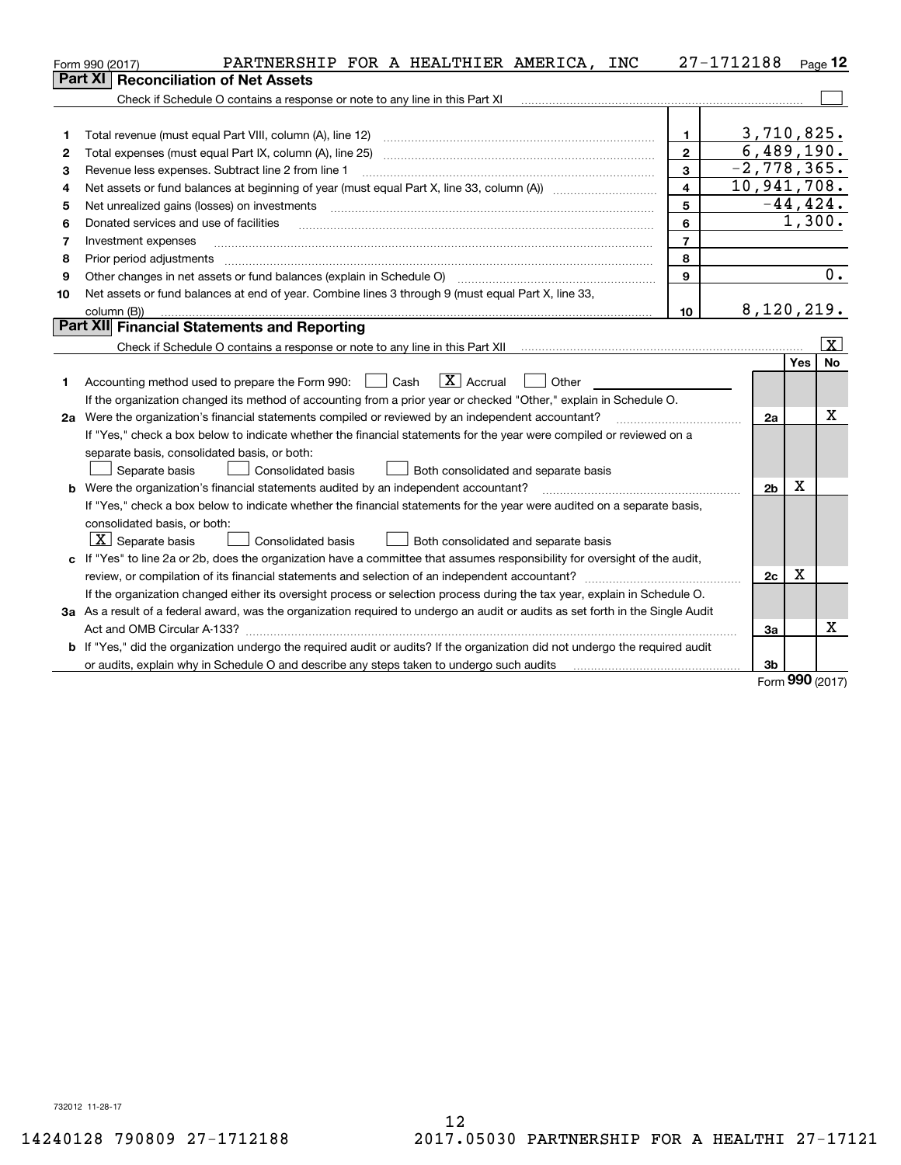|    | PARTNERSHIP FOR A HEALTHIER AMERICA, INC<br>Form 990 (2017)                                                                                                         |                | 27-1712188     |        | $Page$ 12   |
|----|---------------------------------------------------------------------------------------------------------------------------------------------------------------------|----------------|----------------|--------|-------------|
|    | Part XI<br><b>Reconciliation of Net Assets</b>                                                                                                                      |                |                |        |             |
|    | Check if Schedule O contains a response or note to any line in this Part XI                                                                                         |                |                |        |             |
|    |                                                                                                                                                                     |                |                |        |             |
| 1  | Total revenue (must equal Part VIII, column (A), line 12)                                                                                                           | $\mathbf{1}$   | 3,710,825.     |        |             |
| 2  |                                                                                                                                                                     | $\mathbf{2}$   | 6,489,190.     |        |             |
| з  | Revenue less expenses. Subtract line 2 from line 1                                                                                                                  | 3              | $-2,778,365.$  |        |             |
| 4  |                                                                                                                                                                     | $\overline{4}$ | 10,941,708.    |        |             |
| 5  | Net unrealized gains (losses) on investments                                                                                                                        | 5              |                |        | $-44, 424.$ |
| 6  | Donated services and use of facilities                                                                                                                              | 6              |                | 1,300. |             |
| 7  | Investment expenses                                                                                                                                                 | $\overline{7}$ |                |        |             |
| 8  | Prior period adjustments                                                                                                                                            | 8              |                |        |             |
| 9  |                                                                                                                                                                     | 9              |                |        | 0.          |
| 10 | Net assets or fund balances at end of year. Combine lines 3 through 9 (must equal Part X, line 33,                                                                  |                |                |        |             |
|    | column (B))                                                                                                                                                         | 10             | 8,120,219.     |        |             |
|    | Part XII Financial Statements and Reporting                                                                                                                         |                |                |        |             |
|    | Check if Schedule O contains a response or note to any line in this Part XII [11] [12] Check if Schedule O contains a response or note to any line in this Part XII |                |                |        | x           |
|    |                                                                                                                                                                     |                |                | Yes    | No          |
| 1  | $\boxed{\mathbf{X}}$ Accrual<br>Accounting method used to prepare the Form 990: <u>I</u> Cash<br>Other                                                              |                |                |        |             |
|    | If the organization changed its method of accounting from a prior year or checked "Other," explain in Schedule O.                                                   |                |                |        |             |
|    | 2a Were the organization's financial statements compiled or reviewed by an independent accountant?                                                                  |                | 2a             |        | Χ           |
|    | If "Yes," check a box below to indicate whether the financial statements for the year were compiled or reviewed on a                                                |                |                |        |             |
|    | separate basis, consolidated basis, or both:                                                                                                                        |                |                |        |             |
|    | Separate basis<br>Consolidated basis<br>Both consolidated and separate basis                                                                                        |                |                |        |             |
|    | <b>b</b> Were the organization's financial statements audited by an independent accountant?                                                                         |                | 2 <sub>b</sub> | X      |             |
|    | If "Yes," check a box below to indicate whether the financial statements for the year were audited on a separate basis,                                             |                |                |        |             |
|    | consolidated basis, or both:                                                                                                                                        |                |                |        |             |
|    | $X$ Separate basis<br>Consolidated basis<br>Both consolidated and separate basis                                                                                    |                |                |        |             |
|    | c If "Yes" to line 2a or 2b, does the organization have a committee that assumes responsibility for oversight of the audit,                                         |                |                |        |             |
|    |                                                                                                                                                                     |                | 2c             | X      |             |
|    | If the organization changed either its oversight process or selection process during the tax year, explain in Schedule O.                                           |                |                |        |             |
|    | 3a As a result of a federal award, was the organization required to undergo an audit or audits as set forth in the Single Audit                                     |                |                |        |             |
|    |                                                                                                                                                                     |                | За             |        | x           |
|    | b If "Yes," did the organization undergo the required audit or audits? If the organization did not undergo the required audit                                       |                |                |        |             |
|    | or audits, explain why in Schedule O and describe any steps taken to undergo such audits                                                                            |                | 3b             | nnn –  |             |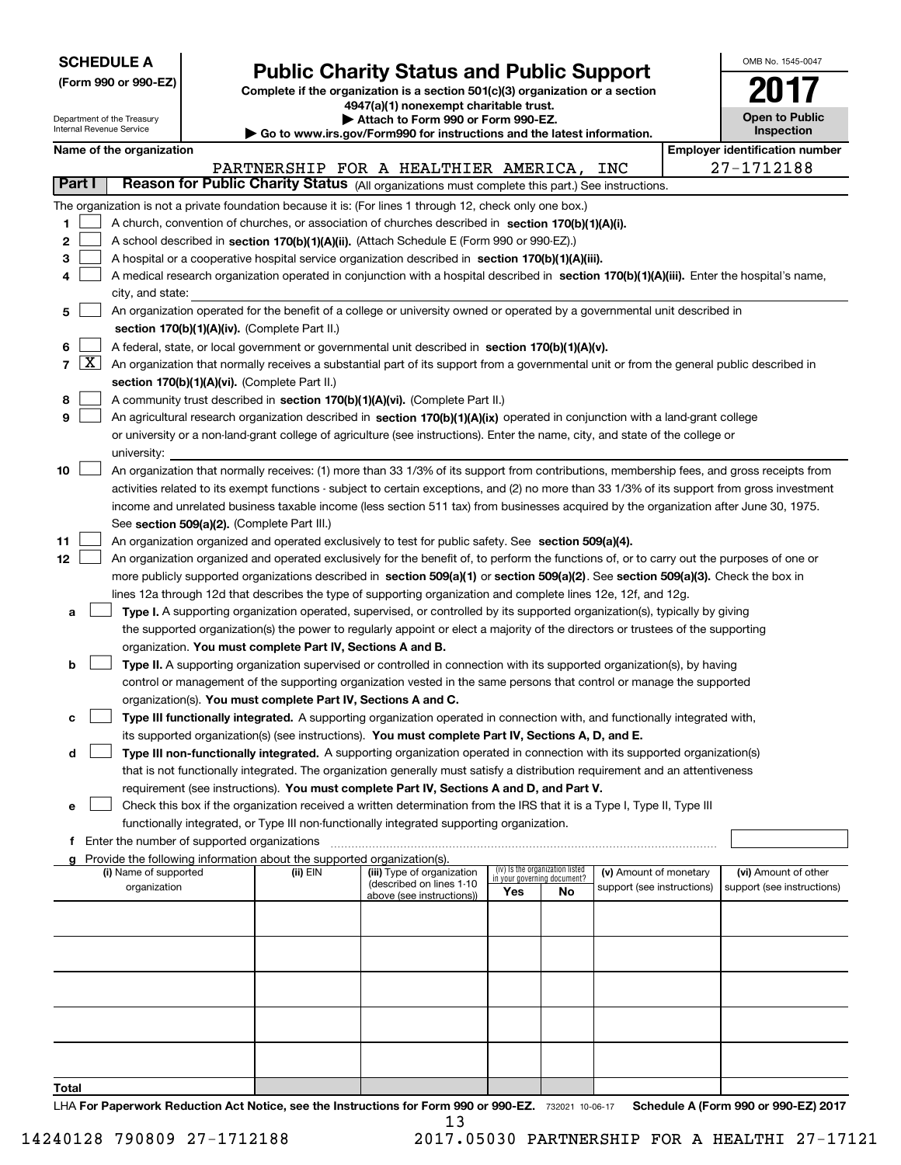|--|

|  |  | (Form 990 or 990-EZ) |  |  |  |  |
|--|--|----------------------|--|--|--|--|
|--|--|----------------------|--|--|--|--|

# **Public Charity Status and Public Support**

**Complete if the organization is a section 501(c)(3) organization or a section 4947(a)(1) nonexempt charitable trust. | Attach to Form 990 or Form 990-EZ.** 

|  | o www.irs.qov/Form990 for instructions and the latest information. |  |
|--|--------------------------------------------------------------------|--|
|  |                                                                    |  |

| OMB No 1545-0047                    |
|-------------------------------------|
|                                     |
| <b>Open to Public</b><br>Inspection |

|        |            | Department of the Treasury<br>Internal Revenue Service |                                                                                    | Attach to Form 990 or Form 990-EZ.<br>Go to www.irs.gov/Form990 for instructions and the latest information.                                                                                                  |                                    |                                 |                            | <b>Open to Public</b><br><b>Inspection</b> |
|--------|------------|--------------------------------------------------------|------------------------------------------------------------------------------------|---------------------------------------------------------------------------------------------------------------------------------------------------------------------------------------------------------------|------------------------------------|---------------------------------|----------------------------|--------------------------------------------|
|        |            | Name of the organization                               |                                                                                    |                                                                                                                                                                                                               |                                    |                                 |                            | <b>Employer identification number</b>      |
|        |            |                                                        |                                                                                    | PARTNERSHIP FOR A HEALTHIER AMERICA, INC                                                                                                                                                                      |                                    |                                 |                            | 27-1712188                                 |
|        | Part I     |                                                        |                                                                                    | Reason for Public Charity Status (All organizations must complete this part.) See instructions.                                                                                                               |                                    |                                 |                            |                                            |
|        |            |                                                        |                                                                                    | The organization is not a private foundation because it is: (For lines 1 through 12, check only one box.)                                                                                                     |                                    |                                 |                            |                                            |
| 1      |            |                                                        |                                                                                    | A church, convention of churches, or association of churches described in section 170(b)(1)(A)(i).                                                                                                            |                                    |                                 |                            |                                            |
| 2      |            |                                                        |                                                                                    | A school described in section 170(b)(1)(A)(ii). (Attach Schedule E (Form 990 or 990-EZ).)                                                                                                                     |                                    |                                 |                            |                                            |
| з      |            |                                                        |                                                                                    | A hospital or a cooperative hospital service organization described in section 170(b)(1)(A)(iii).                                                                                                             |                                    |                                 |                            |                                            |
| 4      |            |                                                        |                                                                                    | A medical research organization operated in conjunction with a hospital described in section 170(b)(1)(A)(iii). Enter the hospital's name,                                                                    |                                    |                                 |                            |                                            |
|        |            | city, and state:                                       |                                                                                    |                                                                                                                                                                                                               |                                    |                                 |                            |                                            |
| 5      |            |                                                        |                                                                                    | An organization operated for the benefit of a college or university owned or operated by a governmental unit described in                                                                                     |                                    |                                 |                            |                                            |
|        |            |                                                        | section 170(b)(1)(A)(iv). (Complete Part II.)                                      |                                                                                                                                                                                                               |                                    |                                 |                            |                                            |
| 6      |            |                                                        |                                                                                    | A federal, state, or local government or governmental unit described in section 170(b)(1)(A)(v).                                                                                                              |                                    |                                 |                            |                                            |
|        | $7 \times$ |                                                        |                                                                                    | An organization that normally receives a substantial part of its support from a governmental unit or from the general public described in                                                                     |                                    |                                 |                            |                                            |
|        |            |                                                        | section 170(b)(1)(A)(vi). (Complete Part II.)                                      |                                                                                                                                                                                                               |                                    |                                 |                            |                                            |
| 8<br>9 |            |                                                        |                                                                                    | A community trust described in section 170(b)(1)(A)(vi). (Complete Part II.)<br>An agricultural research organization described in section 170(b)(1)(A)(ix) operated in conjunction with a land-grant college |                                    |                                 |                            |                                            |
|        |            |                                                        |                                                                                    | or university or a non-land-grant college of agriculture (see instructions). Enter the name, city, and state of the college or                                                                                |                                    |                                 |                            |                                            |
|        |            | university:                                            |                                                                                    |                                                                                                                                                                                                               |                                    |                                 |                            |                                            |
| 10     |            |                                                        |                                                                                    | An organization that normally receives: (1) more than 33 1/3% of its support from contributions, membership fees, and gross receipts from                                                                     |                                    |                                 |                            |                                            |
|        |            |                                                        |                                                                                    | activities related to its exempt functions - subject to certain exceptions, and (2) no more than 33 1/3% of its support from gross investment                                                                 |                                    |                                 |                            |                                            |
|        |            |                                                        |                                                                                    | income and unrelated business taxable income (less section 511 tax) from businesses acquired by the organization after June 30, 1975.                                                                         |                                    |                                 |                            |                                            |
|        |            |                                                        | See section 509(a)(2). (Complete Part III.)                                        |                                                                                                                                                                                                               |                                    |                                 |                            |                                            |
| 11     |            |                                                        |                                                                                    | An organization organized and operated exclusively to test for public safety. See section 509(a)(4).                                                                                                          |                                    |                                 |                            |                                            |
| 12     |            |                                                        |                                                                                    | An organization organized and operated exclusively for the benefit of, to perform the functions of, or to carry out the purposes of one or                                                                    |                                    |                                 |                            |                                            |
|        |            |                                                        |                                                                                    | more publicly supported organizations described in section 509(a)(1) or section 509(a)(2). See section 509(a)(3). Check the box in                                                                            |                                    |                                 |                            |                                            |
|        |            |                                                        |                                                                                    | lines 12a through 12d that describes the type of supporting organization and complete lines 12e, 12f, and 12g.                                                                                                |                                    |                                 |                            |                                            |
| а      |            |                                                        |                                                                                    | Type I. A supporting organization operated, supervised, or controlled by its supported organization(s), typically by giving                                                                                   |                                    |                                 |                            |                                            |
|        |            |                                                        |                                                                                    | the supported organization(s) the power to regularly appoint or elect a majority of the directors or trustees of the supporting                                                                               |                                    |                                 |                            |                                            |
| b      |            |                                                        | organization. You must complete Part IV, Sections A and B.                         | Type II. A supporting organization supervised or controlled in connection with its supported organization(s), by having                                                                                       |                                    |                                 |                            |                                            |
|        |            |                                                        |                                                                                    | control or management of the supporting organization vested in the same persons that control or manage the supported                                                                                          |                                    |                                 |                            |                                            |
|        |            |                                                        | organization(s). You must complete Part IV, Sections A and C.                      |                                                                                                                                                                                                               |                                    |                                 |                            |                                            |
| с      |            |                                                        |                                                                                    | Type III functionally integrated. A supporting organization operated in connection with, and functionally integrated with,                                                                                    |                                    |                                 |                            |                                            |
|        |            |                                                        |                                                                                    | its supported organization(s) (see instructions). You must complete Part IV, Sections A, D, and E.                                                                                                            |                                    |                                 |                            |                                            |
| d      |            |                                                        |                                                                                    | Type III non-functionally integrated. A supporting organization operated in connection with its supported organization(s)                                                                                     |                                    |                                 |                            |                                            |
|        |            |                                                        |                                                                                    | that is not functionally integrated. The organization generally must satisfy a distribution requirement and an attentiveness                                                                                  |                                    |                                 |                            |                                            |
|        |            |                                                        |                                                                                    | requirement (see instructions). You must complete Part IV, Sections A and D, and Part V.                                                                                                                      |                                    |                                 |                            |                                            |
| е      |            |                                                        |                                                                                    | Check this box if the organization received a written determination from the IRS that it is a Type I, Type II, Type III                                                                                       |                                    |                                 |                            |                                            |
|        |            |                                                        |                                                                                    | functionally integrated, or Type III non-functionally integrated supporting organization.                                                                                                                     |                                    |                                 |                            |                                            |
|        | f          | Enter the number of supported organizations            |                                                                                    |                                                                                                                                                                                                               |                                    |                                 |                            |                                            |
|        |            | (i) Name of supported                                  | Provide the following information about the supported organization(s).<br>(ii) EIN | (iii) Type of organization                                                                                                                                                                                    |                                    | (iv) Is the organization listed | (v) Amount of monetary     | (vi) Amount of other                       |
|        |            | organization                                           |                                                                                    | (described on lines 1-10                                                                                                                                                                                      | in your governing document?<br>Yes | No                              | support (see instructions) | support (see instructions)                 |
|        |            |                                                        |                                                                                    | above (see instructions))                                                                                                                                                                                     |                                    |                                 |                            |                                            |
|        |            |                                                        |                                                                                    |                                                                                                                                                                                                               |                                    |                                 |                            |                                            |
|        |            |                                                        |                                                                                    |                                                                                                                                                                                                               |                                    |                                 |                            |                                            |
|        |            |                                                        |                                                                                    |                                                                                                                                                                                                               |                                    |                                 |                            |                                            |
|        |            |                                                        |                                                                                    |                                                                                                                                                                                                               |                                    |                                 |                            |                                            |
|        |            |                                                        |                                                                                    |                                                                                                                                                                                                               |                                    |                                 |                            |                                            |
|        |            |                                                        |                                                                                    |                                                                                                                                                                                                               |                                    |                                 |                            |                                            |
|        |            |                                                        |                                                                                    |                                                                                                                                                                                                               |                                    |                                 |                            |                                            |
|        |            |                                                        |                                                                                    |                                                                                                                                                                                                               |                                    |                                 |                            |                                            |
| Total  |            |                                                        |                                                                                    |                                                                                                                                                                                                               |                                    |                                 |                            |                                            |

LHA For Paperwork Reduction Act Notice, see the Instructions for Form 990 or 990-EZ. 732021 10-06-17 Schedule A (Form 990 or 990-EZ) 2017 13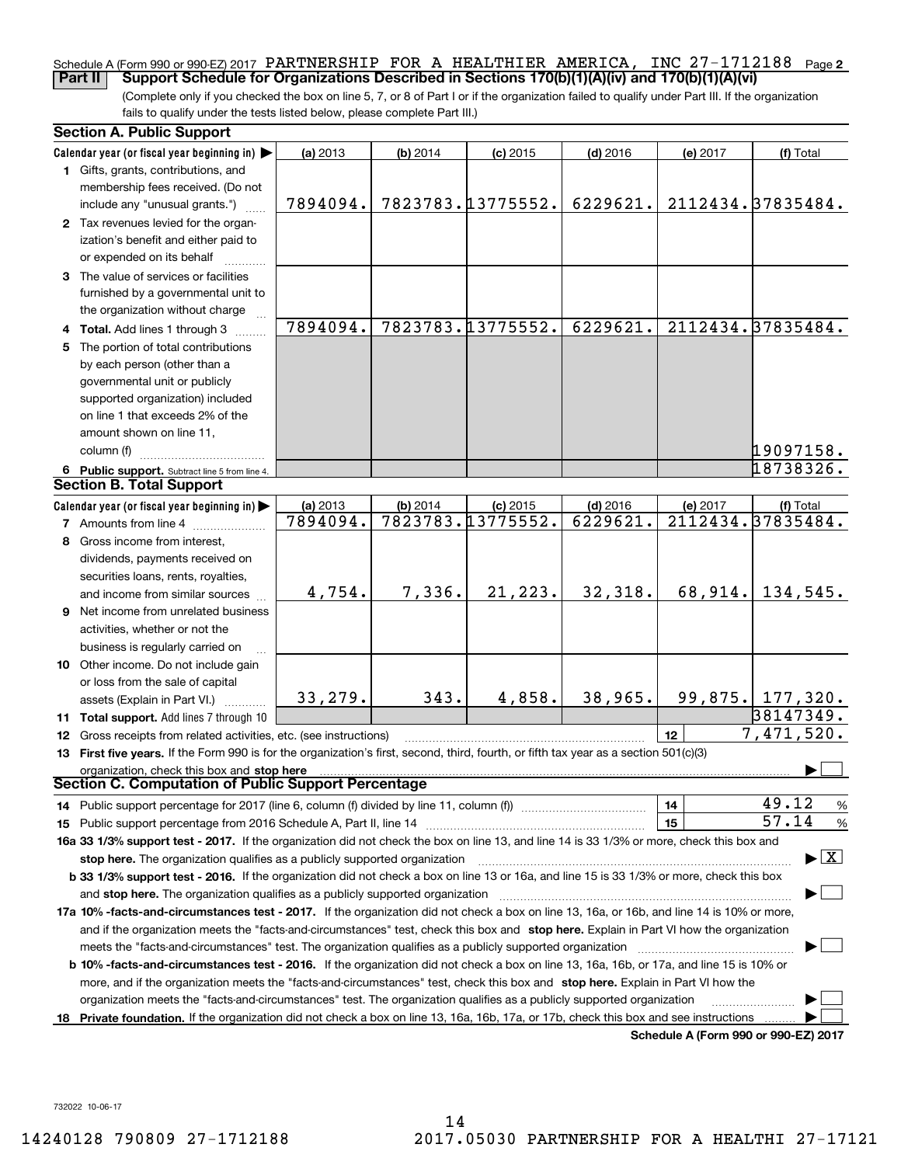## Schedule A (Form 990 or 990-EZ) 2017 PARTNERSHIP FOR A HEALTHIER AMERICA, INC 27-1712188 <sub>Page</sub> 2 **Part II Support Schedule for Organizations Described in Sections 170(b)(1)(A)(iv) and 170(b)(1)(A)(vi)**

(Complete only if you checked the box on line 5, 7, or 8 of Part I or if the organization failed to qualify under Part III. If the organization fails to qualify under the tests listed below, please complete Part III.)

|    | <b>Section A. Public Support</b>                                                                                                                                                                                                                                    |          |          |                   |            |          |                                      |  |  |  |  |
|----|---------------------------------------------------------------------------------------------------------------------------------------------------------------------------------------------------------------------------------------------------------------------|----------|----------|-------------------|------------|----------|--------------------------------------|--|--|--|--|
|    | Calendar year (or fiscal year beginning in) $\blacktriangleright$                                                                                                                                                                                                   | (a) 2013 | (b) 2014 | $(c)$ 2015        | $(d)$ 2016 | (e) 2017 | (f) Total                            |  |  |  |  |
|    | 1 Gifts, grants, contributions, and                                                                                                                                                                                                                                 |          |          |                   |            |          |                                      |  |  |  |  |
|    | membership fees received. (Do not                                                                                                                                                                                                                                   |          |          |                   |            |          |                                      |  |  |  |  |
|    | include any "unusual grants.")                                                                                                                                                                                                                                      | 7894094. |          | 7823783.13775552. | 6229621.   |          | 2112434.37835484.                    |  |  |  |  |
|    | 2 Tax revenues levied for the organ-                                                                                                                                                                                                                                |          |          |                   |            |          |                                      |  |  |  |  |
|    | ization's benefit and either paid to                                                                                                                                                                                                                                |          |          |                   |            |          |                                      |  |  |  |  |
|    | or expended on its behalf                                                                                                                                                                                                                                           |          |          |                   |            |          |                                      |  |  |  |  |
|    | 3 The value of services or facilities                                                                                                                                                                                                                               |          |          |                   |            |          |                                      |  |  |  |  |
|    | furnished by a governmental unit to                                                                                                                                                                                                                                 |          |          |                   |            |          |                                      |  |  |  |  |
|    | the organization without charge<br>7823783.13775552.                                                                                                                                                                                                                |          |          |                   |            |          |                                      |  |  |  |  |
|    | 4 Total. Add lines 1 through 3                                                                                                                                                                                                                                      | 7894094. |          |                   | 6229621.   |          | 2112434.37835484.                    |  |  |  |  |
|    | 5 The portion of total contributions                                                                                                                                                                                                                                |          |          |                   |            |          |                                      |  |  |  |  |
|    | by each person (other than a                                                                                                                                                                                                                                        |          |          |                   |            |          |                                      |  |  |  |  |
|    | governmental unit or publicly                                                                                                                                                                                                                                       |          |          |                   |            |          |                                      |  |  |  |  |
|    | supported organization) included                                                                                                                                                                                                                                    |          |          |                   |            |          |                                      |  |  |  |  |
|    | on line 1 that exceeds 2% of the                                                                                                                                                                                                                                    |          |          |                   |            |          |                                      |  |  |  |  |
|    | amount shown on line 11,                                                                                                                                                                                                                                            |          |          |                   |            |          |                                      |  |  |  |  |
|    | column (f)                                                                                                                                                                                                                                                          |          |          |                   |            |          | 19097158.                            |  |  |  |  |
|    | 6 Public support. Subtract line 5 from line 4.                                                                                                                                                                                                                      |          |          |                   |            |          | 18738326.                            |  |  |  |  |
|    | <b>Section B. Total Support</b>                                                                                                                                                                                                                                     |          |          |                   |            |          |                                      |  |  |  |  |
|    | Calendar year (or fiscal year beginning in)                                                                                                                                                                                                                         | (a) 2013 | (b) 2014 | $(c)$ 2015        | $(d)$ 2016 | (e) 2017 | (f) Total                            |  |  |  |  |
|    | <b>7</b> Amounts from line 4                                                                                                                                                                                                                                        | 7894094. |          | 7823783.13775552. | 6229621.   |          | 2112434.37835484.                    |  |  |  |  |
|    | 8 Gross income from interest,                                                                                                                                                                                                                                       |          |          |                   |            |          |                                      |  |  |  |  |
|    | dividends, payments received on                                                                                                                                                                                                                                     |          |          |                   |            |          |                                      |  |  |  |  |
|    | securities loans, rents, royalties,                                                                                                                                                                                                                                 |          |          |                   |            |          |                                      |  |  |  |  |
|    | and income from similar sources                                                                                                                                                                                                                                     | 4,754.   | 7,336.   | 21,223.           | 32,318.    | 68,914.  | 134,545.                             |  |  |  |  |
|    | 9 Net income from unrelated business                                                                                                                                                                                                                                |          |          |                   |            |          |                                      |  |  |  |  |
|    | activities, whether or not the                                                                                                                                                                                                                                      |          |          |                   |            |          |                                      |  |  |  |  |
|    | business is regularly carried on                                                                                                                                                                                                                                    |          |          |                   |            |          |                                      |  |  |  |  |
|    | 10 Other income. Do not include gain                                                                                                                                                                                                                                |          |          |                   |            |          |                                      |  |  |  |  |
|    | or loss from the sale of capital                                                                                                                                                                                                                                    |          |          |                   |            |          |                                      |  |  |  |  |
|    | assets (Explain in Part VI.)                                                                                                                                                                                                                                        | 33,279.  | 343.     | 4,858.            | 38,965.    |          | 99,875. 177,320.                     |  |  |  |  |
|    | 11 Total support. Add lines 7 through 10                                                                                                                                                                                                                            |          |          |                   |            |          | 38147349.                            |  |  |  |  |
|    | 12 Gross receipts from related activities, etc. (see instructions)                                                                                                                                                                                                  |          |          |                   |            | 12       | 7,471,520.                           |  |  |  |  |
|    | 13 First five years. If the Form 990 is for the organization's first, second, third, fourth, or fifth tax year as a section 501(c)(3)                                                                                                                               |          |          |                   |            |          |                                      |  |  |  |  |
|    | organization, check this box and stop here<br>Section C. Computation of Public Support Percentage                                                                                                                                                                   |          |          |                   |            |          |                                      |  |  |  |  |
|    |                                                                                                                                                                                                                                                                     |          |          |                   |            | 14       | 49.12<br>%                           |  |  |  |  |
|    | 15 Public support percentage from 2016 Schedule A, Part II, line 14 [11] [11] manument continuum manument of Public support percentage from 2016 Schedule A, Part II, line 14 [11] manument continuum manument of Public suppo                                      |          |          |                   |            | 15       | 57.14<br>$\%$                        |  |  |  |  |
|    |                                                                                                                                                                                                                                                                     |          |          |                   |            |          |                                      |  |  |  |  |
|    | 16a 33 1/3% support test - 2017. If the organization did not check the box on line 13, and line 14 is 33 1/3% or more, check this box and<br>$\blacktriangleright$ $\boxed{\text{X}}$<br>stop here. The organization qualifies as a publicly supported organization |          |          |                   |            |          |                                      |  |  |  |  |
|    | b 33 1/3% support test - 2016. If the organization did not check a box on line 13 or 16a, and line 15 is 33 1/3% or more, check this box                                                                                                                            |          |          |                   |            |          |                                      |  |  |  |  |
|    |                                                                                                                                                                                                                                                                     |          |          |                   |            |          |                                      |  |  |  |  |
|    | 17a 10% -facts-and-circumstances test - 2017. If the organization did not check a box on line 13, 16a, or 16b, and line 14 is 10% or more,                                                                                                                          |          |          |                   |            |          |                                      |  |  |  |  |
|    | and if the organization meets the "facts-and-circumstances" test, check this box and stop here. Explain in Part VI how the organization                                                                                                                             |          |          |                   |            |          |                                      |  |  |  |  |
|    |                                                                                                                                                                                                                                                                     |          |          |                   |            |          |                                      |  |  |  |  |
|    | <b>b 10% -facts-and-circumstances test - 2016.</b> If the organization did not check a box on line 13, 16a, 16b, or 17a, and line 15 is 10% or                                                                                                                      |          |          |                   |            |          |                                      |  |  |  |  |
|    | more, and if the organization meets the "facts-and-circumstances" test, check this box and stop here. Explain in Part VI how the                                                                                                                                    |          |          |                   |            |          |                                      |  |  |  |  |
|    | organization meets the "facts-and-circumstances" test. The organization qualifies as a publicly supported organization                                                                                                                                              |          |          |                   |            |          |                                      |  |  |  |  |
| 18 | Private foundation. If the organization did not check a box on line 13, 16a, 16b, 17a, or 17b, check this box and see instructions                                                                                                                                  |          |          |                   |            |          |                                      |  |  |  |  |
|    |                                                                                                                                                                                                                                                                     |          |          |                   |            |          | Schedule A (Form 990 or 990-EZ) 2017 |  |  |  |  |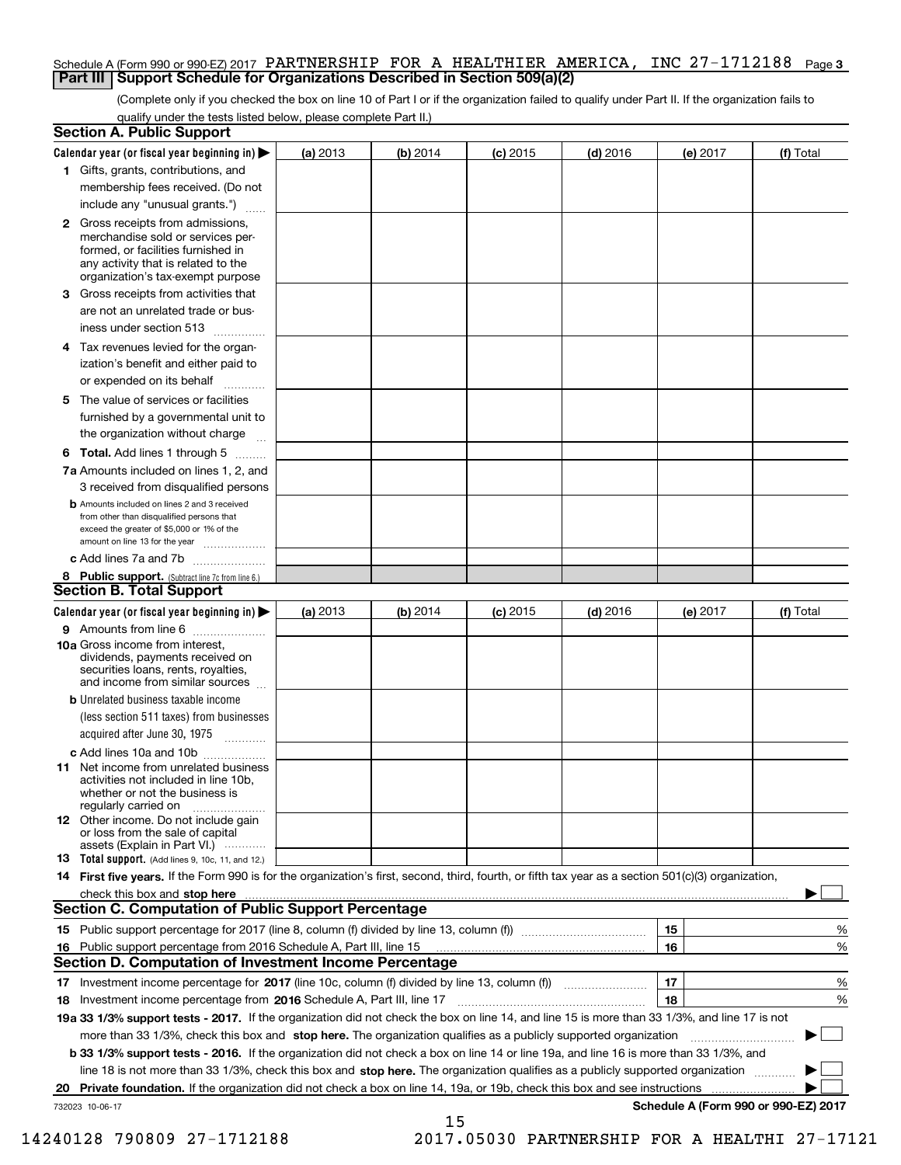# Schedule A (Form 990 or 990-EZ) 2017 PARTNERSHIP FOR A HEALTHIER AMERICA, INC 27-1712188 <sub>Page 3</sub> **Part III Support Schedule for Organizations Described in Section 509(a)(2)**

(Complete only if you checked the box on line 10 of Part I or if the organization failed to qualify under Part II. If the organization fails to qualify under the tests listed below, please complete Part II.)

|                                                                                                                                                                                          | <b>Section A. Public Support</b>                                                                                                                                                                                                    |          |          |            |            |          |                                      |
|------------------------------------------------------------------------------------------------------------------------------------------------------------------------------------------|-------------------------------------------------------------------------------------------------------------------------------------------------------------------------------------------------------------------------------------|----------|----------|------------|------------|----------|--------------------------------------|
|                                                                                                                                                                                          | Calendar year (or fiscal year beginning in) $\blacktriangleright$                                                                                                                                                                   | (a) 2013 | (b) 2014 | $(c)$ 2015 | $(d)$ 2016 | (e) 2017 | (f) Total                            |
|                                                                                                                                                                                          | 1 Gifts, grants, contributions, and                                                                                                                                                                                                 |          |          |            |            |          |                                      |
|                                                                                                                                                                                          | membership fees received. (Do not                                                                                                                                                                                                   |          |          |            |            |          |                                      |
|                                                                                                                                                                                          | include any "unusual grants.")                                                                                                                                                                                                      |          |          |            |            |          |                                      |
| 2 Gross receipts from admissions,<br>merchandise sold or services per-<br>formed, or facilities furnished in<br>any activity that is related to the<br>organization's tax-exempt purpose |                                                                                                                                                                                                                                     |          |          |            |            |          |                                      |
|                                                                                                                                                                                          | 3 Gross receipts from activities that                                                                                                                                                                                               |          |          |            |            |          |                                      |
|                                                                                                                                                                                          | are not an unrelated trade or bus-                                                                                                                                                                                                  |          |          |            |            |          |                                      |
|                                                                                                                                                                                          | iness under section 513                                                                                                                                                                                                             |          |          |            |            |          |                                      |
|                                                                                                                                                                                          | 4 Tax revenues levied for the organ-                                                                                                                                                                                                |          |          |            |            |          |                                      |
|                                                                                                                                                                                          | ization's benefit and either paid to                                                                                                                                                                                                |          |          |            |            |          |                                      |
|                                                                                                                                                                                          | or expended on its behalf<br>.                                                                                                                                                                                                      |          |          |            |            |          |                                      |
|                                                                                                                                                                                          | 5 The value of services or facilities                                                                                                                                                                                               |          |          |            |            |          |                                      |
|                                                                                                                                                                                          | furnished by a governmental unit to                                                                                                                                                                                                 |          |          |            |            |          |                                      |
|                                                                                                                                                                                          | the organization without charge                                                                                                                                                                                                     |          |          |            |            |          |                                      |
|                                                                                                                                                                                          | <b>6 Total.</b> Add lines 1 through 5                                                                                                                                                                                               |          |          |            |            |          |                                      |
|                                                                                                                                                                                          | 7a Amounts included on lines 1, 2, and                                                                                                                                                                                              |          |          |            |            |          |                                      |
|                                                                                                                                                                                          | 3 received from disqualified persons<br><b>b</b> Amounts included on lines 2 and 3 received                                                                                                                                         |          |          |            |            |          |                                      |
|                                                                                                                                                                                          | from other than disqualified persons that<br>exceed the greater of \$5,000 or 1% of the<br>amount on line 13 for the year                                                                                                           |          |          |            |            |          |                                      |
|                                                                                                                                                                                          | c Add lines 7a and 7b                                                                                                                                                                                                               |          |          |            |            |          |                                      |
|                                                                                                                                                                                          | 8 Public support. (Subtract line 7c from line 6.)                                                                                                                                                                                   |          |          |            |            |          |                                      |
|                                                                                                                                                                                          | <b>Section B. Total Support</b>                                                                                                                                                                                                     |          |          |            |            |          |                                      |
|                                                                                                                                                                                          | Calendar year (or fiscal year beginning in) $\blacktriangleright$                                                                                                                                                                   | (a) 2013 | (b) 2014 | $(c)$ 2015 | $(d)$ 2016 | (e) 2017 | (f) Total                            |
|                                                                                                                                                                                          | 9 Amounts from line 6                                                                                                                                                                                                               |          |          |            |            |          |                                      |
|                                                                                                                                                                                          | 10a Gross income from interest,<br>dividends, payments received on<br>securities loans, rents, royalties,<br>and income from similar sources                                                                                        |          |          |            |            |          |                                      |
|                                                                                                                                                                                          | <b>b</b> Unrelated business taxable income                                                                                                                                                                                          |          |          |            |            |          |                                      |
|                                                                                                                                                                                          | (less section 511 taxes) from businesses                                                                                                                                                                                            |          |          |            |            |          |                                      |
|                                                                                                                                                                                          | acquired after June 30, 1975                                                                                                                                                                                                        |          |          |            |            |          |                                      |
|                                                                                                                                                                                          | c Add lines 10a and 10b                                                                                                                                                                                                             |          |          |            |            |          |                                      |
|                                                                                                                                                                                          | 11 Net income from unrelated business<br>activities not included in line 10b,<br>whether or not the business is<br>regularly carried on                                                                                             |          |          |            |            |          |                                      |
|                                                                                                                                                                                          | <b>12</b> Other income. Do not include gain<br>or loss from the sale of capital<br>assets (Explain in Part VI.)                                                                                                                     |          |          |            |            |          |                                      |
|                                                                                                                                                                                          | <b>13</b> Total support. (Add lines 9, 10c, 11, and 12.)                                                                                                                                                                            |          |          |            |            |          |                                      |
|                                                                                                                                                                                          | 14 First five years. If the Form 990 is for the organization's first, second, third, fourth, or fifth tax year as a section 501(c)(3) organization,                                                                                 |          |          |            |            |          |                                      |
|                                                                                                                                                                                          | check this box and <b>stop here</b> measurement contracts and a structure of the state of the state of the state of the state of the state of the state of the state of the state of the state of the state of the state of the sta |          |          |            |            |          |                                      |
|                                                                                                                                                                                          | <b>Section C. Computation of Public Support Percentage</b>                                                                                                                                                                          |          |          |            |            |          |                                      |
|                                                                                                                                                                                          |                                                                                                                                                                                                                                     |          |          |            |            | 15       | %                                    |
|                                                                                                                                                                                          | 16 Public support percentage from 2016 Schedule A, Part III, line 15                                                                                                                                                                |          |          |            |            | 16       | %                                    |
|                                                                                                                                                                                          | <b>Section D. Computation of Investment Income Percentage</b>                                                                                                                                                                       |          |          |            |            |          |                                      |
|                                                                                                                                                                                          | 17 Investment income percentage for 2017 (line 10c, column (f) divided by line 13, column (f))                                                                                                                                      |          |          |            |            | 17       | %                                    |
|                                                                                                                                                                                          | <b>18</b> Investment income percentage from <b>2016</b> Schedule A, Part III, line 17                                                                                                                                               |          |          |            |            | 18       | %                                    |
|                                                                                                                                                                                          | 19a 33 1/3% support tests - 2017. If the organization did not check the box on line 14, and line 15 is more than 33 1/3%, and line 17 is not                                                                                        |          |          |            |            |          |                                      |
|                                                                                                                                                                                          | more than 33 1/3%, check this box and stop here. The organization qualifies as a publicly supported organization                                                                                                                    |          |          |            |            |          | ▶                                    |
|                                                                                                                                                                                          | b 33 1/3% support tests - 2016. If the organization did not check a box on line 14 or line 19a, and line 16 is more than 33 1/3%, and                                                                                               |          |          |            |            |          |                                      |
|                                                                                                                                                                                          | line 18 is not more than 33 1/3%, check this box and stop here. The organization qualifies as a publicly supported organization                                                                                                     |          |          |            |            |          |                                      |
| 20                                                                                                                                                                                       | <b>Private foundation.</b> If the organization did not check a box on line 14, 19a, or 19b, check this box and see instructions                                                                                                     |          |          |            |            |          |                                      |
|                                                                                                                                                                                          | 732023 10-06-17                                                                                                                                                                                                                     |          | 15       |            |            |          | Schedule A (Form 990 or 990-EZ) 2017 |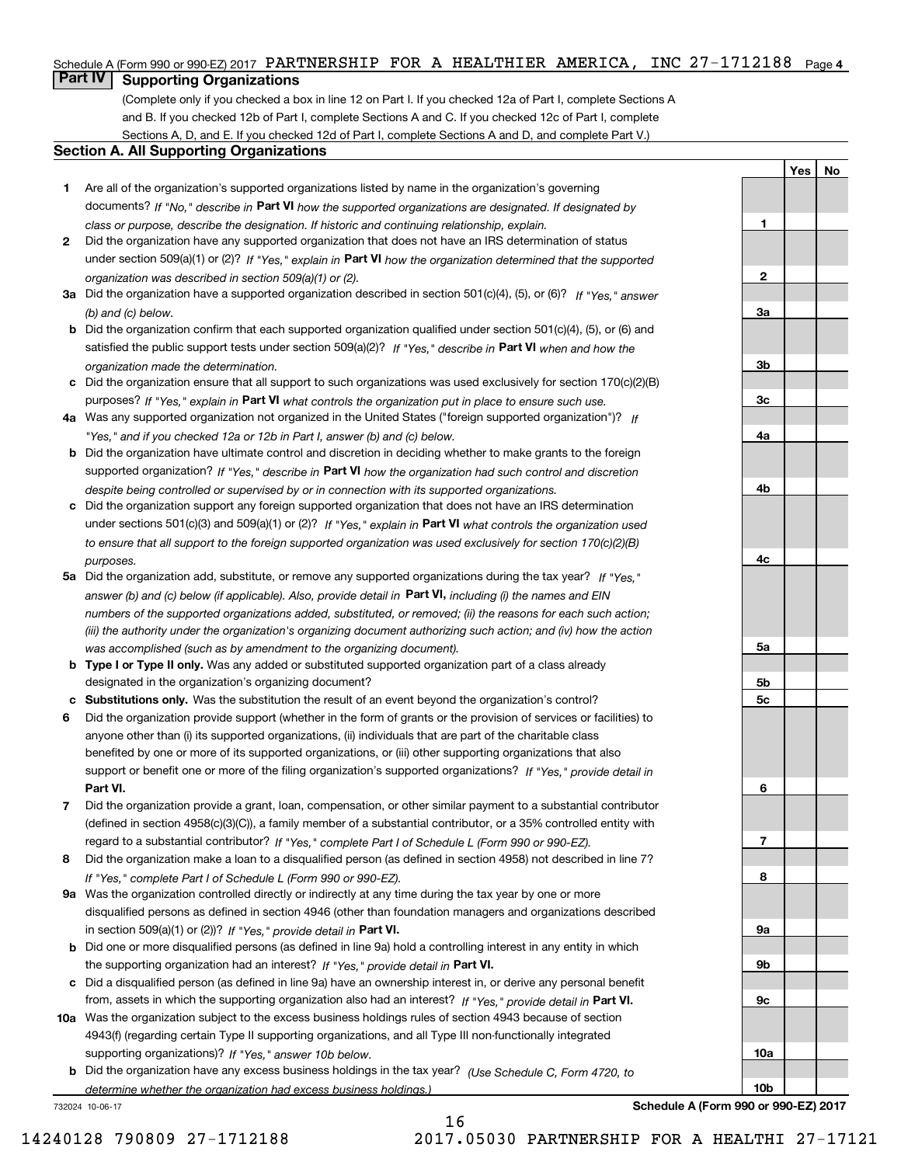# Schedule A (Form 990 or 990-EZ) 2017 PARTNERSHIP FOR A HEALTHIER AMERICA, INC 27-1712188 <sub>Page 4</sub>

# **Part IV Supporting Organizations**

(Complete only if you checked a box in line 12 on Part I. If you checked 12a of Part I, complete Sections A and B. If you checked 12b of Part I, complete Sections A and C. If you checked 12c of Part I, complete Sections A, D, and E. If you checked 12d of Part I, complete Sections A and D, and complete Part V.)

# **Section A. All Supporting Organizations**

- **1** Are all of the organization's supported organizations listed by name in the organization's governing documents? If "No," describe in **Part VI** how the supported organizations are designated. If designated by *class or purpose, describe the designation. If historic and continuing relationship, explain.*
- **2** Did the organization have any supported organization that does not have an IRS determination of status under section 509(a)(1) or (2)? If "Yes," explain in Part VI how the organization determined that the supported *organization was described in section 509(a)(1) or (2).*
- **3a** Did the organization have a supported organization described in section 501(c)(4), (5), or (6)? If "Yes," answer *(b) and (c) below.*
- **b** Did the organization confirm that each supported organization qualified under section 501(c)(4), (5), or (6) and satisfied the public support tests under section 509(a)(2)? If "Yes," describe in **Part VI** when and how the *organization made the determination.*
- **c**Did the organization ensure that all support to such organizations was used exclusively for section 170(c)(2)(B) purposes? If "Yes," explain in **Part VI** what controls the organization put in place to ensure such use.
- **4a***If* Was any supported organization not organized in the United States ("foreign supported organization")? *"Yes," and if you checked 12a or 12b in Part I, answer (b) and (c) below.*
- **b** Did the organization have ultimate control and discretion in deciding whether to make grants to the foreign supported organization? If "Yes," describe in **Part VI** how the organization had such control and discretion *despite being controlled or supervised by or in connection with its supported organizations.*
- **c** Did the organization support any foreign supported organization that does not have an IRS determination under sections 501(c)(3) and 509(a)(1) or (2)? If "Yes," explain in **Part VI** what controls the organization used *to ensure that all support to the foreign supported organization was used exclusively for section 170(c)(2)(B) purposes.*
- **5a** Did the organization add, substitute, or remove any supported organizations during the tax year? If "Yes," answer (b) and (c) below (if applicable). Also, provide detail in **Part VI,** including (i) the names and EIN *numbers of the supported organizations added, substituted, or removed; (ii) the reasons for each such action; (iii) the authority under the organization's organizing document authorizing such action; and (iv) how the action was accomplished (such as by amendment to the organizing document).*
- **b** Type I or Type II only. Was any added or substituted supported organization part of a class already designated in the organization's organizing document?
- **cSubstitutions only.**  Was the substitution the result of an event beyond the organization's control?
- **6** Did the organization provide support (whether in the form of grants or the provision of services or facilities) to **Part VI.** *If "Yes," provide detail in* support or benefit one or more of the filing organization's supported organizations? anyone other than (i) its supported organizations, (ii) individuals that are part of the charitable class benefited by one or more of its supported organizations, or (iii) other supporting organizations that also
- **7**Did the organization provide a grant, loan, compensation, or other similar payment to a substantial contributor *If "Yes," complete Part I of Schedule L (Form 990 or 990-EZ).* regard to a substantial contributor? (defined in section 4958(c)(3)(C)), a family member of a substantial contributor, or a 35% controlled entity with
- **8** Did the organization make a loan to a disqualified person (as defined in section 4958) not described in line 7? *If "Yes," complete Part I of Schedule L (Form 990 or 990-EZ).*
- **9a** Was the organization controlled directly or indirectly at any time during the tax year by one or more in section 509(a)(1) or (2))? If "Yes," *provide detail in* <code>Part VI.</code> disqualified persons as defined in section 4946 (other than foundation managers and organizations described
- **b** Did one or more disqualified persons (as defined in line 9a) hold a controlling interest in any entity in which the supporting organization had an interest? If "Yes," provide detail in P**art VI**.
- **c**Did a disqualified person (as defined in line 9a) have an ownership interest in, or derive any personal benefit from, assets in which the supporting organization also had an interest? If "Yes," provide detail in P**art VI.**
- **10a** Was the organization subject to the excess business holdings rules of section 4943 because of section supporting organizations)? If "Yes," answer 10b below. 4943(f) (regarding certain Type II supporting organizations, and all Type III non-functionally integrated
- **b** Did the organization have any excess business holdings in the tax year? (Use Schedule C, Form 4720, to *determine whether the organization had excess business holdings.)*

16

732024 10-06-17

**Schedule A (Form 990 or 990-EZ) 2017**

**YesNo**

**1**

**2**

**3a**

**3b**

**3c**

**4a**

**4b**

**4c**

**5a**

**5b5c**

**6**

**7**

**8**

**9a**

**9b**

**9c**

**10a**

**10b**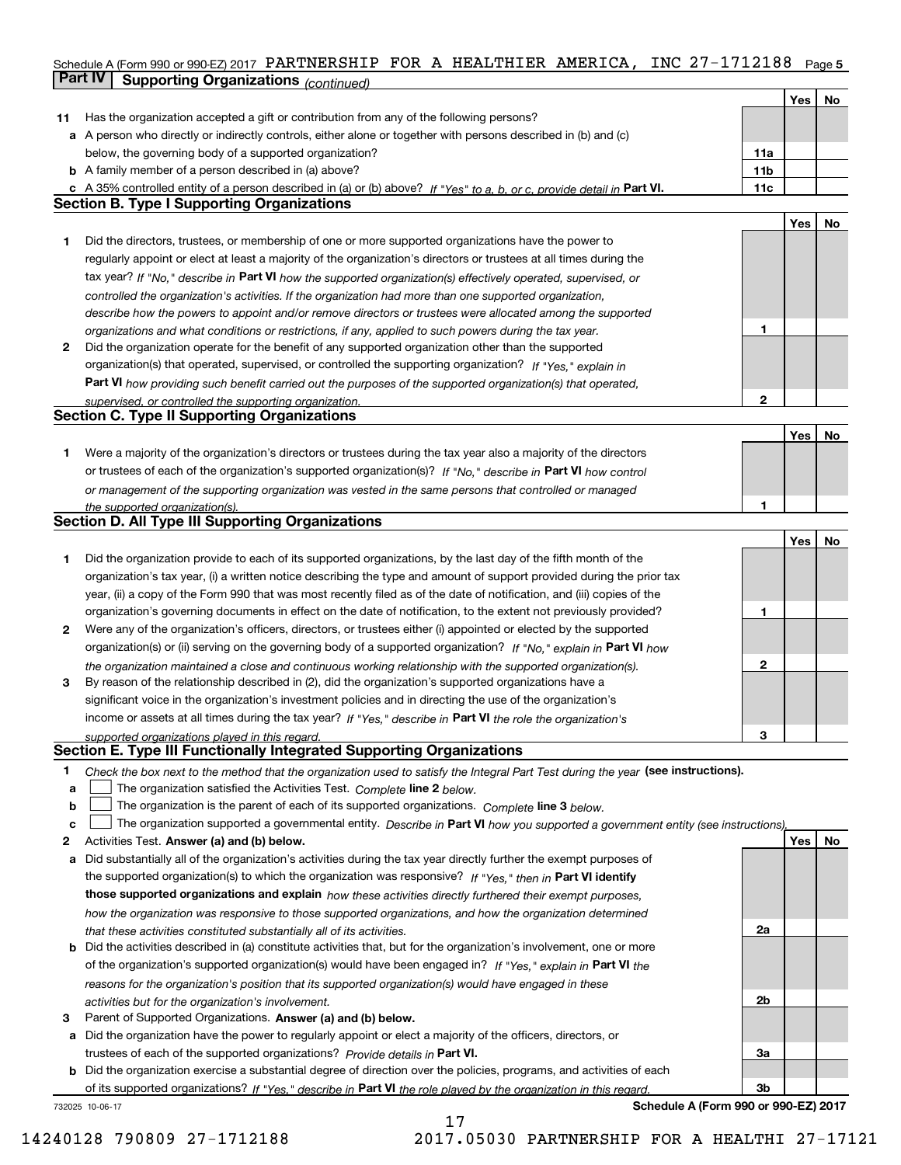# Schedule A (Form 990 or 990-EZ) 2017 PARTNERSHIP FOR A HEALTHIER AMERICA, INC 27-1712188 <sub>Page 5</sub> **Part IV Supporting Organizations** *(continued)*

|    |                                                                                                                                   |              | Yes | No |
|----|-----------------------------------------------------------------------------------------------------------------------------------|--------------|-----|----|
| 11 | Has the organization accepted a gift or contribution from any of the following persons?                                           |              |     |    |
|    | a A person who directly or indirectly controls, either alone or together with persons described in (b) and (c)                    |              |     |    |
|    | below, the governing body of a supported organization?                                                                            | 11a          |     |    |
|    | <b>b</b> A family member of a person described in (a) above?                                                                      | 11b          |     |    |
|    | c A 35% controlled entity of a person described in (a) or (b) above? If "Yes" to a, b, or c, provide detail in Part VI.           | 11c          |     |    |
|    | <b>Section B. Type I Supporting Organizations</b>                                                                                 |              |     |    |
|    |                                                                                                                                   |              | Yes | No |
| 1  | Did the directors, trustees, or membership of one or more supported organizations have the power to                               |              |     |    |
|    | regularly appoint or elect at least a majority of the organization's directors or trustees at all times during the                |              |     |    |
|    |                                                                                                                                   |              |     |    |
|    | tax year? If "No," describe in Part VI how the supported organization(s) effectively operated, supervised, or                     |              |     |    |
|    | controlled the organization's activities. If the organization had more than one supported organization,                           |              |     |    |
|    | describe how the powers to appoint and/or remove directors or trustees were allocated among the supported                         |              |     |    |
|    | organizations and what conditions or restrictions, if any, applied to such powers during the tax year.                            | 1            |     |    |
| 2  | Did the organization operate for the benefit of any supported organization other than the supported                               |              |     |    |
|    | organization(s) that operated, supervised, or controlled the supporting organization? If "Yes," explain in                        |              |     |    |
|    | <b>Part VI</b> how providing such benefit carried out the purposes of the supported organization(s) that operated,                |              |     |    |
|    | supervised, or controlled the supporting organization.                                                                            | $\mathbf{2}$ |     |    |
|    | <b>Section C. Type II Supporting Organizations</b>                                                                                |              |     |    |
|    |                                                                                                                                   |              | Yes | No |
| 1  | Were a majority of the organization's directors or trustees during the tax year also a majority of the directors                  |              |     |    |
|    | or trustees of each of the organization's supported organization(s)? If "No," describe in Part VI how control                     |              |     |    |
|    | or management of the supporting organization was vested in the same persons that controlled or managed                            |              |     |    |
|    | the supported organization(s).                                                                                                    | 1            |     |    |
|    | <b>Section D. All Type III Supporting Organizations</b>                                                                           |              |     |    |
|    |                                                                                                                                   |              | Yes | No |
| 1  | Did the organization provide to each of its supported organizations, by the last day of the fifth month of the                    |              |     |    |
|    | organization's tax year, (i) a written notice describing the type and amount of support provided during the prior tax             |              |     |    |
|    | year, (ii) a copy of the Form 990 that was most recently filed as of the date of notification, and (iii) copies of the            |              |     |    |
|    | organization's governing documents in effect on the date of notification, to the extent not previously provided?                  | 1            |     |    |
| 2  | Were any of the organization's officers, directors, or trustees either (i) appointed or elected by the supported                  |              |     |    |
|    | organization(s) or (ii) serving on the governing body of a supported organization? If "No," explain in Part VI how                |              |     |    |
|    | the organization maintained a close and continuous working relationship with the supported organization(s).                       | $\mathbf{2}$ |     |    |
| 3  | By reason of the relationship described in (2), did the organization's supported organizations have a                             |              |     |    |
|    | significant voice in the organization's investment policies and in directing the use of the organization's                        |              |     |    |
|    | income or assets at all times during the tax year? If "Yes," describe in Part VI the role the organization's                      |              |     |    |
|    | supported organizations played in this regard.                                                                                    | 3            |     |    |
|    | Section E. Type III Functionally Integrated Supporting Organizations                                                              |              |     |    |
| 1  | Check the box next to the method that the organization used to satisfy the Integral Part Test during the year (see instructions). |              |     |    |
| a  | The organization satisfied the Activities Test. Complete line 2 below.                                                            |              |     |    |
| b  | The organization is the parent of each of its supported organizations. Complete line 3 below.                                     |              |     |    |
| C  | The organization supported a governmental entity. Describe in Part VI how you supported a government entity (see instructions),   |              |     |    |
| 2  | Activities Test. Answer (a) and (b) below.                                                                                        |              | Yes | No |
| а  | Did substantially all of the organization's activities during the tax year directly further the exempt purposes of                |              |     |    |
|    | the supported organization(s) to which the organization was responsive? If "Yes," then in Part VI identify                        |              |     |    |
|    | those supported organizations and explain how these activities directly furthered their exempt purposes,                          |              |     |    |
|    | how the organization was responsive to those supported organizations, and how the organization determined                         |              |     |    |
|    | that these activities constituted substantially all of its activities.                                                            | 2a           |     |    |
|    | <b>b</b> Did the activities described in (a) constitute activities that, but for the organization's involvement, one or more      |              |     |    |
|    | of the organization's supported organization(s) would have been engaged in? If "Yes," explain in Part VI the                      |              |     |    |
|    | reasons for the organization's position that its supported organization(s) would have engaged in these                            |              |     |    |
|    | activities but for the organization's involvement.                                                                                | 2b           |     |    |
| з  | Parent of Supported Organizations. Answer (a) and (b) below.                                                                      |              |     |    |
| a  | Did the organization have the power to regularly appoint or elect a majority of the officers, directors, or                       |              |     |    |
|    | trustees of each of the supported organizations? Provide details in Part VI.                                                      | За           |     |    |
|    | <b>b</b> Did the organization exercise a substantial degree of direction over the policies, programs, and activities of each      |              |     |    |
|    | of its supported organizations? If "Yes," describe in Part VI the role played by the organization in this regard                  | Зb           |     |    |
|    | Schedule A (Form 990 or 990-EZ) 2017<br>732025 10-06-17                                                                           |              |     |    |

17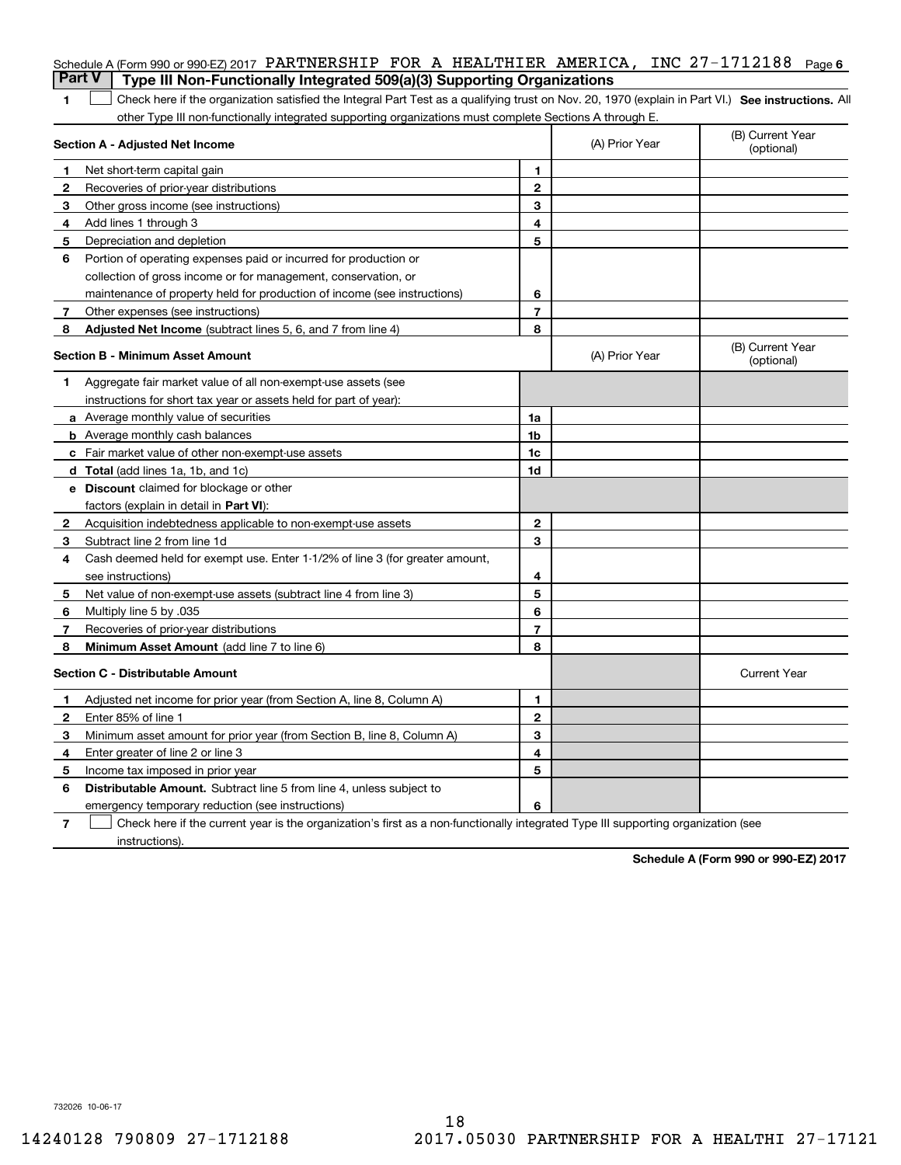|                | Schedule A (Form 990 or 990-EZ) 2017 PARTNERSHIP FOR A HEALTHIER AMERICA, INC 27-1712188<br><b>Part V</b><br>Type III Non-Functionally Integrated 509(a)(3) Supporting Organizations |                |                | Page 6                         |
|----------------|--------------------------------------------------------------------------------------------------------------------------------------------------------------------------------------|----------------|----------------|--------------------------------|
| 1              | Check here if the organization satisfied the Integral Part Test as a qualifying trust on Nov. 20, 1970 (explain in Part VI.) See instructions. Al                                    |                |                |                                |
|                | other Type III non-functionally integrated supporting organizations must complete Sections A through E.                                                                              |                |                |                                |
|                | Section A - Adjusted Net Income                                                                                                                                                      |                | (A) Prior Year | (B) Current Year<br>(optional) |
| 1              | Net short-term capital gain                                                                                                                                                          | 1.             |                |                                |
| $\overline{2}$ | Recoveries of prior-year distributions                                                                                                                                               | $\mathbf{2}$   |                |                                |
| З              | Other gross income (see instructions)                                                                                                                                                | 3              |                |                                |
| 4              | Add lines 1 through 3                                                                                                                                                                | 4              |                |                                |
| 5              | Depreciation and depletion                                                                                                                                                           | 5              |                |                                |
| 6              | Portion of operating expenses paid or incurred for production or                                                                                                                     |                |                |                                |
|                | collection of gross income or for management, conservation, or                                                                                                                       |                |                |                                |
|                | maintenance of property held for production of income (see instructions)                                                                                                             | 6              |                |                                |
| 7              | Other expenses (see instructions)                                                                                                                                                    | $\overline{7}$ |                |                                |
| 8              | Adjusted Net Income (subtract lines 5, 6, and 7 from line 4)                                                                                                                         | 8              |                |                                |
|                | <b>Section B - Minimum Asset Amount</b>                                                                                                                                              |                | (A) Prior Year | (B) Current Year<br>(optional) |
| 1              | Aggregate fair market value of all non-exempt-use assets (see                                                                                                                        |                |                |                                |
|                | instructions for short tax year or assets held for part of year):                                                                                                                    |                |                |                                |
|                | <b>a</b> Average monthly value of securities                                                                                                                                         | 1a             |                |                                |
|                | <b>b</b> Average monthly cash balances                                                                                                                                               | 1b             |                |                                |
|                | c Fair market value of other non-exempt-use assets                                                                                                                                   | 1c             |                |                                |
|                | d Total (add lines 1a, 1b, and 1c)                                                                                                                                                   | 1d             |                |                                |
|                | <b>e</b> Discount claimed for blockage or other                                                                                                                                      |                |                |                                |
|                | factors (explain in detail in Part VI):                                                                                                                                              |                |                |                                |
| 2              | Acquisition indebtedness applicable to non-exempt-use assets                                                                                                                         | $\mathbf{2}$   |                |                                |
| 3              | Subtract line 2 from line 1d                                                                                                                                                         | 3              |                |                                |
| 4              | Cash deemed held for exempt use. Enter 1-1/2% of line 3 (for greater amount,                                                                                                         |                |                |                                |
|                | see instructions)                                                                                                                                                                    | 4              |                |                                |
| 5              | Net value of non-exempt-use assets (subtract line 4 from line 3)                                                                                                                     | 5              |                |                                |
| 6              | Multiply line 5 by .035                                                                                                                                                              | 6              |                |                                |
| 7              | Recoveries of prior-year distributions                                                                                                                                               | $\overline{7}$ |                |                                |
| 8              | Minimum Asset Amount (add line 7 to line 6)                                                                                                                                          | 8              |                |                                |
|                | <b>Section C - Distributable Amount</b>                                                                                                                                              |                |                | <b>Current Year</b>            |
|                | Adjusted net income for prior year (from Section A, line 8, Column A)                                                                                                                | 1              |                |                                |
|                | Enter 85% of line 1                                                                                                                                                                  | 2              |                |                                |
| 3              | Minimum asset amount for prior year (from Section B, line 8, Column A)                                                                                                               | 3              |                |                                |
| 4              | Enter greater of line 2 or line 3                                                                                                                                                    | 4              |                |                                |
| 5              | Income tax imposed in prior year                                                                                                                                                     | 5              |                |                                |
| 6              | <b>Distributable Amount.</b> Subtract line 5 from line 4, unless subject to                                                                                                          |                |                |                                |
|                | emergency temporary reduction (see instructions)                                                                                                                                     | 6              |                |                                |
| 7              | Check here if the current year is the organization's first as a non-functionally integrated Type III supporting organization (see                                                    |                |                |                                |

instructions).

**Schedule A (Form 990 or 990-EZ) 2017**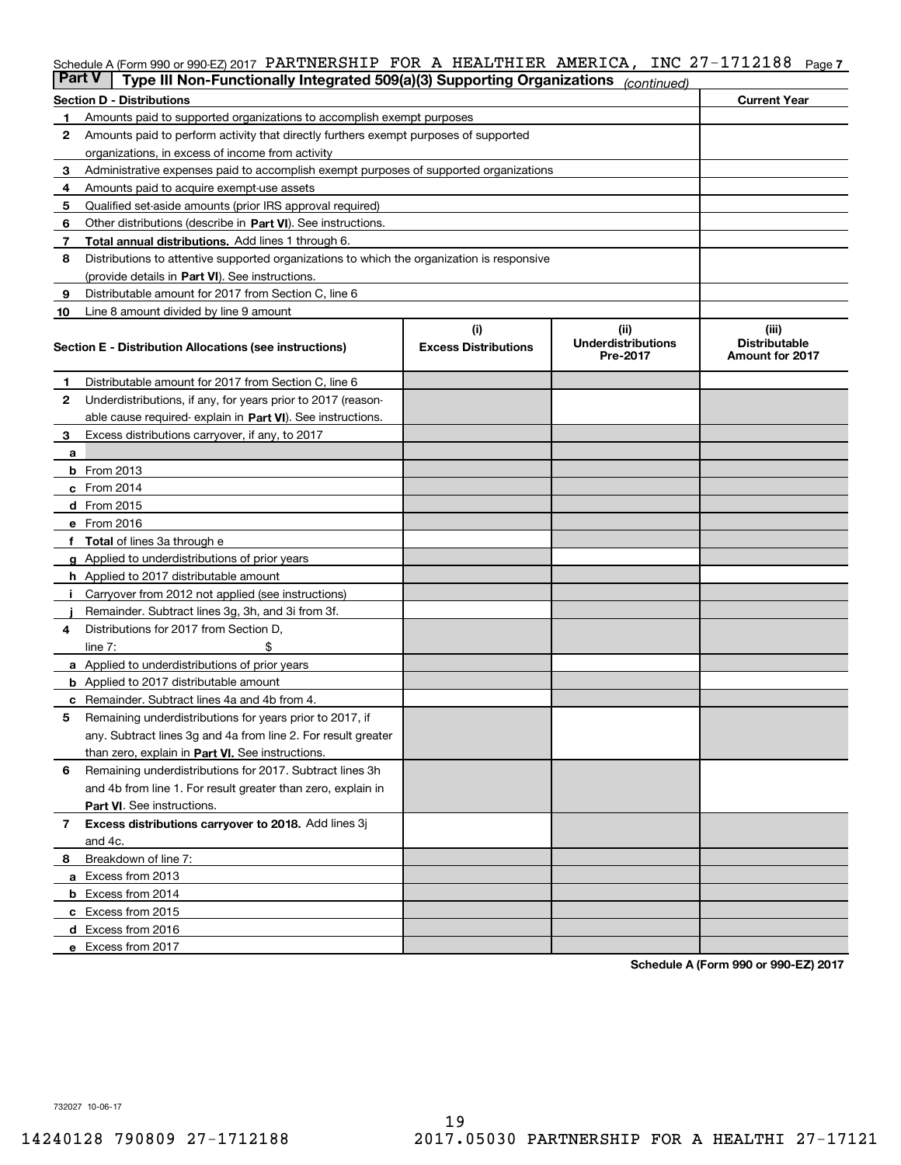# Schedule A (Form 990 or 990-EZ) 2017 PARTNERSHIP FOR A HEALTHIER AMERICA, INC 27-1712188 <sub>Page 7</sub>

| <b>Part V</b> | Type III Non-Functionally Integrated 509(a)(3) Supporting Organizations                    |                             | (continued)                           |                                                |  |  |  |
|---------------|--------------------------------------------------------------------------------------------|-----------------------------|---------------------------------------|------------------------------------------------|--|--|--|
|               | <b>Section D - Distributions</b>                                                           | <b>Current Year</b>         |                                       |                                                |  |  |  |
| 1             | Amounts paid to supported organizations to accomplish exempt purposes                      |                             |                                       |                                                |  |  |  |
| 2             | Amounts paid to perform activity that directly furthers exempt purposes of supported       |                             |                                       |                                                |  |  |  |
|               | organizations, in excess of income from activity                                           |                             |                                       |                                                |  |  |  |
| з             | Administrative expenses paid to accomplish exempt purposes of supported organizations      |                             |                                       |                                                |  |  |  |
| 4             | Amounts paid to acquire exempt-use assets                                                  |                             |                                       |                                                |  |  |  |
| 5             | Qualified set-aside amounts (prior IRS approval required)                                  |                             |                                       |                                                |  |  |  |
| 6             | Other distributions (describe in Part VI). See instructions.                               |                             |                                       |                                                |  |  |  |
| 7             | Total annual distributions. Add lines 1 through 6.                                         |                             |                                       |                                                |  |  |  |
| 8             | Distributions to attentive supported organizations to which the organization is responsive |                             |                                       |                                                |  |  |  |
|               | (provide details in Part VI). See instructions.                                            |                             |                                       |                                                |  |  |  |
| 9             | Distributable amount for 2017 from Section C, line 6                                       |                             |                                       |                                                |  |  |  |
| 10            | Line 8 amount divided by line 9 amount                                                     |                             |                                       |                                                |  |  |  |
|               |                                                                                            | (i)                         | (ii)                                  | (iii)                                          |  |  |  |
|               | <b>Section E - Distribution Allocations (see instructions)</b>                             | <b>Excess Distributions</b> | <b>Underdistributions</b><br>Pre-2017 | <b>Distributable</b><br><b>Amount for 2017</b> |  |  |  |
| 1             | Distributable amount for 2017 from Section C, line 6                                       |                             |                                       |                                                |  |  |  |
| 2             | Underdistributions, if any, for years prior to 2017 (reason-                               |                             |                                       |                                                |  |  |  |
|               | able cause required- explain in Part VI). See instructions.                                |                             |                                       |                                                |  |  |  |
| 3             | Excess distributions carryover, if any, to 2017                                            |                             |                                       |                                                |  |  |  |
| а             |                                                                                            |                             |                                       |                                                |  |  |  |
|               | <b>b</b> From 2013                                                                         |                             |                                       |                                                |  |  |  |
|               | $c$ From 2014                                                                              |                             |                                       |                                                |  |  |  |
|               | d From 2015                                                                                |                             |                                       |                                                |  |  |  |
|               | e From 2016                                                                                |                             |                                       |                                                |  |  |  |
|               | Total of lines 3a through e                                                                |                             |                                       |                                                |  |  |  |
|               | <b>g</b> Applied to underdistributions of prior years                                      |                             |                                       |                                                |  |  |  |
|               | <b>h</b> Applied to 2017 distributable amount                                              |                             |                                       |                                                |  |  |  |
|               | Carryover from 2012 not applied (see instructions)                                         |                             |                                       |                                                |  |  |  |
|               | Remainder. Subtract lines 3g, 3h, and 3i from 3f.                                          |                             |                                       |                                                |  |  |  |
| 4             | Distributions for 2017 from Section D,                                                     |                             |                                       |                                                |  |  |  |
|               | line $7:$                                                                                  |                             |                                       |                                                |  |  |  |
|               | <b>a</b> Applied to underdistributions of prior years                                      |                             |                                       |                                                |  |  |  |
|               | <b>b</b> Applied to 2017 distributable amount                                              |                             |                                       |                                                |  |  |  |
| с             | Remainder. Subtract lines 4a and 4b from 4.                                                |                             |                                       |                                                |  |  |  |
| 5             | Remaining underdistributions for years prior to 2017, if                                   |                             |                                       |                                                |  |  |  |
|               | any. Subtract lines 3g and 4a from line 2. For result greater                              |                             |                                       |                                                |  |  |  |
|               | than zero, explain in Part VI. See instructions.                                           |                             |                                       |                                                |  |  |  |
| 6             | Remaining underdistributions for 2017. Subtract lines 3h                                   |                             |                                       |                                                |  |  |  |
|               | and 4b from line 1. For result greater than zero, explain in                               |                             |                                       |                                                |  |  |  |
|               | Part VI. See instructions.                                                                 |                             |                                       |                                                |  |  |  |
|               |                                                                                            |                             |                                       |                                                |  |  |  |
| 7             | Excess distributions carryover to 2018. Add lines 3j                                       |                             |                                       |                                                |  |  |  |
|               | and 4c.                                                                                    |                             |                                       |                                                |  |  |  |
| 8             | Breakdown of line 7:                                                                       |                             |                                       |                                                |  |  |  |
|               | a Excess from 2013                                                                         |                             |                                       |                                                |  |  |  |
|               | <b>b</b> Excess from 2014                                                                  |                             |                                       |                                                |  |  |  |
|               | c Excess from 2015                                                                         |                             |                                       |                                                |  |  |  |
|               | d Excess from 2016                                                                         |                             |                                       |                                                |  |  |  |
|               | e Excess from 2017                                                                         |                             |                                       |                                                |  |  |  |

**Schedule A (Form 990 or 990-EZ) 2017**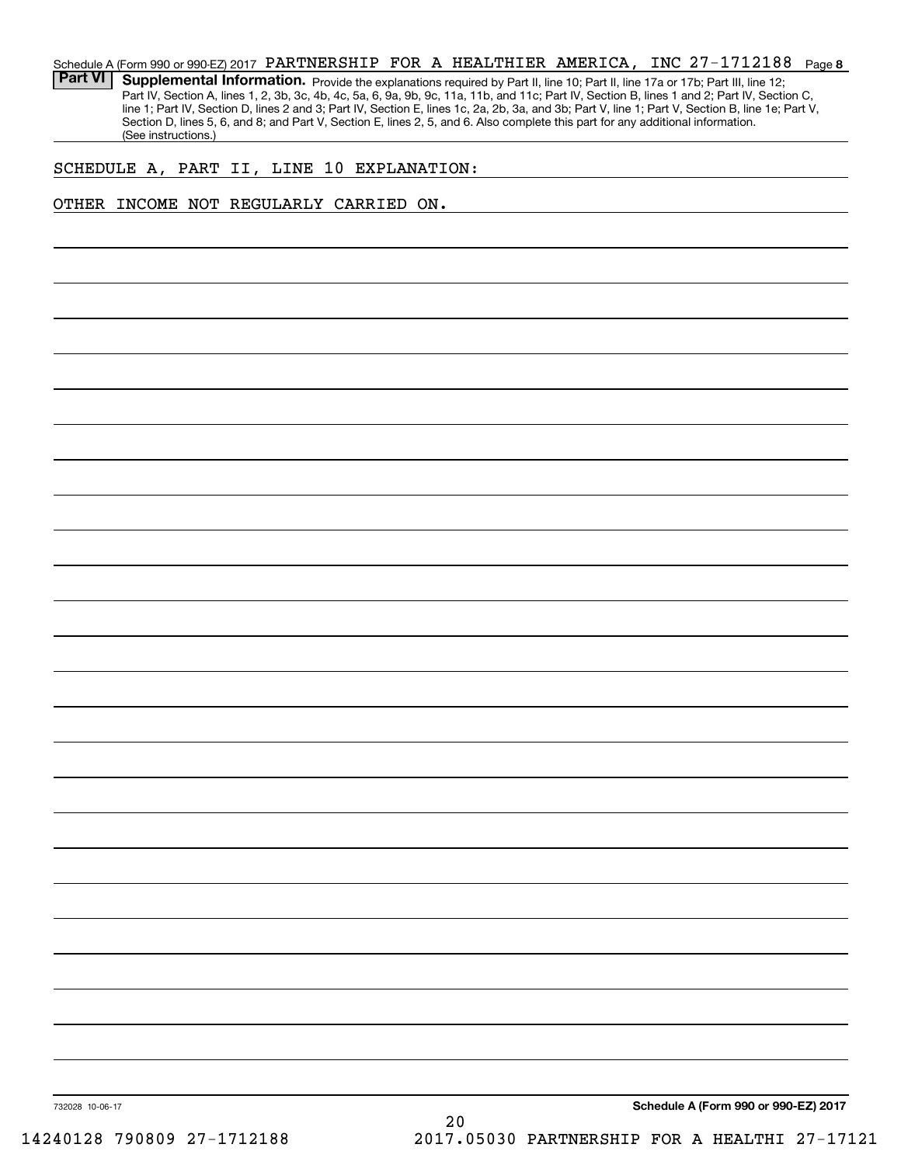## **8**27-1712188 Schedule A (Form 990 or 990-EZ) 2017  $\,$  PARTNERSHIP  $\,$  FOR  $\,$  A <code>HEALTHIER</code> <code>AMERICA</code> , <code>INC 27–1712188</code> <code>Page</code>

Part VI | Supplemental Information. Provide the explanations required by Part II, line 10; Part II, line 17a or 17b; Part III, line 12; Part IV, Section A, lines 1, 2, 3b, 3c, 4b, 4c, 5a, 6, 9a, 9b, 9c, 11a, 11b, and 11c; Part IV, Section B, lines 1 and 2; Part IV, Section C, line 1; Part IV, Section D, lines 2 and 3; Part IV, Section E, lines 1c, 2a, 2b, 3a, and 3b; Part V, line 1; Part V, Section B, line 1e; Part V, Section D, lines 5, 6, and 8; and Part V, Section E, lines 2, 5, and 6. Also complete this part for any additional information. (See instructions.)

# SCHEDULE A, PART II, LINE 10 EXPLANATION:

# OTHER INCOME NOT REGULARLY CARRIED ON.

**Schedule A (Form 990 or 990-EZ) 2017**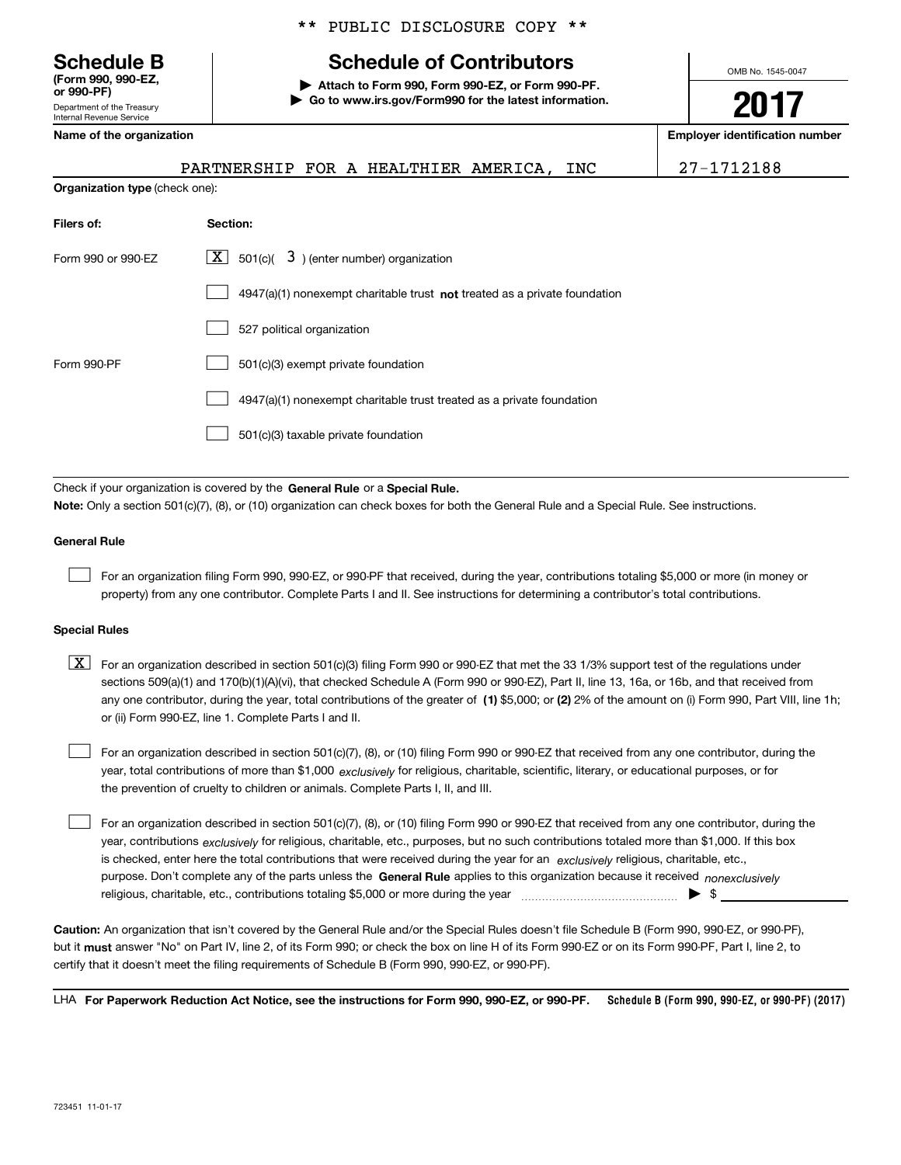Department of the Treasury **(Form 990, 990-EZ,** 000-PF

# \*\* PUBLIC DISCLOSURE COPY \*\*

# **Schedule B Schedule of Contributors**

**| Attach to Form 990, Form 990-EZ, or Form 990-PF. | Go to www.irs.gov/Form990 for the latest information.** OMB No. 1545-0047

**2017**

**Name of the organization Employer identification number**

| ן ו⊤י ט כע                 |  |
|----------------------------|--|
| Department of the Treasury |  |
| Internal Revenue Service   |  |
| Name of the organization   |  |

**Organization type** (check one):

|  |  | PARTNERSHIP FOR A HEALTHIER AMERICA, INC |  |  |  |  |  |  |
|--|--|------------------------------------------|--|--|--|--|--|--|
|--|--|------------------------------------------|--|--|--|--|--|--|

PARTNERSHIP FOR A HEALTHIER AMERICA, INC 27-1712188

| Filers of:         | Section:                                                                  |  |  |  |  |  |
|--------------------|---------------------------------------------------------------------------|--|--|--|--|--|
| Form 990 or 990-FZ | $\lfloor x \rfloor$ 501(c)( 3) (enter number) organization                |  |  |  |  |  |
|                    | 4947(a)(1) nonexempt charitable trust not treated as a private foundation |  |  |  |  |  |
|                    | 527 political organization                                                |  |  |  |  |  |
| Form 990-PF        | 501(c)(3) exempt private foundation                                       |  |  |  |  |  |
|                    | 4947(a)(1) nonexempt charitable trust treated as a private foundation     |  |  |  |  |  |
|                    | 501(c)(3) taxable private foundation                                      |  |  |  |  |  |

Check if your organization is covered by the **General Rule** or a **Special Rule. Note:**  Only a section 501(c)(7), (8), or (10) organization can check boxes for both the General Rule and a Special Rule. See instructions.

# **General Rule**

 $\mathcal{L}^{\text{max}}$ 

For an organization filing Form 990, 990-EZ, or 990-PF that received, during the year, contributions totaling \$5,000 or more (in money or property) from any one contributor. Complete Parts I and II. See instructions for determining a contributor's total contributions.

## **Special Rules**

 $\mathcal{L}^{\text{max}}$ 

any one contributor, during the year, total contributions of the greater of  $\,$  (1) \$5,000; or **(2)** 2% of the amount on (i) Form 990, Part VIII, line 1h;  $\boxed{\textbf{X}}$  For an organization described in section 501(c)(3) filing Form 990 or 990-EZ that met the 33 1/3% support test of the regulations under sections 509(a)(1) and 170(b)(1)(A)(vi), that checked Schedule A (Form 990 or 990-EZ), Part II, line 13, 16a, or 16b, and that received from or (ii) Form 990-EZ, line 1. Complete Parts I and II.

year, total contributions of more than \$1,000 *exclusively* for religious, charitable, scientific, literary, or educational purposes, or for For an organization described in section 501(c)(7), (8), or (10) filing Form 990 or 990-EZ that received from any one contributor, during the the prevention of cruelty to children or animals. Complete Parts I, II, and III.  $\mathcal{L}^{\text{max}}$ 

purpose. Don't complete any of the parts unless the **General Rule** applies to this organization because it received *nonexclusively* year, contributions <sub>exclusively</sub> for religious, charitable, etc., purposes, but no such contributions totaled more than \$1,000. If this box is checked, enter here the total contributions that were received during the year for an  $\;$ exclusively religious, charitable, etc., For an organization described in section 501(c)(7), (8), or (10) filing Form 990 or 990-EZ that received from any one contributor, during the religious, charitable, etc., contributions totaling \$5,000 or more during the year  $\Box$ — $\Box$   $\Box$ 

**Caution:**  An organization that isn't covered by the General Rule and/or the Special Rules doesn't file Schedule B (Form 990, 990-EZ, or 990-PF),  **must** but it answer "No" on Part IV, line 2, of its Form 990; or check the box on line H of its Form 990-EZ or on its Form 990-PF, Part I, line 2, to certify that it doesn't meet the filing requirements of Schedule B (Form 990, 990-EZ, or 990-PF).

**Schedule B (Form 990, 990-EZ, or 990-PF) (2017) For Paperwork Reduction Act Notice, see the instructions for Form 990, 990-EZ, or 990-PF.** LHA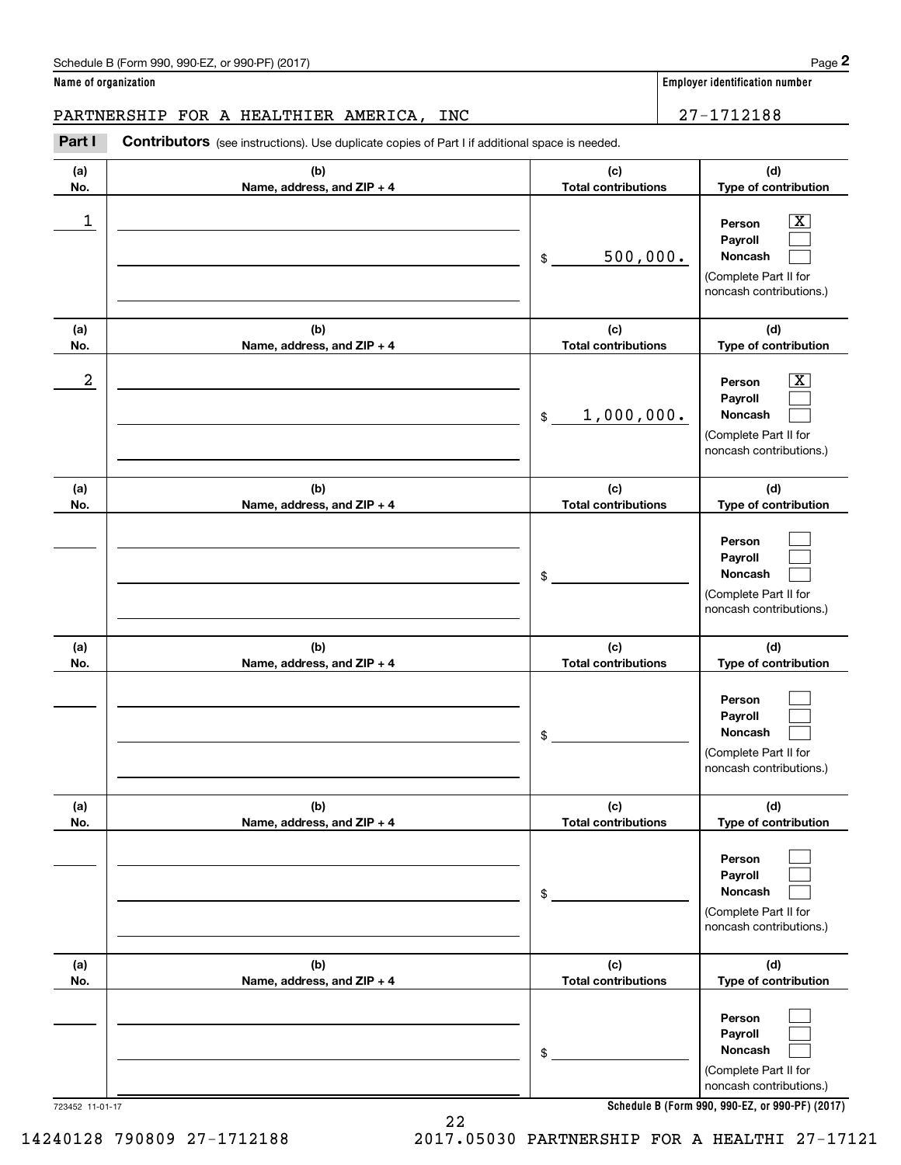|                      | Schedule B (Form 990, 990-EZ, or 990-PF) (2017)                                                       |                                   | Page 2                                                                                                    |
|----------------------|-------------------------------------------------------------------------------------------------------|-----------------------------------|-----------------------------------------------------------------------------------------------------------|
| Name of organization |                                                                                                       |                                   | <b>Employer identification number</b>                                                                     |
|                      | PARTNERSHIP FOR A HEALTHIER AMERICA,<br>INC                                                           |                                   | 27-1712188                                                                                                |
| Part I               | <b>Contributors</b> (see instructions). Use duplicate copies of Part I if additional space is needed. |                                   |                                                                                                           |
| (a)<br>No.           | (b)<br>Name, address, and ZIP + 4                                                                     | (c)<br><b>Total contributions</b> | (d)<br>Type of contribution                                                                               |
| 1                    |                                                                                                       | 500,000.<br>\$                    | $\overline{\text{X}}$<br>Person<br>Payroll<br>Noncash<br>(Complete Part II for<br>noncash contributions.) |
| (a)<br>No.           | (b)<br>Name, address, and ZIP + 4                                                                     | (c)<br><b>Total contributions</b> | (d)<br>Type of contribution                                                                               |
| $\boldsymbol{2}$     |                                                                                                       | 1,000,000.<br>\$                  | $\overline{\text{X}}$<br>Person<br>Payroll<br>Noncash<br>(Complete Part II for<br>noncash contributions.) |
| (a)<br>No.           | (b)<br>Name, address, and ZIP + 4                                                                     | (c)<br><b>Total contributions</b> | (d)<br>Type of contribution                                                                               |
|                      |                                                                                                       | \$                                | Person<br>Payroll<br>Noncash<br>(Complete Part II for<br>noncash contributions.)                          |
| (a)<br>No.           | (b)<br>Name, address, and ZIP + 4                                                                     | (c)<br><b>Total contributions</b> | (d)<br>Type of contribution                                                                               |
|                      |                                                                                                       | \$                                | Person<br>Payroll<br>Noncash<br>(Complete Part II for<br>noncash contributions.)                          |
| (a)<br>No.           | (b)<br>Name, address, and ZIP + 4                                                                     | (c)<br><b>Total contributions</b> | (d)<br>Type of contribution                                                                               |
|                      |                                                                                                       | \$                                | Person<br>Payroll<br>Noncash<br>(Complete Part II for<br>noncash contributions.)                          |
| (a)<br>No.           | (b)<br>Name, address, and ZIP + 4                                                                     | (c)<br><b>Total contributions</b> | (d)<br>Type of contribution                                                                               |
|                      |                                                                                                       | \$                                | Person<br>Payroll<br>Noncash<br>(Complete Part II for<br>noncash contributions.)                          |

**Schedule B (Form 990, 990-EZ, or 990-PF) (2017)**

723452 11-01-17

14240128 790809 27-1712188 2017.05030 PARTNERSHIP FOR A HEALTHI 27-17121

22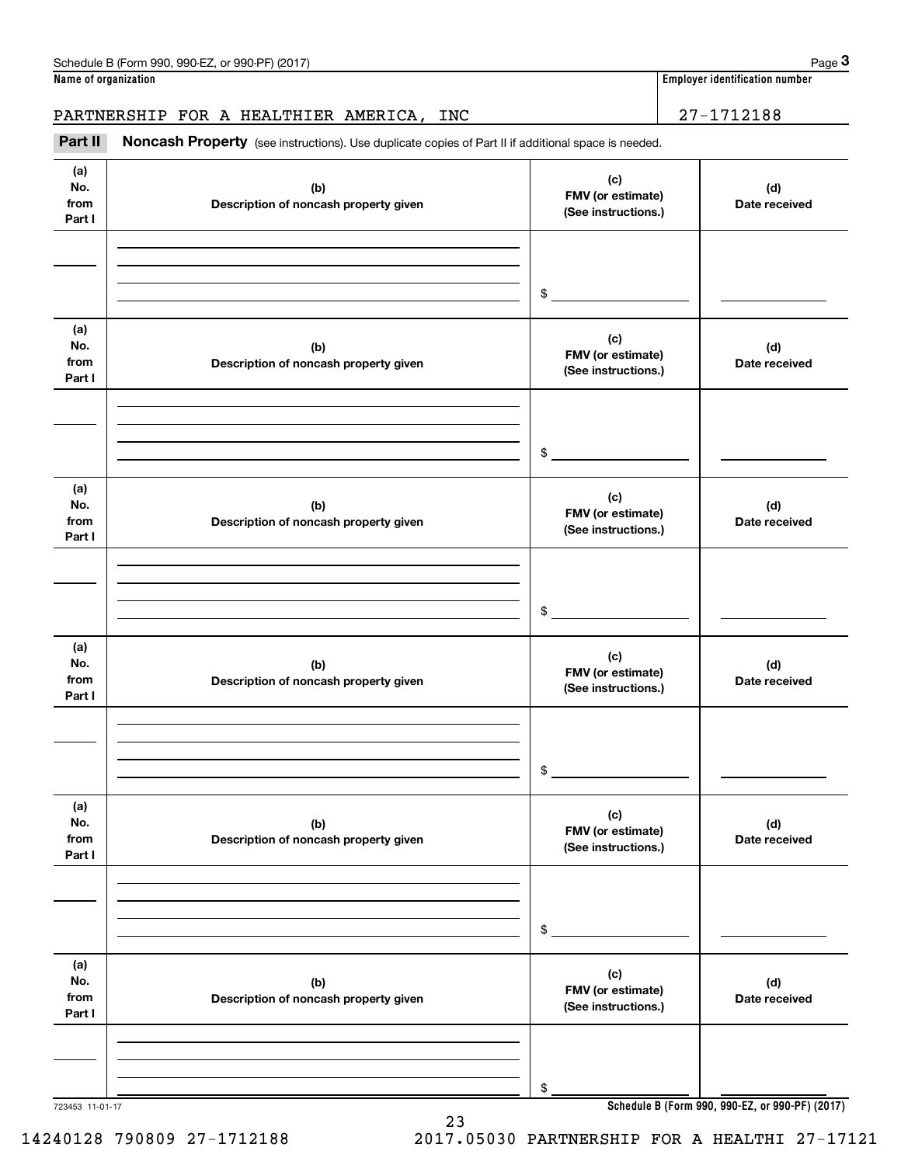**Name of organization Employer identification number**

# PARTNERSHIP FOR A HEALTHIER AMERICA, INC | 27-1712188

(see instructions). Use duplicate copies of Part II if additional space is needed.<br> **PARTNERSHIP FOR A HEALTHIER AMERICA, INC**<br> **PART II Noncash Property** (see instructions). Use duplicate copies of Part II if additional

| (a)<br>No.<br>from<br>Part I | (b)<br>Description of noncash property given | (c)<br>FMV (or estimate)<br>(See instructions.) | (d)<br>Date received |
|------------------------------|----------------------------------------------|-------------------------------------------------|----------------------|
|                              |                                              | $\frac{1}{2}$                                   |                      |
| (a)<br>No.<br>from<br>Part I | (b)<br>Description of noncash property given | (c)<br>FMV (or estimate)<br>(See instructions.) | (d)<br>Date received |
|                              |                                              | $\frac{1}{2}$                                   |                      |
| (a)<br>No.<br>from<br>Part I | (b)<br>Description of noncash property given | (c)<br>FMV (or estimate)<br>(See instructions.) | (d)<br>Date received |
|                              |                                              | $\mathfrak s$                                   |                      |
| (a)<br>No.<br>from<br>Part I | (b)<br>Description of noncash property given | (c)<br>FMV (or estimate)<br>(See instructions.) | (d)<br>Date received |
|                              |                                              | $\frac{1}{2}$                                   |                      |
| (a)<br>No.<br>from<br>Part I | (b)<br>Description of noncash property given | (c)<br>FMV (or estimate)<br>(See instructions.) | (d)<br>Date received |
|                              |                                              | \$                                              |                      |
| (a)<br>No.<br>from<br>Part I | (b)<br>Description of noncash property given | (c)<br>FMV (or estimate)<br>(See instructions.) | (d)<br>Date received |
|                              |                                              | \$                                              |                      |

723453 11-01-17

**Schedule B (Form 990, 990-EZ, or 990-PF) (2017)**

14240128 790809 27-1712188 2017.05030 PARTNERSHIP FOR A HEALTHI 27-17121

23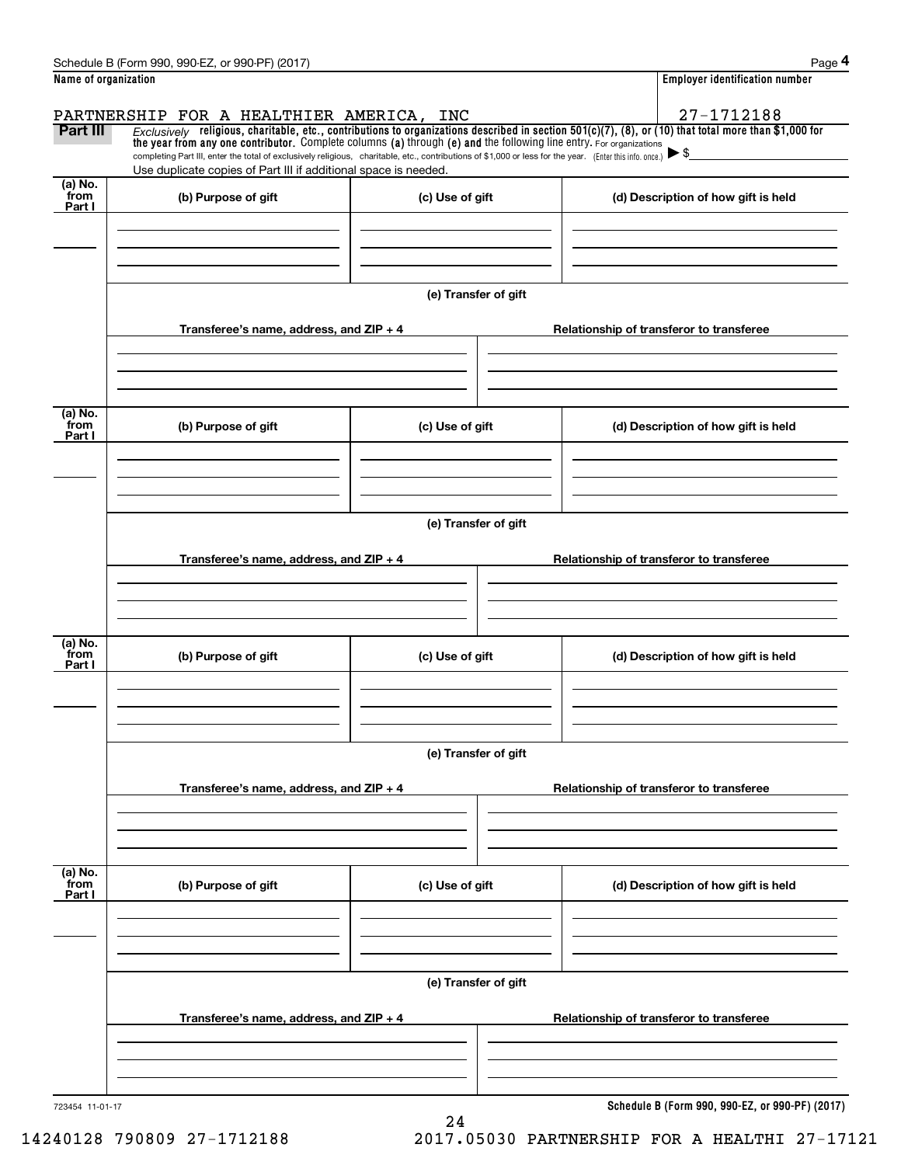|                                     | Schedule B (Form 990, 990-EZ, or 990-PF) (2017)                                                                                                                                                                                                                                |                      |  | Page 4                                          |  |  |  |
|-------------------------------------|--------------------------------------------------------------------------------------------------------------------------------------------------------------------------------------------------------------------------------------------------------------------------------|----------------------|--|-------------------------------------------------|--|--|--|
| Name of organization                |                                                                                                                                                                                                                                                                                |                      |  | <b>Employer identification number</b>           |  |  |  |
|                                     | PARTNERSHIP FOR A HEALTHIER AMERICA, INC                                                                                                                                                                                                                                       |                      |  | 27-1712188                                      |  |  |  |
| Part III                            | $Exclusively$ religious, charitable, etc., contributions to organizations described in section 501(c)(7), (8), or (10) that total more than \$1,000 for<br>the year from any one contributor. Complete columns (a) through (e) and the following line entry. For organizations |                      |  |                                                 |  |  |  |
|                                     | completing Part III, enter the total of exclusively religious, charitable, etc., contributions of \$1,000 or less for the year. (Enter this info. once.) $\blacktriangleright$ \$                                                                                              |                      |  |                                                 |  |  |  |
| (a) No.                             | Use duplicate copies of Part III if additional space is needed.                                                                                                                                                                                                                |                      |  |                                                 |  |  |  |
| from<br>Part I                      | (b) Purpose of gift                                                                                                                                                                                                                                                            | (c) Use of gift      |  | (d) Description of how gift is held             |  |  |  |
|                                     |                                                                                                                                                                                                                                                                                |                      |  |                                                 |  |  |  |
|                                     |                                                                                                                                                                                                                                                                                |                      |  |                                                 |  |  |  |
|                                     |                                                                                                                                                                                                                                                                                |                      |  |                                                 |  |  |  |
|                                     |                                                                                                                                                                                                                                                                                | (e) Transfer of gift |  |                                                 |  |  |  |
|                                     |                                                                                                                                                                                                                                                                                |                      |  |                                                 |  |  |  |
|                                     | Transferee's name, address, and $ZIP + 4$                                                                                                                                                                                                                                      |                      |  | Relationship of transferor to transferee        |  |  |  |
|                                     |                                                                                                                                                                                                                                                                                |                      |  |                                                 |  |  |  |
|                                     |                                                                                                                                                                                                                                                                                |                      |  |                                                 |  |  |  |
| (a) $\overline{\text{No.}}$         |                                                                                                                                                                                                                                                                                |                      |  |                                                 |  |  |  |
| from<br>Part I                      | (b) Purpose of gift                                                                                                                                                                                                                                                            | (c) Use of gift      |  | (d) Description of how gift is held             |  |  |  |
|                                     |                                                                                                                                                                                                                                                                                |                      |  |                                                 |  |  |  |
|                                     |                                                                                                                                                                                                                                                                                |                      |  |                                                 |  |  |  |
|                                     |                                                                                                                                                                                                                                                                                |                      |  |                                                 |  |  |  |
|                                     |                                                                                                                                                                                                                                                                                | (e) Transfer of gift |  |                                                 |  |  |  |
|                                     | Transferee's name, address, and $ZIP + 4$                                                                                                                                                                                                                                      |                      |  | Relationship of transferor to transferee        |  |  |  |
|                                     |                                                                                                                                                                                                                                                                                |                      |  |                                                 |  |  |  |
|                                     |                                                                                                                                                                                                                                                                                |                      |  |                                                 |  |  |  |
|                                     |                                                                                                                                                                                                                                                                                |                      |  |                                                 |  |  |  |
| (a) $\overline{\text{No.}}$<br>from | (b) Purpose of gift                                                                                                                                                                                                                                                            | (c) Use of gift      |  | (d) Description of how gift is held             |  |  |  |
| Part I                              |                                                                                                                                                                                                                                                                                |                      |  |                                                 |  |  |  |
|                                     |                                                                                                                                                                                                                                                                                |                      |  |                                                 |  |  |  |
|                                     |                                                                                                                                                                                                                                                                                |                      |  |                                                 |  |  |  |
|                                     |                                                                                                                                                                                                                                                                                | (e) Transfer of gift |  |                                                 |  |  |  |
|                                     |                                                                                                                                                                                                                                                                                |                      |  |                                                 |  |  |  |
|                                     | Transferee's name, address, and $ZIP + 4$                                                                                                                                                                                                                                      |                      |  | Relationship of transferor to transferee        |  |  |  |
|                                     |                                                                                                                                                                                                                                                                                |                      |  |                                                 |  |  |  |
|                                     |                                                                                                                                                                                                                                                                                |                      |  |                                                 |  |  |  |
| (a) No.                             |                                                                                                                                                                                                                                                                                |                      |  |                                                 |  |  |  |
| from<br>Part I                      | (b) Purpose of gift                                                                                                                                                                                                                                                            | (c) Use of gift      |  | (d) Description of how gift is held             |  |  |  |
|                                     |                                                                                                                                                                                                                                                                                |                      |  |                                                 |  |  |  |
|                                     |                                                                                                                                                                                                                                                                                |                      |  |                                                 |  |  |  |
|                                     |                                                                                                                                                                                                                                                                                |                      |  |                                                 |  |  |  |
|                                     | (e) Transfer of gift                                                                                                                                                                                                                                                           |                      |  |                                                 |  |  |  |
|                                     |                                                                                                                                                                                                                                                                                |                      |  |                                                 |  |  |  |
|                                     | Transferee's name, address, and ZIP + 4                                                                                                                                                                                                                                        |                      |  | Relationship of transferor to transferee        |  |  |  |
|                                     |                                                                                                                                                                                                                                                                                |                      |  |                                                 |  |  |  |
|                                     |                                                                                                                                                                                                                                                                                |                      |  |                                                 |  |  |  |
| 723454 11-01-17                     |                                                                                                                                                                                                                                                                                |                      |  | Schedule B (Form 990, 990-EZ, or 990-PF) (2017) |  |  |  |
|                                     |                                                                                                                                                                                                                                                                                |                      |  |                                                 |  |  |  |

24

**Schedule B (Form 990, 990-EZ, or 990-PF) (2017)**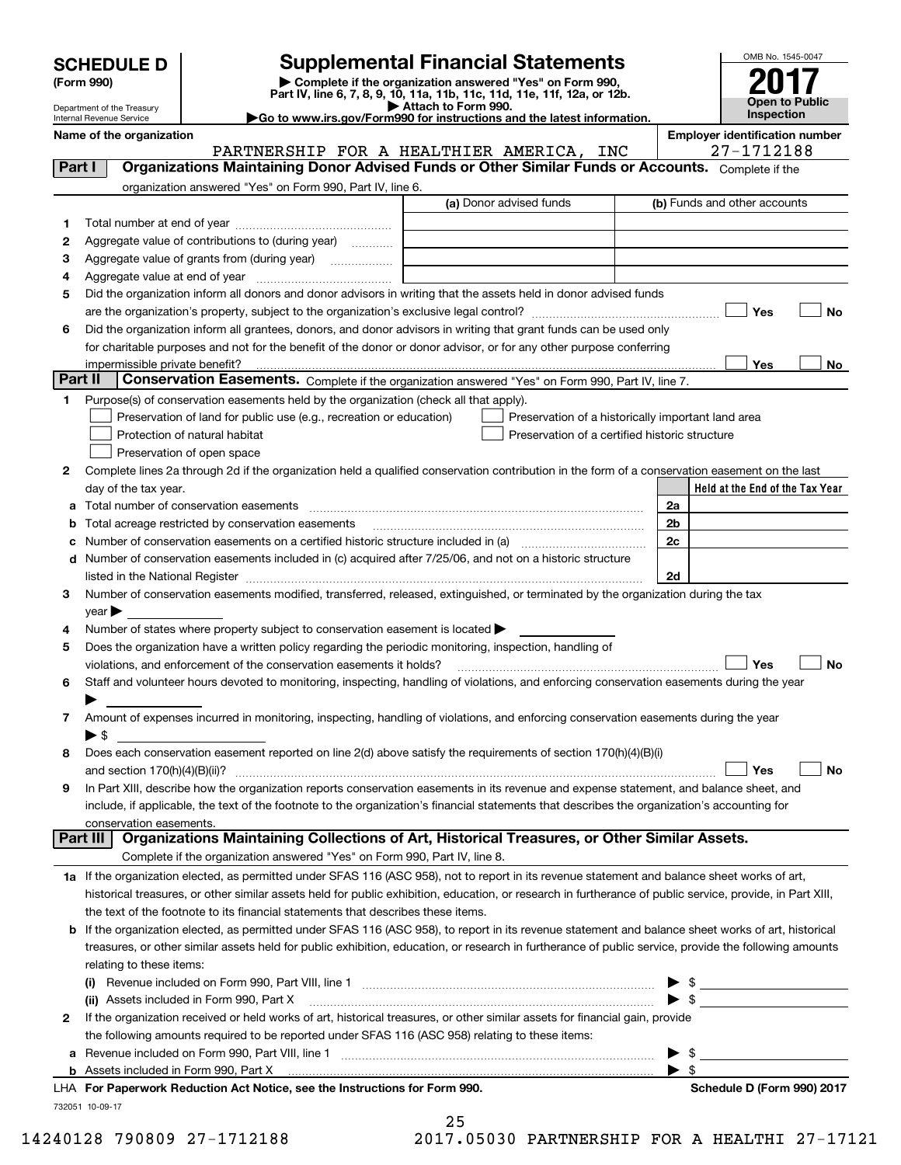Department of the Treasury Internal Revenue Service

# **SCHEDULE D Supplemental Financial Statements**

(Form 990)<br>
Pepartment of the Treasury<br>
Department of the Treasury<br>
Department of the Treasury<br>
Department of the Treasury<br> **Co to www.irs.gov/Form990 for instructions and the latest information.**<br> **Co to www.irs.gov/Form9** 

|  |  | $\blacktriangleright$ Go to www.irs.gov/Form990 for instructions and the latest information |  |  |
|--|--|---------------------------------------------------------------------------------------------|--|--|
|  |  |                                                                                             |  |  |



|          | Name of the organization                                                                                                                                                                                                                                                                                                                                          | PARTNERSHIP FOR A HEALTHIER AMERICA, INC       | <b>Employer identification number</b><br>27-1712188 |
|----------|-------------------------------------------------------------------------------------------------------------------------------------------------------------------------------------------------------------------------------------------------------------------------------------------------------------------------------------------------------------------|------------------------------------------------|-----------------------------------------------------|
| Part I   | Organizations Maintaining Donor Advised Funds or Other Similar Funds or Accounts. Complete if the                                                                                                                                                                                                                                                                 |                                                |                                                     |
|          |                                                                                                                                                                                                                                                                                                                                                                   |                                                |                                                     |
|          | organization answered "Yes" on Form 990, Part IV, line 6.                                                                                                                                                                                                                                                                                                         | (a) Donor advised funds                        | (b) Funds and other accounts                        |
|          |                                                                                                                                                                                                                                                                                                                                                                   |                                                |                                                     |
| 1        |                                                                                                                                                                                                                                                                                                                                                                   |                                                |                                                     |
| 2        | Aggregate value of contributions to (during year)                                                                                                                                                                                                                                                                                                                 |                                                |                                                     |
| з        |                                                                                                                                                                                                                                                                                                                                                                   |                                                |                                                     |
| 4        |                                                                                                                                                                                                                                                                                                                                                                   |                                                |                                                     |
| 5        | Did the organization inform all donors and donor advisors in writing that the assets held in donor advised funds                                                                                                                                                                                                                                                  |                                                |                                                     |
|          |                                                                                                                                                                                                                                                                                                                                                                   |                                                | Yes<br>No                                           |
| 6        | Did the organization inform all grantees, donors, and donor advisors in writing that grant funds can be used only<br>for charitable purposes and not for the benefit of the donor or donor advisor, or for any other purpose conferring                                                                                                                           |                                                |                                                     |
|          |                                                                                                                                                                                                                                                                                                                                                                   |                                                | Yes<br>No                                           |
| Part II  | Conservation Easements. Complete if the organization answered "Yes" on Form 990, Part IV, line 7.                                                                                                                                                                                                                                                                 |                                                |                                                     |
| 1        |                                                                                                                                                                                                                                                                                                                                                                   |                                                |                                                     |
|          | Purpose(s) of conservation easements held by the organization (check all that apply).                                                                                                                                                                                                                                                                             |                                                |                                                     |
|          | Preservation of land for public use (e.g., recreation or education)<br>Protection of natural habitat                                                                                                                                                                                                                                                              | Preservation of a certified historic structure | Preservation of a historically important land area  |
|          | Preservation of open space                                                                                                                                                                                                                                                                                                                                        |                                                |                                                     |
| 2        | Complete lines 2a through 2d if the organization held a qualified conservation contribution in the form of a conservation easement on the last                                                                                                                                                                                                                    |                                                |                                                     |
|          | day of the tax year.                                                                                                                                                                                                                                                                                                                                              |                                                | Held at the End of the Tax Year                     |
|          |                                                                                                                                                                                                                                                                                                                                                                   |                                                | 2a                                                  |
| а        | Total acreage restricted by conservation easements                                                                                                                                                                                                                                                                                                                |                                                | 2 <sub>b</sub>                                      |
| b        | Number of conservation easements on a certified historic structure included in (a) manufacture included in (a)                                                                                                                                                                                                                                                    |                                                | 2c                                                  |
| с        | Number of conservation easements included in (c) acquired after 7/25/06, and not on a historic structure                                                                                                                                                                                                                                                          |                                                |                                                     |
| d        |                                                                                                                                                                                                                                                                                                                                                                   |                                                | 2d                                                  |
| 3        | listed in the National Register [111] Marshall Register [11] Marshall Register [11] Marshall Register [11] Marshall Register [11] Marshall Register [11] Marshall Register [11] Marshall Register [11] Marshall Register [11]<br>Number of conservation easements modified, transferred, released, extinguished, or terminated by the organization during the tax |                                                |                                                     |
|          | $\vee$ ear $\blacktriangleright$                                                                                                                                                                                                                                                                                                                                  |                                                |                                                     |
| 4        | Number of states where property subject to conservation easement is located >                                                                                                                                                                                                                                                                                     |                                                |                                                     |
| 5        | Does the organization have a written policy regarding the periodic monitoring, inspection, handling of                                                                                                                                                                                                                                                            |                                                |                                                     |
|          | violations, and enforcement of the conservation easements it holds?                                                                                                                                                                                                                                                                                               |                                                | Yes<br>No                                           |
| 6        | Staff and volunteer hours devoted to monitoring, inspecting, handling of violations, and enforcing conservation easements during the year                                                                                                                                                                                                                         |                                                |                                                     |
|          |                                                                                                                                                                                                                                                                                                                                                                   |                                                |                                                     |
| 7        | Amount of expenses incurred in monitoring, inspecting, handling of violations, and enforcing conservation easements during the year                                                                                                                                                                                                                               |                                                |                                                     |
|          | $\blacktriangleright$ S                                                                                                                                                                                                                                                                                                                                           |                                                |                                                     |
| 8        | Does each conservation easement reported on line 2(d) above satisfy the requirements of section 170(h)(4)(B)(i)                                                                                                                                                                                                                                                   |                                                |                                                     |
|          |                                                                                                                                                                                                                                                                                                                                                                   |                                                | Yes<br>No                                           |
| 9        | In Part XIII, describe how the organization reports conservation easements in its revenue and expense statement, and balance sheet, and                                                                                                                                                                                                                           |                                                |                                                     |
|          | include, if applicable, the text of the footnote to the organization's financial statements that describes the organization's accounting for                                                                                                                                                                                                                      |                                                |                                                     |
|          | conservation easements.                                                                                                                                                                                                                                                                                                                                           |                                                |                                                     |
| Part III | Organizations Maintaining Collections of Art, Historical Treasures, or Other Similar Assets.                                                                                                                                                                                                                                                                      |                                                |                                                     |
|          | Complete if the organization answered "Yes" on Form 990, Part IV, line 8.                                                                                                                                                                                                                                                                                         |                                                |                                                     |
|          | 1a If the organization elected, as permitted under SFAS 116 (ASC 958), not to report in its revenue statement and balance sheet works of art,                                                                                                                                                                                                                     |                                                |                                                     |
|          | historical treasures, or other similar assets held for public exhibition, education, or research in furtherance of public service, provide, in Part XIII,                                                                                                                                                                                                         |                                                |                                                     |
|          | the text of the footnote to its financial statements that describes these items.                                                                                                                                                                                                                                                                                  |                                                |                                                     |
| b        | If the organization elected, as permitted under SFAS 116 (ASC 958), to report in its revenue statement and balance sheet works of art, historical                                                                                                                                                                                                                 |                                                |                                                     |
|          | treasures, or other similar assets held for public exhibition, education, or research in furtherance of public service, provide the following amounts                                                                                                                                                                                                             |                                                |                                                     |
|          | relating to these items:                                                                                                                                                                                                                                                                                                                                          |                                                |                                                     |
|          |                                                                                                                                                                                                                                                                                                                                                                   |                                                | $\frac{1}{2}$                                       |
|          | (ii) Assets included in Form 990, Part X                                                                                                                                                                                                                                                                                                                          |                                                | $\blacktriangleright$ \$                            |
| 2        | If the organization received or held works of art, historical treasures, or other similar assets for financial gain, provide                                                                                                                                                                                                                                      |                                                |                                                     |
|          | the following amounts required to be reported under SFAS 116 (ASC 958) relating to these items:                                                                                                                                                                                                                                                                   |                                                |                                                     |
| а        |                                                                                                                                                                                                                                                                                                                                                                   |                                                | \$                                                  |
|          |                                                                                                                                                                                                                                                                                                                                                                   |                                                |                                                     |
|          | LHA For Paperwork Reduction Act Notice, see the Instructions for Form 990.                                                                                                                                                                                                                                                                                        |                                                | Schedule D (Form 990) 2017                          |

732051 10-09-17

25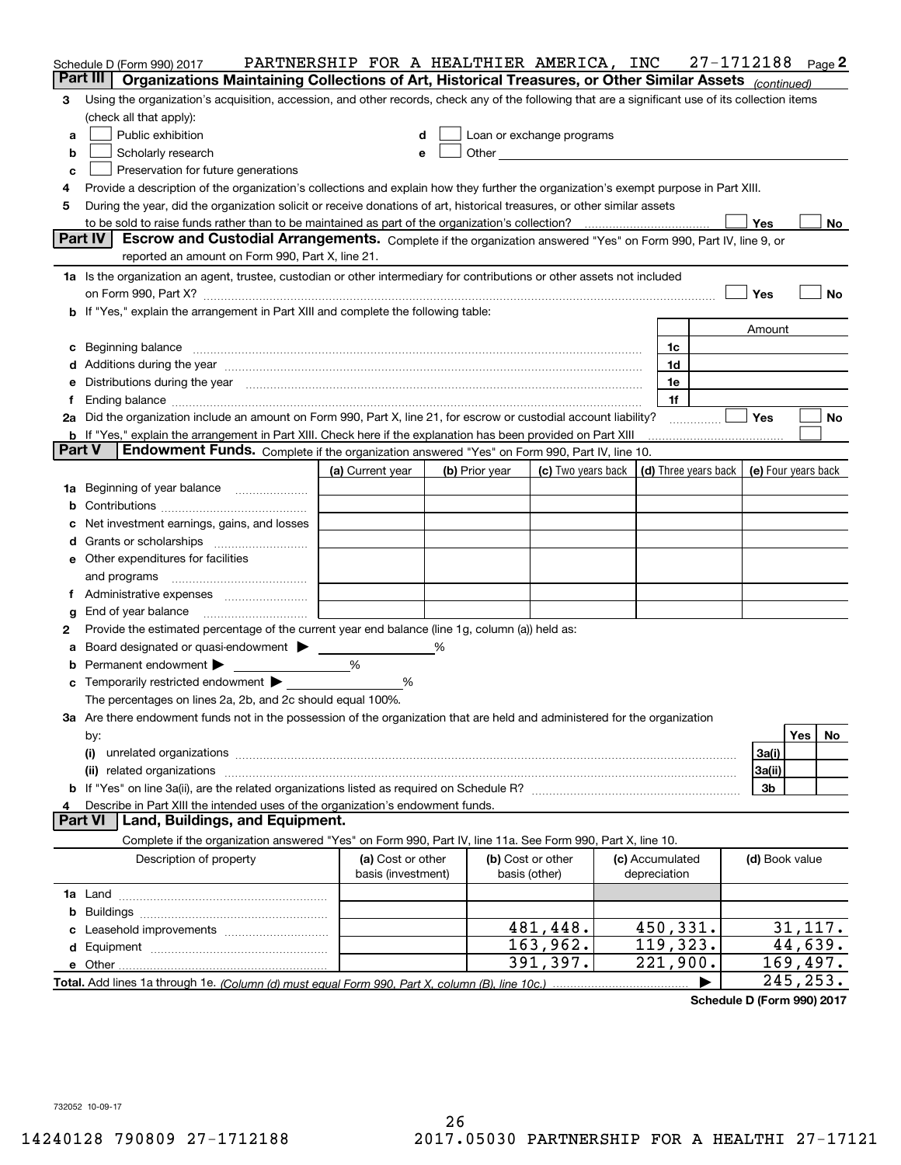|               | Schedule D (Form 990) 2017                                                                                                                                                                                                     | PARTNERSHIP FOR A HEALTHIER AMERICA, INC |   |                |                                                                                                                                                                                                                               |                 | 27-1712188 |                | Page 2    |
|---------------|--------------------------------------------------------------------------------------------------------------------------------------------------------------------------------------------------------------------------------|------------------------------------------|---|----------------|-------------------------------------------------------------------------------------------------------------------------------------------------------------------------------------------------------------------------------|-----------------|------------|----------------|-----------|
|               | Part III<br>Organizations Maintaining Collections of Art, Historical Treasures, or Other Similar Assets (continued)                                                                                                            |                                          |   |                |                                                                                                                                                                                                                               |                 |            |                |           |
| 3             | Using the organization's acquisition, accession, and other records, check any of the following that are a significant use of its collection items                                                                              |                                          |   |                |                                                                                                                                                                                                                               |                 |            |                |           |
|               | (check all that apply):                                                                                                                                                                                                        |                                          |   |                |                                                                                                                                                                                                                               |                 |            |                |           |
| а             | Public exhibition                                                                                                                                                                                                              | d                                        |   |                | Loan or exchange programs                                                                                                                                                                                                     |                 |            |                |           |
| b             | Scholarly research                                                                                                                                                                                                             | e                                        |   |                | Other and the contract of the contract of the contract of the contract of the contract of the contract of the contract of the contract of the contract of the contract of the contract of the contract of the contract of the |                 |            |                |           |
| c             | Preservation for future generations                                                                                                                                                                                            |                                          |   |                |                                                                                                                                                                                                                               |                 |            |                |           |
| 4             | Provide a description of the organization's collections and explain how they further the organization's exempt purpose in Part XIII.                                                                                           |                                          |   |                |                                                                                                                                                                                                                               |                 |            |                |           |
| 5             | During the year, did the organization solicit or receive donations of art, historical treasures, or other similar assets                                                                                                       |                                          |   |                |                                                                                                                                                                                                                               |                 |            |                |           |
|               |                                                                                                                                                                                                                                |                                          |   |                |                                                                                                                                                                                                                               |                 |            | Yes            | No        |
|               | Part IV<br>Escrow and Custodial Arrangements. Complete if the organization answered "Yes" on Form 990, Part IV, line 9, or                                                                                                     |                                          |   |                |                                                                                                                                                                                                                               |                 |            |                |           |
|               | reported an amount on Form 990, Part X, line 21.                                                                                                                                                                               |                                          |   |                |                                                                                                                                                                                                                               |                 |            |                |           |
|               | 1a Is the organization an agent, trustee, custodian or other intermediary for contributions or other assets not included                                                                                                       |                                          |   |                |                                                                                                                                                                                                                               |                 |            |                |           |
|               |                                                                                                                                                                                                                                |                                          |   |                |                                                                                                                                                                                                                               |                 |            | Yes            | No        |
|               | <b>b</b> If "Yes," explain the arrangement in Part XIII and complete the following table:                                                                                                                                      |                                          |   |                |                                                                                                                                                                                                                               |                 |            |                |           |
|               |                                                                                                                                                                                                                                |                                          |   |                |                                                                                                                                                                                                                               |                 |            | Amount         |           |
|               | c Beginning balance measurements and the contract of the contract of the contract of the contract of the contract of the contract of the contract of the contract of the contract of the contract of the contract of the contr |                                          |   |                |                                                                                                                                                                                                                               | 1c              |            |                |           |
|               | d Additions during the year measurements are all an according to the year measurement of the year measurement of the state of the state of the state of the state of the state of the state of the state of the state of the s |                                          |   |                |                                                                                                                                                                                                                               | 1d              |            |                |           |
|               | e Distributions during the year manufactured and continuum and contact the year manufactured and contact the year manufactured and contact the year manufactured and contact the year manufactured and contact the year manufa |                                          |   |                |                                                                                                                                                                                                                               | 1e              |            |                |           |
|               |                                                                                                                                                                                                                                |                                          |   |                |                                                                                                                                                                                                                               | 1f              |            | Yes            | No        |
|               | 2a Did the organization include an amount on Form 990, Part X, line 21, for escrow or custodial account liability?                                                                                                             |                                          |   |                |                                                                                                                                                                                                                               |                 |            |                |           |
| <b>Part V</b> | <b>b</b> If "Yes," explain the arrangement in Part XIII. Check here if the explanation has been provided on Part XIII<br>Endowment Funds. Complete if the organization answered "Yes" on Form 990, Part IV, line 10.           |                                          |   |                |                                                                                                                                                                                                                               |                 |            |                |           |
|               |                                                                                                                                                                                                                                | (a) Current year                         |   | (b) Prior year | (c) Two years back   (d) Three years back   (e) Four years back                                                                                                                                                               |                 |            |                |           |
|               | 1a Beginning of year balance                                                                                                                                                                                                   |                                          |   |                |                                                                                                                                                                                                                               |                 |            |                |           |
| b             |                                                                                                                                                                                                                                |                                          |   |                |                                                                                                                                                                                                                               |                 |            |                |           |
| c             | Net investment earnings, gains, and losses                                                                                                                                                                                     |                                          |   |                |                                                                                                                                                                                                                               |                 |            |                |           |
|               |                                                                                                                                                                                                                                |                                          |   |                |                                                                                                                                                                                                                               |                 |            |                |           |
|               | e Other expenditures for facilities                                                                                                                                                                                            |                                          |   |                |                                                                                                                                                                                                                               |                 |            |                |           |
|               |                                                                                                                                                                                                                                |                                          |   |                |                                                                                                                                                                                                                               |                 |            |                |           |
|               |                                                                                                                                                                                                                                |                                          |   |                |                                                                                                                                                                                                                               |                 |            |                |           |
| g             | End of year balance                                                                                                                                                                                                            |                                          |   |                |                                                                                                                                                                                                                               |                 |            |                |           |
| 2             | Provide the estimated percentage of the current year end balance (line 1g, column (a)) held as:                                                                                                                                |                                          |   |                |                                                                                                                                                                                                                               |                 |            |                |           |
| а             | Board designated or quasi-endowment > ______                                                                                                                                                                                   |                                          | % |                |                                                                                                                                                                                                                               |                 |            |                |           |
|               | <b>b</b> Permanent endowment $\blacktriangleright$                                                                                                                                                                             | %                                        |   |                |                                                                                                                                                                                                                               |                 |            |                |           |
|               | <b>c</b> Temporarily restricted endowment $\blacktriangleright$                                                                                                                                                                | %                                        |   |                |                                                                                                                                                                                                                               |                 |            |                |           |
|               | The percentages on lines 2a, 2b, and 2c should equal 100%.                                                                                                                                                                     |                                          |   |                |                                                                                                                                                                                                                               |                 |            |                |           |
|               | 3a Are there endowment funds not in the possession of the organization that are held and administered for the organization                                                                                                     |                                          |   |                |                                                                                                                                                                                                                               |                 |            |                |           |
|               | by:                                                                                                                                                                                                                            |                                          |   |                |                                                                                                                                                                                                                               |                 |            |                | Yes<br>No |
|               | (i)                                                                                                                                                                                                                            |                                          |   |                |                                                                                                                                                                                                                               |                 |            | 3a(i)          |           |
|               |                                                                                                                                                                                                                                |                                          |   |                |                                                                                                                                                                                                                               |                 |            | 3a(ii)         |           |
|               |                                                                                                                                                                                                                                |                                          |   |                |                                                                                                                                                                                                                               |                 |            | 3b             |           |
| 4             | Describe in Part XIII the intended uses of the organization's endowment funds.                                                                                                                                                 |                                          |   |                |                                                                                                                                                                                                                               |                 |            |                |           |
|               | Land, Buildings, and Equipment.<br><b>Part VI</b>                                                                                                                                                                              |                                          |   |                |                                                                                                                                                                                                                               |                 |            |                |           |
|               | Complete if the organization answered "Yes" on Form 990, Part IV, line 11a. See Form 990, Part X, line 10.                                                                                                                     |                                          |   |                |                                                                                                                                                                                                                               |                 |            |                |           |
|               | Description of property                                                                                                                                                                                                        | (a) Cost or other                        |   |                | (b) Cost or other                                                                                                                                                                                                             | (c) Accumulated |            | (d) Book value |           |
|               |                                                                                                                                                                                                                                | basis (investment)                       |   |                | basis (other)                                                                                                                                                                                                                 | depreciation    |            |                |           |
|               |                                                                                                                                                                                                                                |                                          |   |                |                                                                                                                                                                                                                               |                 |            |                |           |
|               |                                                                                                                                                                                                                                |                                          |   |                |                                                                                                                                                                                                                               |                 |            |                |           |
|               |                                                                                                                                                                                                                                |                                          |   |                | 481,448.                                                                                                                                                                                                                      | 450,331.        |            |                | 31,117.   |
|               |                                                                                                                                                                                                                                |                                          |   |                | 163,962.                                                                                                                                                                                                                      | 119,323.        |            |                | 44,639.   |
|               |                                                                                                                                                                                                                                |                                          |   |                | 391,397.                                                                                                                                                                                                                      | 221,900.        |            |                | 169,497.  |
|               |                                                                                                                                                                                                                                |                                          |   |                |                                                                                                                                                                                                                               |                 |            |                | 245,253.  |

**Schedule D (Form 990) 2017**

732052 10-09-17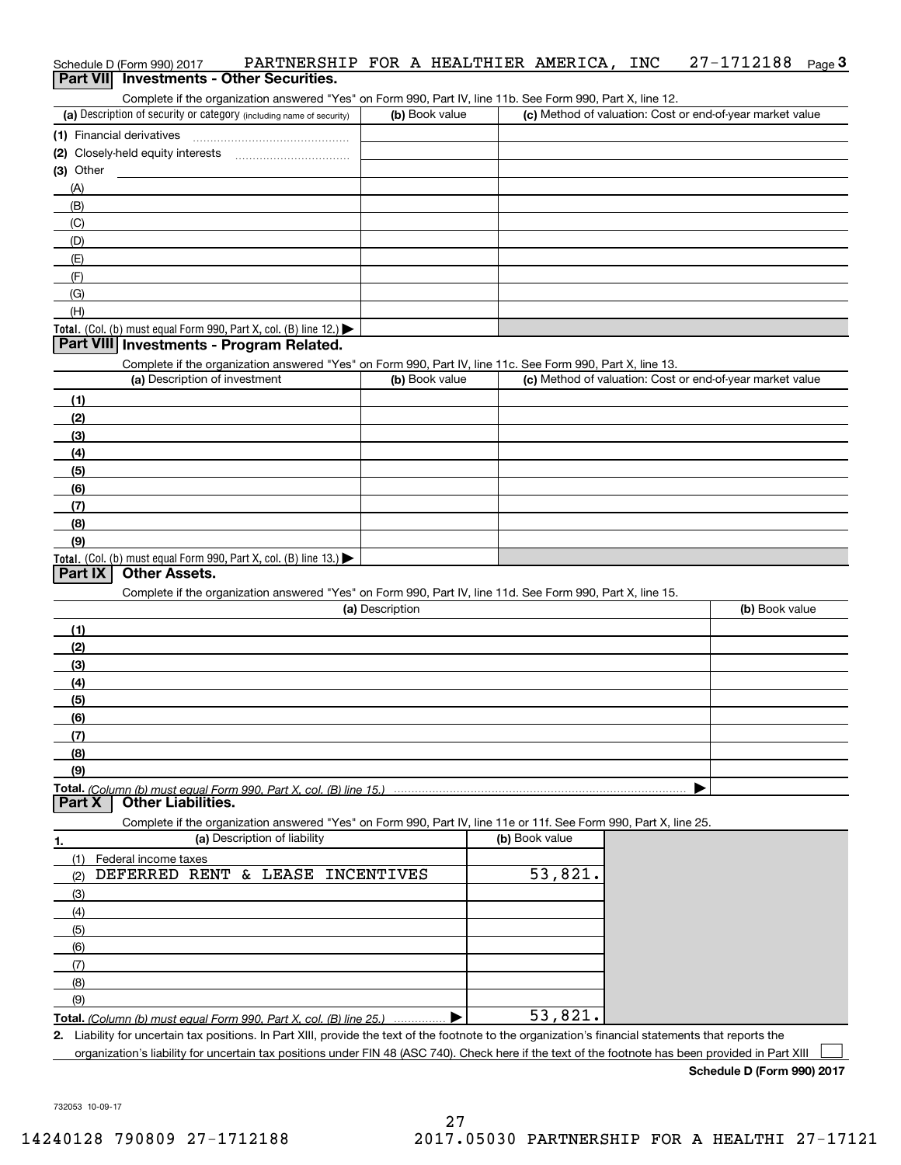| Schedule D (Form 990) 2017 |  | PARTNERSHIP FOR A HEALTHIER AMERICA, INC 27-1712188 Page 3 |  |  |  |  |
|----------------------------|--|------------------------------------------------------------|--|--|--|--|
|                            |  | <b>Part VII</b> Investments - Other Securities.            |  |  |  |  |

Complete if the organization answered "Yes" on Form 990, Part IV, line 11b. See Form 990, Part X, line 12.

| (a) Description of security or category (including name of security)                   | (b) Book value | (c) Method of valuation: Cost or end-of-year market value |
|----------------------------------------------------------------------------------------|----------------|-----------------------------------------------------------|
| (1) Financial derivatives                                                              |                |                                                           |
| (2) Closely-held equity interests                                                      |                |                                                           |
| $(3)$ Other                                                                            |                |                                                           |
| (A)                                                                                    |                |                                                           |
| (B)                                                                                    |                |                                                           |
| (C)                                                                                    |                |                                                           |
| (D)                                                                                    |                |                                                           |
| (E)                                                                                    |                |                                                           |
| (F)                                                                                    |                |                                                           |
| (G)                                                                                    |                |                                                           |
| (H)                                                                                    |                |                                                           |
| Total. (Col. (b) must equal Form 990, Part X, col. (B) line 12.) $\blacktriangleright$ |                |                                                           |

## **Part VIII Investments - Program Related.**

Complete if the organization answered "Yes" on Form 990, Part IV, line 11c. See Form 990, Part X, line 13.

| (a) Description of investment                                                                 | (b) Book value | (c) Method of valuation: Cost or end-of-year market value |
|-----------------------------------------------------------------------------------------------|----------------|-----------------------------------------------------------|
| (1)                                                                                           |                |                                                           |
| (2)                                                                                           |                |                                                           |
| $\frac{1}{2}$                                                                                 |                |                                                           |
| (4)                                                                                           |                |                                                           |
| $\left(5\right)$                                                                              |                |                                                           |
| (6)                                                                                           |                |                                                           |
| (7)                                                                                           |                |                                                           |
| (8)                                                                                           |                |                                                           |
| (9)                                                                                           |                |                                                           |
| <b>Total.</b> (Col. (b) must equal Form 990, Part X, col. (B) line 13.) $\blacktriangleright$ |                |                                                           |

# **Part IX Other Assets.**

Complete if the organization answered "Yes" on Form 990, Part IV, line 11d. See Form 990, Part X, line 15.

| (a) Description | (b) Book value |
|-----------------|----------------|
| (1)             |                |
| (2)             |                |
| $\frac{1}{2}$   |                |
| (4)             |                |
| $\frac{1}{2}$   |                |
| (6)             |                |
| (7)             |                |
| (8)             |                |
| (9)             |                |
|                 |                |

**Part X Other Liabilities.**

Complete if the organization answered "Yes" on Form 990, Part IV, line 11e or 11f. See Form 990, Part X, line 25.

| 1.  | (a) Description of liability                                            | (b) Book value |
|-----|-------------------------------------------------------------------------|----------------|
| (1) | Federal income taxes                                                    |                |
| (2) | DEFERRED RENT & LEASE INCENTIVES                                        | 53,821.        |
| (3) |                                                                         |                |
| (4) |                                                                         |                |
| (5) |                                                                         |                |
| (6) |                                                                         |                |
| (7) |                                                                         |                |
| (8) |                                                                         |                |
| (9) |                                                                         |                |
|     | Total. (Column (b) must equal Form 990, Part X, col. (B) line 25.)<br>. | 53,821.        |

**2.** Liability for uncertain tax positions. In Part XIII, provide the text of the footnote to the organization's financial statements that reports the organization's liability for uncertain tax positions under FIN 48 (ASC 740). Check here if the text of the footnote has been provided in Part XIII  $\mathcal{L}^{\text{max}}$ 

**Schedule D (Form 990) 2017**

732053 10-09-17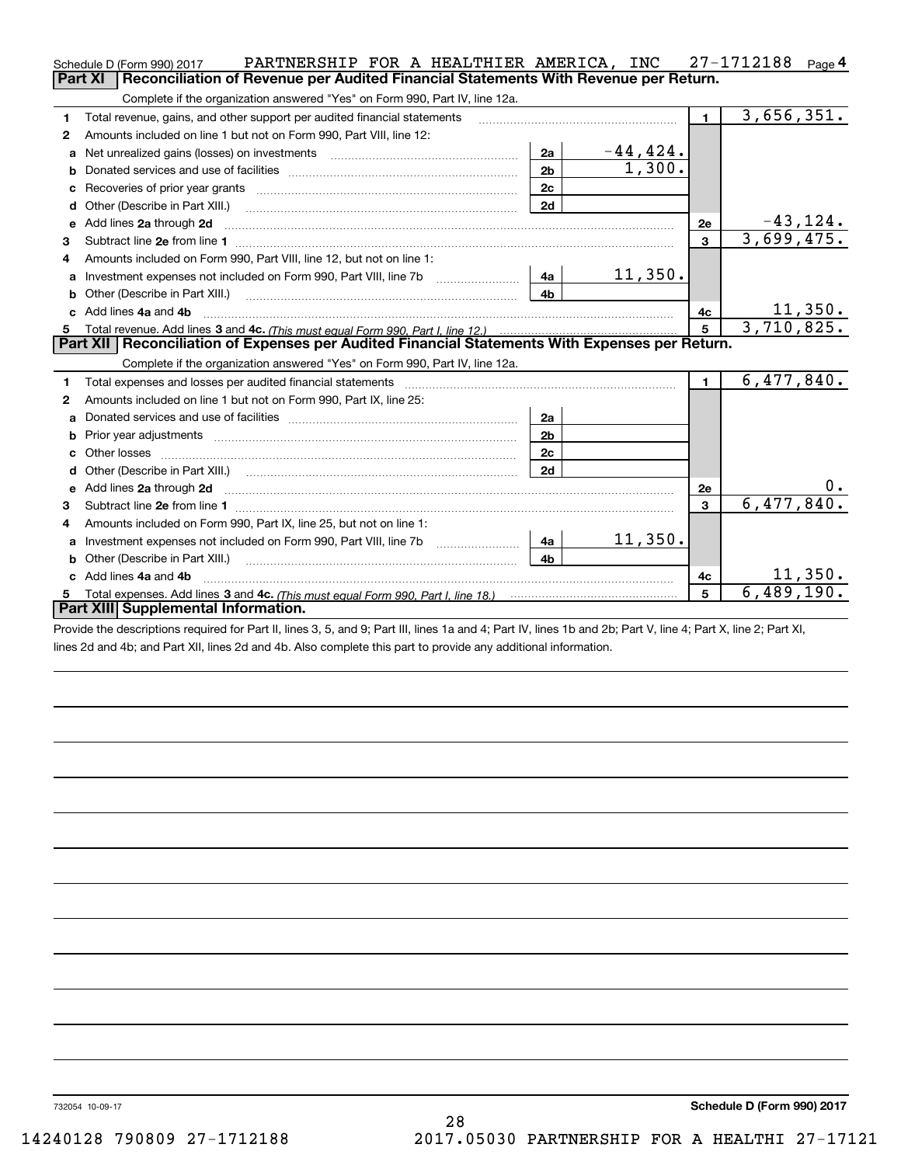|    | PARTNERSHIP FOR A HEALTHIER AMERICA, INC<br>Schedule D (Form 990) 2017                                                                                                                                                              |                |             |                | 27-1712188<br>Page 4        |
|----|-------------------------------------------------------------------------------------------------------------------------------------------------------------------------------------------------------------------------------------|----------------|-------------|----------------|-----------------------------|
|    | Reconciliation of Revenue per Audited Financial Statements With Revenue per Return.<br><b>Part XI</b>                                                                                                                               |                |             |                |                             |
|    | Complete if the organization answered "Yes" on Form 990, Part IV, line 12a.                                                                                                                                                         |                |             |                |                             |
| 1  | Total revenue, gains, and other support per audited financial statements                                                                                                                                                            |                |             | $\blacksquare$ | 3,656,351.                  |
| 2  | Amounts included on line 1 but not on Form 990, Part VIII, line 12:                                                                                                                                                                 |                |             |                |                             |
| a  |                                                                                                                                                                                                                                     | 2a             | $-44, 424.$ |                |                             |
|    |                                                                                                                                                                                                                                     | 2 <sub>b</sub> | 1,300.      |                |                             |
|    |                                                                                                                                                                                                                                     | 2c             |             |                |                             |
| d  | Other (Describe in Part XIII.) <b>2006</b> 2006 2010 2010 2010 2010 2011 2012 2013 2014 2015 2016 2017 2018 2019 2016 2016 2017 2018 2019 2016 2017 2018 2019 2016 2017 2018 2019 2018 2019 2016 2017 2018 2019 2019 2018 2019 2018 | 2d             |             |                |                             |
| е  | Add lines 2a through 2d                                                                                                                                                                                                             |                |             | 2e             | $\frac{-43,124}{3,699,475}$ |
| 3  |                                                                                                                                                                                                                                     |                |             | $\overline{3}$ |                             |
| 4  | Amounts included on Form 990, Part VIII, line 12, but not on line 1:                                                                                                                                                                |                |             |                |                             |
| a  |                                                                                                                                                                                                                                     | l 4a           | 11,350.     |                |                             |
| b  |                                                                                                                                                                                                                                     | 4 <sub>b</sub> |             |                |                             |
| c. | Add lines 4a and 4b                                                                                                                                                                                                                 |                | 4с          | 11,350.        |                             |
|    |                                                                                                                                                                                                                                     | 5              | 3,710,825.  |                |                             |
|    |                                                                                                                                                                                                                                     |                |             |                |                             |
|    | Part XII   Reconciliation of Expenses per Audited Financial Statements With Expenses per Return.                                                                                                                                    |                |             |                |                             |
|    | Complete if the organization answered "Yes" on Form 990, Part IV, line 12a.                                                                                                                                                         |                |             |                |                             |
| 1  | Total expenses and losses per audited financial statements [11,11] [11] Total expenses and losses per audited financial statements [11] [11] Total expenses and losses per audited financial statements                             |                |             | $\blacksquare$ | 6,477,840.                  |
| 2  | Amounts included on line 1 but not on Form 990, Part IX, line 25:                                                                                                                                                                   |                |             |                |                             |
| a  |                                                                                                                                                                                                                                     | 2a             |             |                |                             |
| b  |                                                                                                                                                                                                                                     | 2 <sub>b</sub> |             |                |                             |
| c  |                                                                                                                                                                                                                                     | 2c             |             |                |                             |
| d  | Other (Describe in Part XIII.) (2000) (2000) (2000) (2010) (2010) (2010) (2010) (2010) (2010) (2010) (2010) (20                                                                                                                     | 2d             |             |                |                             |
|    |                                                                                                                                                                                                                                     |                |             | 2e             | $0 \cdot$                   |
| 3  |                                                                                                                                                                                                                                     |                |             | $\mathbf{3}$   | 6,477,840.                  |
| 4  | Amounts included on Form 990, Part IX, line 25, but not on line 1:                                                                                                                                                                  |                |             |                |                             |
| a  | Investment expenses not included on Form 990, Part VIII, line 7b [1000000000000000000000000000000000                                                                                                                                | -4a l          | 11,350.     |                |                             |
| b  |                                                                                                                                                                                                                                     | 4 <sub>b</sub> |             |                |                             |
|    | c Add lines 4a and 4b                                                                                                                                                                                                               |                |             | 4c             | 11,350.                     |
|    | Part XIII Supplemental Information.                                                                                                                                                                                                 |                |             | 5              | 6,489,190.                  |

Provide the descriptions required for Part II, lines 3, 5, and 9; Part III, lines 1a and 4; Part IV, lines 1b and 2b; Part V, line 4; Part X, line 2; Part XI, lines 2d and 4b; and Part XII, lines 2d and 4b. Also complete this part to provide any additional information.

732054 10-09-17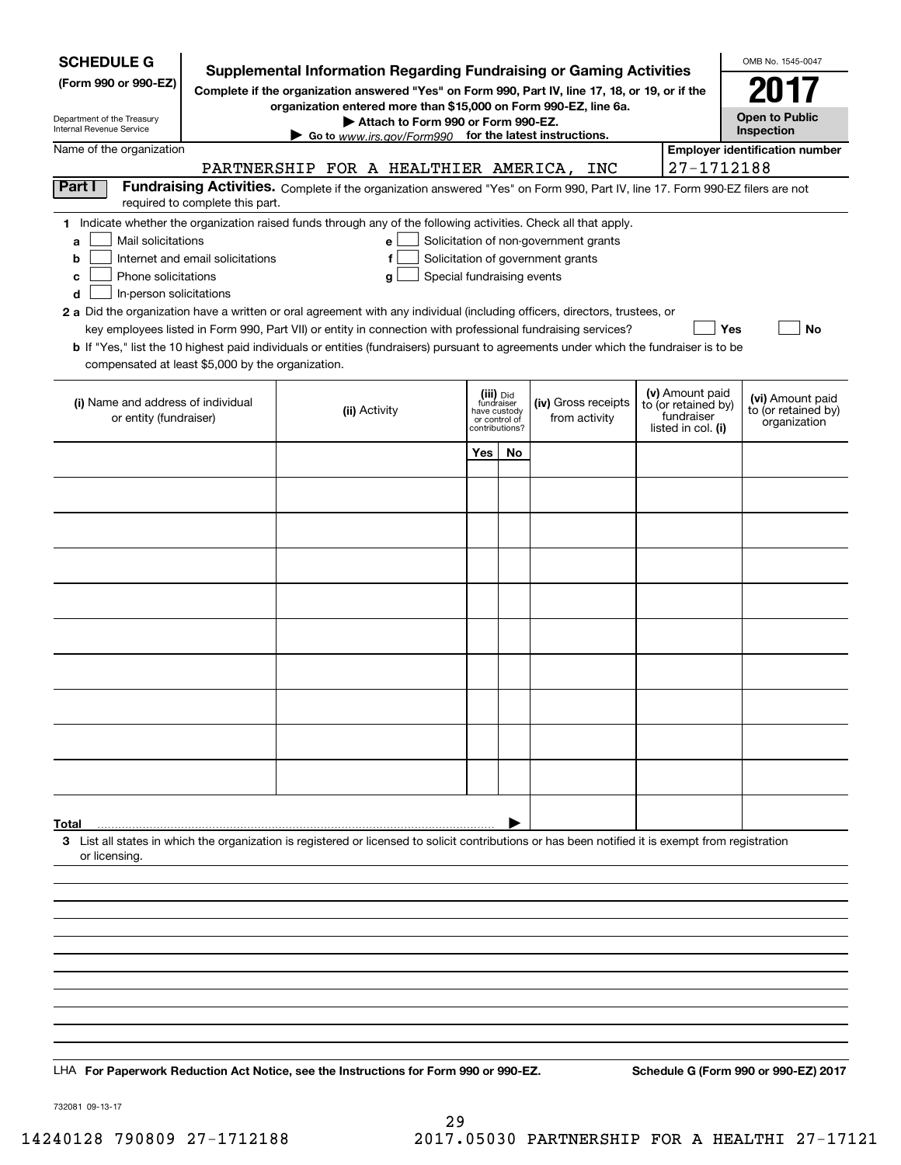| <b>SCHEDULE G</b><br>(Form 990 or 990-EZ)<br>Department of the Treasury<br>Internal Revenue Service                                           |                                  | Supplemental Information Regarding Fundraising or Gaming Activities<br>Complete if the organization answered "Yes" on Form 990, Part IV, line 17, 18, or 19, or if the<br>organization entered more than \$15,000 on Form 990-EZ, line 6a.<br>Attach to Form 990 or Form 990-EZ.<br>Go to www.irs.gov/Form990 for the latest instructions.                                                                                                                                                                                                         |                                                                            |    |                                                                            |                                                                            | OMB No. 1545-0047<br>2017<br><b>Open to Public</b><br>Inspection |
|-----------------------------------------------------------------------------------------------------------------------------------------------|----------------------------------|----------------------------------------------------------------------------------------------------------------------------------------------------------------------------------------------------------------------------------------------------------------------------------------------------------------------------------------------------------------------------------------------------------------------------------------------------------------------------------------------------------------------------------------------------|----------------------------------------------------------------------------|----|----------------------------------------------------------------------------|----------------------------------------------------------------------------|------------------------------------------------------------------|
| Name of the organization                                                                                                                      |                                  | PARTNERSHIP FOR A HEALTHIER AMERICA, INC                                                                                                                                                                                                                                                                                                                                                                                                                                                                                                           |                                                                            |    |                                                                            | 27-1712188                                                                 | <b>Employer identification number</b>                            |
| Part I                                                                                                                                        | required to complete this part.  | Fundraising Activities. Complete if the organization answered "Yes" on Form 990, Part IV, line 17. Form 990-EZ filers are not                                                                                                                                                                                                                                                                                                                                                                                                                      |                                                                            |    |                                                                            |                                                                            |                                                                  |
| Mail solicitations<br>a<br>b<br>Phone solicitations<br>c<br>In-person solicitations<br>d<br>compensated at least \$5,000 by the organization. | Internet and email solicitations | 1 Indicate whether the organization raised funds through any of the following activities. Check all that apply.<br>е<br>f<br>Special fundraising events<br>g<br>2 a Did the organization have a written or oral agreement with any individual (including officers, directors, trustees, or<br>key employees listed in Form 990, Part VII) or entity in connection with professional fundraising services?<br>b If "Yes," list the 10 highest paid individuals or entities (fundraisers) pursuant to agreements under which the fundraiser is to be |                                                                            |    | Solicitation of non-government grants<br>Solicitation of government grants |                                                                            | Yes<br>No                                                        |
| (i) Name and address of individual<br>or entity (fundraiser)                                                                                  |                                  | (ii) Activity                                                                                                                                                                                                                                                                                                                                                                                                                                                                                                                                      | (iii) Did<br>fundraiser<br>have custody<br>or control of<br>contributions? |    | (iv) Gross receipts<br>from activity                                       | (v) Amount paid<br>to (or retained by)<br>fundraiser<br>listed in col. (i) | (vi) Amount paid<br>to (or retained by)<br>organization          |
|                                                                                                                                               |                                  |                                                                                                                                                                                                                                                                                                                                                                                                                                                                                                                                                    | Yes                                                                        | No |                                                                            |                                                                            |                                                                  |
|                                                                                                                                               |                                  |                                                                                                                                                                                                                                                                                                                                                                                                                                                                                                                                                    |                                                                            |    |                                                                            |                                                                            |                                                                  |
|                                                                                                                                               |                                  |                                                                                                                                                                                                                                                                                                                                                                                                                                                                                                                                                    |                                                                            |    |                                                                            |                                                                            |                                                                  |
|                                                                                                                                               |                                  |                                                                                                                                                                                                                                                                                                                                                                                                                                                                                                                                                    |                                                                            |    |                                                                            |                                                                            |                                                                  |
|                                                                                                                                               |                                  |                                                                                                                                                                                                                                                                                                                                                                                                                                                                                                                                                    |                                                                            |    |                                                                            |                                                                            |                                                                  |
|                                                                                                                                               |                                  |                                                                                                                                                                                                                                                                                                                                                                                                                                                                                                                                                    |                                                                            |    |                                                                            |                                                                            |                                                                  |
|                                                                                                                                               |                                  |                                                                                                                                                                                                                                                                                                                                                                                                                                                                                                                                                    |                                                                            |    |                                                                            |                                                                            |                                                                  |
|                                                                                                                                               |                                  |                                                                                                                                                                                                                                                                                                                                                                                                                                                                                                                                                    |                                                                            |    |                                                                            |                                                                            |                                                                  |
|                                                                                                                                               |                                  |                                                                                                                                                                                                                                                                                                                                                                                                                                                                                                                                                    |                                                                            |    |                                                                            |                                                                            |                                                                  |
|                                                                                                                                               |                                  |                                                                                                                                                                                                                                                                                                                                                                                                                                                                                                                                                    |                                                                            |    |                                                                            |                                                                            |                                                                  |
|                                                                                                                                               |                                  |                                                                                                                                                                                                                                                                                                                                                                                                                                                                                                                                                    |                                                                            |    |                                                                            |                                                                            |                                                                  |
| Total                                                                                                                                         |                                  |                                                                                                                                                                                                                                                                                                                                                                                                                                                                                                                                                    |                                                                            |    |                                                                            |                                                                            |                                                                  |
| or licensing.                                                                                                                                 |                                  | 3 List all states in which the organization is registered or licensed to solicit contributions or has been notified it is exempt from registration                                                                                                                                                                                                                                                                                                                                                                                                 |                                                                            |    |                                                                            |                                                                            |                                                                  |
|                                                                                                                                               |                                  |                                                                                                                                                                                                                                                                                                                                                                                                                                                                                                                                                    |                                                                            |    |                                                                            |                                                                            |                                                                  |
|                                                                                                                                               |                                  |                                                                                                                                                                                                                                                                                                                                                                                                                                                                                                                                                    |                                                                            |    |                                                                            |                                                                            |                                                                  |
|                                                                                                                                               |                                  |                                                                                                                                                                                                                                                                                                                                                                                                                                                                                                                                                    |                                                                            |    |                                                                            |                                                                            |                                                                  |
|                                                                                                                                               |                                  |                                                                                                                                                                                                                                                                                                                                                                                                                                                                                                                                                    |                                                                            |    |                                                                            |                                                                            |                                                                  |
|                                                                                                                                               |                                  |                                                                                                                                                                                                                                                                                                                                                                                                                                                                                                                                                    |                                                                            |    |                                                                            |                                                                            |                                                                  |
|                                                                                                                                               |                                  | LHA For Paperwork Reduction Act Notice, see the Instructions for Form 990 or 990-EZ.                                                                                                                                                                                                                                                                                                                                                                                                                                                               |                                                                            |    |                                                                            |                                                                            | Schedule G (Form 990 or 990-EZ) 2017                             |

732081 09-13-17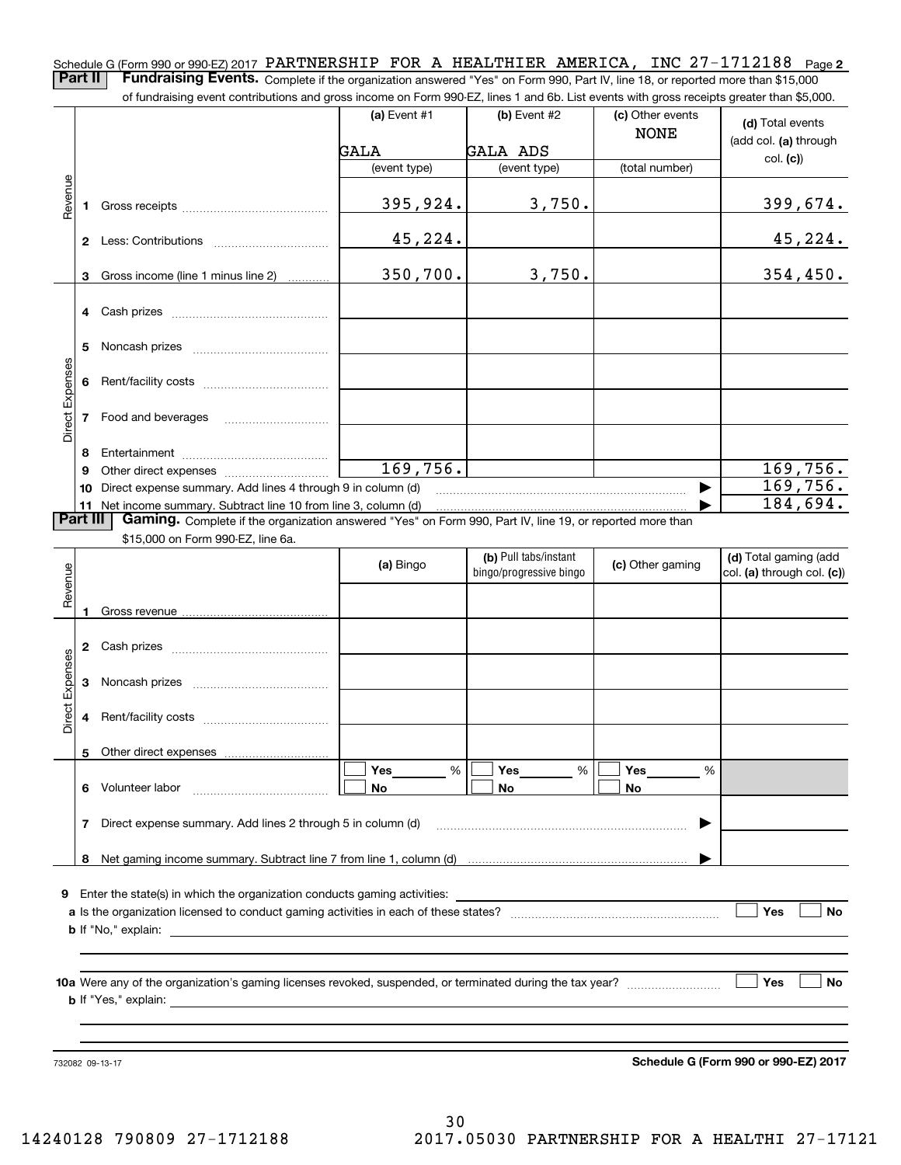Schedule G (Form 990 or 990-EZ) 2017 PARTNERSHIP FOR A HEALTHIER AMERICA, INC 27-1712188 <sub>Page</sub> 2 **Part II** | Fundraising Events. Complete if the organization answered "Yes" on Form 990, Part IV, line 18, or reported more than \$15,000

of fundraising event contributions and gross income on Form 990-EZ, lines 1 and 6b. List events with gross receipts greater than \$5,000.

|                 |          | .000.or rundraising event contributions and gross income on Form 990-EZ, lines 1 and 6b. List events with gross receipts greater than \$5,000. |                |                                                  |                                 |                                                     |
|-----------------|----------|------------------------------------------------------------------------------------------------------------------------------------------------|----------------|--------------------------------------------------|---------------------------------|-----------------------------------------------------|
|                 |          |                                                                                                                                                | (a) Event $#1$ | $(b)$ Event #2                                   | (c) Other events<br><b>NONE</b> | (d) Total events<br>(add col. (a) through           |
|                 |          |                                                                                                                                                | GALA           | <b>GALA ADS</b>                                  |                                 | col. (c)                                            |
|                 |          |                                                                                                                                                | (event type)   | (event type)                                     | (total number)                  |                                                     |
| Revenue         |          |                                                                                                                                                | 395,924.       | 3,750.                                           |                                 | 399,674.                                            |
|                 |          |                                                                                                                                                | 45,224.        |                                                  |                                 | 45,224.                                             |
|                 |          | 3 Gross income (line 1 minus line 2)                                                                                                           | 350,700.       | 3,750.                                           |                                 | 354,450.                                            |
|                 |          |                                                                                                                                                |                |                                                  |                                 |                                                     |
|                 | 5        |                                                                                                                                                |                |                                                  |                                 |                                                     |
|                 |          |                                                                                                                                                |                |                                                  |                                 |                                                     |
| Direct Expenses |          | 7 Food and beverages                                                                                                                           |                |                                                  |                                 |                                                     |
|                 | 8        |                                                                                                                                                |                |                                                  |                                 |                                                     |
|                 | 9        |                                                                                                                                                | 169,756.       |                                                  |                                 | 169,756.                                            |
|                 |          | 10 Direct expense summary. Add lines 4 through 9 in column (d)                                                                                 |                |                                                  |                                 | 169,756.                                            |
|                 |          | 11 Net income summary. Subtract line 10 from line 3, column (d)                                                                                |                |                                                  |                                 | 184,694.                                            |
|                 | Part III | Gaming. Complete if the organization answered "Yes" on Form 990, Part IV, line 19, or reported more than                                       |                |                                                  |                                 |                                                     |
|                 |          | \$15,000 on Form 990-EZ, line 6a.                                                                                                              |                |                                                  |                                 |                                                     |
| Revenue         |          |                                                                                                                                                | (a) Bingo      | (b) Pull tabs/instant<br>bingo/progressive bingo | (c) Other gaming                | (d) Total gaming (add<br>col. (a) through col. (c)) |
|                 | 1        |                                                                                                                                                |                |                                                  |                                 |                                                     |
|                 |          |                                                                                                                                                |                |                                                  |                                 |                                                     |
| Direct Expenses |          |                                                                                                                                                |                |                                                  |                                 |                                                     |
|                 |          |                                                                                                                                                |                |                                                  |                                 |                                                     |
|                 |          | 5 Other direct expenses                                                                                                                        |                |                                                  |                                 |                                                     |
|                 |          |                                                                                                                                                | %<br>Yes       | Yes<br>%                                         | Yes<br>%                        |                                                     |
|                 | 6        | Volunteer labor                                                                                                                                | No             | No                                               | No                              |                                                     |
|                 | 7        | Direct expense summary. Add lines 2 through 5 in column (d)                                                                                    |                |                                                  |                                 |                                                     |
|                 |          |                                                                                                                                                |                |                                                  |                                 |                                                     |
|                 | 8        |                                                                                                                                                |                |                                                  |                                 |                                                     |
|                 |          | <b>9</b> Enter the state(s) in which the organization conducts gaming activities:                                                              |                |                                                  |                                 |                                                     |
|                 |          |                                                                                                                                                |                |                                                  |                                 | Yes<br><b>No</b>                                    |
|                 |          |                                                                                                                                                |                |                                                  |                                 |                                                     |
|                 |          |                                                                                                                                                |                |                                                  |                                 |                                                     |
|                 |          |                                                                                                                                                |                |                                                  |                                 |                                                     |
|                 |          |                                                                                                                                                |                |                                                  |                                 | Yes<br>No                                           |
|                 |          | <b>b</b> If "Yes," explain:                                                                                                                    |                |                                                  |                                 |                                                     |
|                 |          |                                                                                                                                                |                |                                                  |                                 |                                                     |
|                 |          |                                                                                                                                                |                |                                                  |                                 |                                                     |

732082 09-13-17

**Schedule G (Form 990 or 990-EZ) 2017**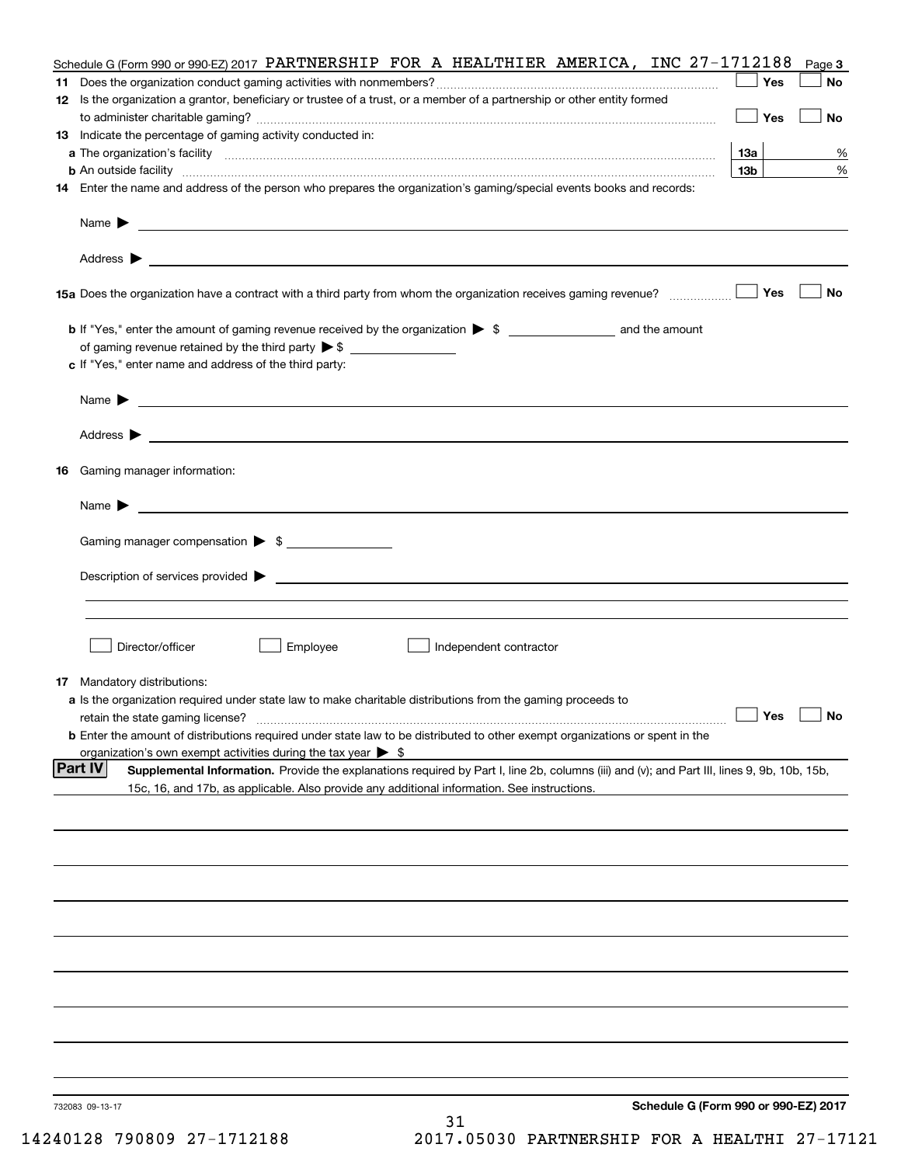|    | Schedule G (Form 990 or 990-EZ) 2017 PARTNERSHIP FOR A HEALTHIER AMERICA, INC 27-1712188                                                                                                                                                |                 | Page 3    |
|----|-----------------------------------------------------------------------------------------------------------------------------------------------------------------------------------------------------------------------------------------|-----------------|-----------|
| 11 |                                                                                                                                                                                                                                         | Yes             | No        |
|    | 12 Is the organization a grantor, beneficiary or trustee of a trust, or a member of a partnership or other entity formed                                                                                                                |                 |           |
|    |                                                                                                                                                                                                                                         | Yes             | No        |
|    | 13 Indicate the percentage of gaming activity conducted in:                                                                                                                                                                             |                 |           |
|    |                                                                                                                                                                                                                                         | 13a             | %         |
|    |                                                                                                                                                                                                                                         | 13 <sub>b</sub> | %         |
|    | 14 Enter the name and address of the person who prepares the organization's gaming/special events books and records:                                                                                                                    |                 |           |
|    |                                                                                                                                                                                                                                         |                 |           |
|    |                                                                                                                                                                                                                                         |                 |           |
|    |                                                                                                                                                                                                                                         | Yes             | No        |
|    |                                                                                                                                                                                                                                         |                 |           |
|    | of gaming revenue retained by the third party $\triangleright$ \$                                                                                                                                                                       |                 |           |
|    | c If "Yes," enter name and address of the third party:                                                                                                                                                                                  |                 |           |
|    | Name $\blacktriangleright$ $\bot$                                                                                                                                                                                                       |                 |           |
|    |                                                                                                                                                                                                                                         |                 |           |
|    |                                                                                                                                                                                                                                         |                 |           |
|    | 16 Gaming manager information:                                                                                                                                                                                                          |                 |           |
|    | $Name \rightarrow$                                                                                                                                                                                                                      |                 |           |
|    | Gaming manager compensation > \$                                                                                                                                                                                                        |                 |           |
|    |                                                                                                                                                                                                                                         |                 |           |
|    |                                                                                                                                                                                                                                         |                 |           |
|    |                                                                                                                                                                                                                                         |                 |           |
|    |                                                                                                                                                                                                                                         |                 |           |
|    | Employee<br>Director/officer<br>Independent contractor                                                                                                                                                                                  |                 |           |
|    |                                                                                                                                                                                                                                         |                 |           |
|    | <b>17</b> Mandatory distributions:                                                                                                                                                                                                      |                 |           |
|    | a Is the organization required under state law to make charitable distributions from the gaming proceeds to                                                                                                                             | $\Box$ Yes      |           |
|    | retain the state gaming license?                                                                                                                                                                                                        |                 | $\Box$ No |
|    | <b>b</b> Enter the amount of distributions required under state law to be distributed to other exempt organizations or spent in the                                                                                                     |                 |           |
|    | organization's own exempt activities during the tax year $\triangleright$ \$<br> Part IV<br>Supplemental Information. Provide the explanations required by Part I, line 2b, columns (iii) and (v); and Part III, lines 9, 9b, 10b, 15b, |                 |           |
|    | 15c, 16, and 17b, as applicable. Also provide any additional information. See instructions.                                                                                                                                             |                 |           |
|    |                                                                                                                                                                                                                                         |                 |           |
|    |                                                                                                                                                                                                                                         |                 |           |
|    |                                                                                                                                                                                                                                         |                 |           |
|    |                                                                                                                                                                                                                                         |                 |           |
|    |                                                                                                                                                                                                                                         |                 |           |
|    |                                                                                                                                                                                                                                         |                 |           |
|    |                                                                                                                                                                                                                                         |                 |           |
|    |                                                                                                                                                                                                                                         |                 |           |
|    |                                                                                                                                                                                                                                         |                 |           |
|    |                                                                                                                                                                                                                                         |                 |           |
|    | Schedule G (Form 990 or 990-EZ) 2017<br>732083 09-13-17                                                                                                                                                                                 |                 |           |
|    | 31                                                                                                                                                                                                                                      |                 |           |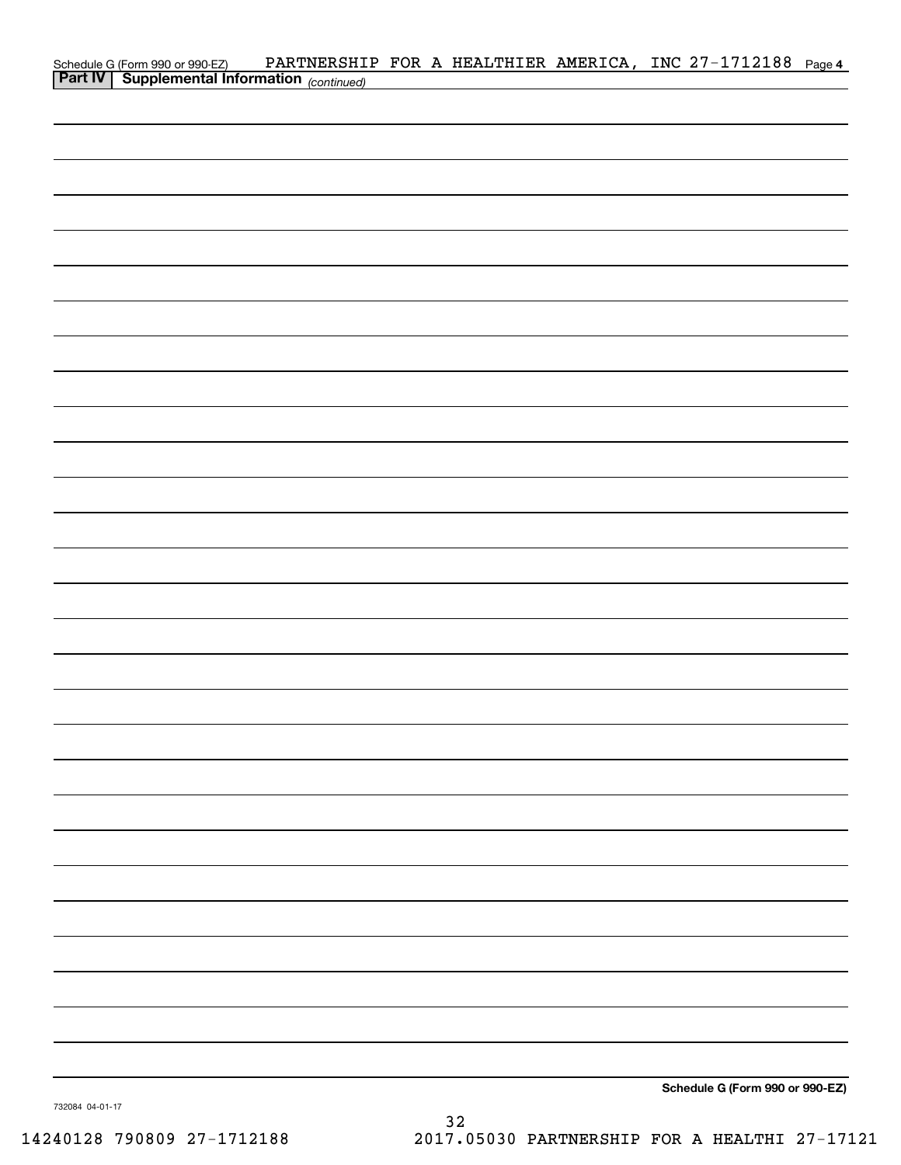| Schedule G (Form 990 or 990-EZ) PARTNERSHI<br>Part IV   Supplemental Information (continued) |  |  | PARTNERSHIP FOR A HEALTHIER AMERICA, INC 27-1712188 Page 4 |  |
|----------------------------------------------------------------------------------------------|--|--|------------------------------------------------------------|--|
|                                                                                              |  |  |                                                            |  |
|                                                                                              |  |  |                                                            |  |
|                                                                                              |  |  |                                                            |  |
|                                                                                              |  |  |                                                            |  |
|                                                                                              |  |  |                                                            |  |
|                                                                                              |  |  |                                                            |  |
|                                                                                              |  |  |                                                            |  |
|                                                                                              |  |  |                                                            |  |
|                                                                                              |  |  |                                                            |  |
|                                                                                              |  |  |                                                            |  |
|                                                                                              |  |  |                                                            |  |
|                                                                                              |  |  |                                                            |  |
|                                                                                              |  |  |                                                            |  |
|                                                                                              |  |  |                                                            |  |
|                                                                                              |  |  |                                                            |  |
|                                                                                              |  |  |                                                            |  |
|                                                                                              |  |  |                                                            |  |
|                                                                                              |  |  |                                                            |  |
|                                                                                              |  |  |                                                            |  |
|                                                                                              |  |  |                                                            |  |
|                                                                                              |  |  |                                                            |  |
|                                                                                              |  |  |                                                            |  |
|                                                                                              |  |  |                                                            |  |
|                                                                                              |  |  |                                                            |  |
|                                                                                              |  |  |                                                            |  |
|                                                                                              |  |  |                                                            |  |
|                                                                                              |  |  |                                                            |  |
|                                                                                              |  |  |                                                            |  |
|                                                                                              |  |  |                                                            |  |
|                                                                                              |  |  |                                                            |  |
|                                                                                              |  |  |                                                            |  |
|                                                                                              |  |  |                                                            |  |
|                                                                                              |  |  |                                                            |  |
|                                                                                              |  |  |                                                            |  |
|                                                                                              |  |  |                                                            |  |
|                                                                                              |  |  |                                                            |  |
|                                                                                              |  |  |                                                            |  |
|                                                                                              |  |  | Schedule G (Form 990 or 990-EZ)                            |  |

732084 04-01-17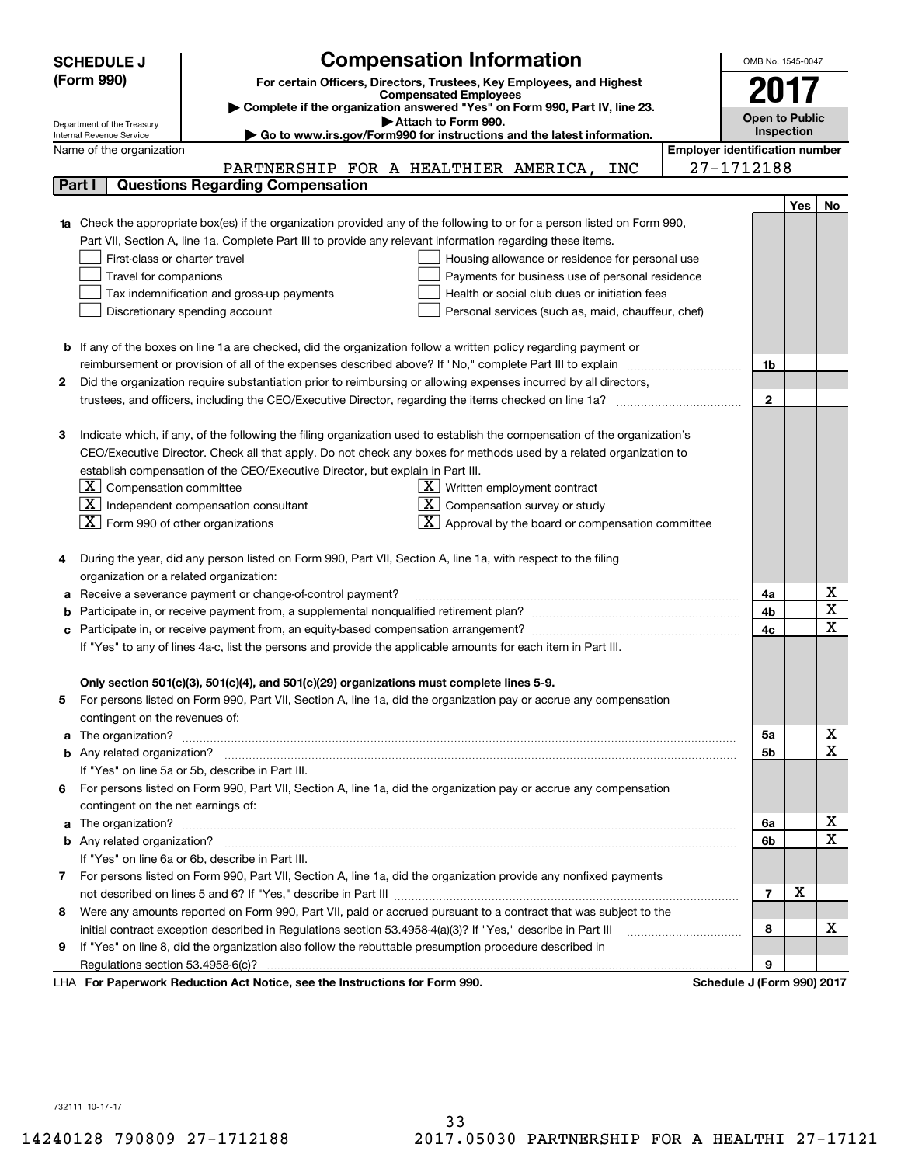|    | <b>SCHEDULE J</b>                                                                                                                                       | <b>Compensation Information</b>                                                                                             |                                       | OMB No. 1545-0047     |     |                                     |  |
|----|---------------------------------------------------------------------------------------------------------------------------------------------------------|-----------------------------------------------------------------------------------------------------------------------------|---------------------------------------|-----------------------|-----|-------------------------------------|--|
|    | (Form 990)                                                                                                                                              | For certain Officers, Directors, Trustees, Key Employees, and Highest                                                       |                                       |                       |     |                                     |  |
|    |                                                                                                                                                         | <b>Compensated Employees</b>                                                                                                |                                       | 2017                  |     |                                     |  |
|    |                                                                                                                                                         | Complete if the organization answered "Yes" on Form 990, Part IV, line 23.                                                  |                                       | <b>Open to Public</b> |     |                                     |  |
|    | Attach to Form 990.<br>Department of the Treasury<br>Go to www.irs.gov/Form990 for instructions and the latest information.<br>Internal Revenue Service |                                                                                                                             |                                       |                       |     |                                     |  |
|    | Name of the organization                                                                                                                                |                                                                                                                             | <b>Employer identification number</b> |                       |     |                                     |  |
|    |                                                                                                                                                         | PARTNERSHIP FOR A HEALTHIER AMERICA, INC                                                                                    | 27-1712188                            |                       |     |                                     |  |
|    | Part I                                                                                                                                                  | <b>Questions Regarding Compensation</b>                                                                                     |                                       |                       |     |                                     |  |
|    |                                                                                                                                                         |                                                                                                                             |                                       |                       | Yes | No                                  |  |
|    |                                                                                                                                                         | 1a Check the appropriate box(es) if the organization provided any of the following to or for a person listed on Form 990,   |                                       |                       |     |                                     |  |
|    |                                                                                                                                                         | Part VII, Section A, line 1a. Complete Part III to provide any relevant information regarding these items.                  |                                       |                       |     |                                     |  |
|    | First-class or charter travel                                                                                                                           | Housing allowance or residence for personal use                                                                             |                                       |                       |     |                                     |  |
|    | Travel for companions                                                                                                                                   | Payments for business use of personal residence                                                                             |                                       |                       |     |                                     |  |
|    |                                                                                                                                                         | Tax indemnification and gross-up payments<br>Health or social club dues or initiation fees                                  |                                       |                       |     |                                     |  |
|    |                                                                                                                                                         | Discretionary spending account<br>Personal services (such as, maid, chauffeur, chef)                                        |                                       |                       |     |                                     |  |
|    |                                                                                                                                                         |                                                                                                                             |                                       |                       |     |                                     |  |
|    |                                                                                                                                                         | <b>b</b> If any of the boxes on line 1a are checked, did the organization follow a written policy regarding payment or      |                                       |                       |     |                                     |  |
|    |                                                                                                                                                         | reimbursement or provision of all of the expenses described above? If "No," complete Part III to explain                    |                                       | 1b                    |     |                                     |  |
| 2  |                                                                                                                                                         | Did the organization require substantiation prior to reimbursing or allowing expenses incurred by all directors,            |                                       |                       |     |                                     |  |
|    |                                                                                                                                                         |                                                                                                                             |                                       | $\mathbf{2}$          |     |                                     |  |
|    |                                                                                                                                                         |                                                                                                                             |                                       |                       |     |                                     |  |
| з  |                                                                                                                                                         | Indicate which, if any, of the following the filing organization used to establish the compensation of the organization's   |                                       |                       |     |                                     |  |
|    |                                                                                                                                                         | CEO/Executive Director. Check all that apply. Do not check any boxes for methods used by a related organization to          |                                       |                       |     |                                     |  |
|    |                                                                                                                                                         | establish compensation of the CEO/Executive Director, but explain in Part III.                                              |                                       |                       |     |                                     |  |
|    | $\lfloor \texttt{X} \rfloor$ Compensation committee                                                                                                     | $\underline{\mathbf{X}}$ Written employment contract                                                                        |                                       |                       |     |                                     |  |
|    |                                                                                                                                                         | $ \mathbf{X} $ Independent compensation consultant<br>Compensation survey or study<br>X                                     |                                       |                       |     |                                     |  |
|    | $\boxed{\textbf{X}}$ Form 990 of other organizations                                                                                                    | Approval by the board or compensation committee                                                                             |                                       |                       |     |                                     |  |
|    |                                                                                                                                                         |                                                                                                                             |                                       |                       |     |                                     |  |
|    |                                                                                                                                                         | During the year, did any person listed on Form 990, Part VII, Section A, line 1a, with respect to the filing                |                                       |                       |     |                                     |  |
|    | organization or a related organization:                                                                                                                 |                                                                                                                             |                                       |                       |     |                                     |  |
|    |                                                                                                                                                         | Receive a severance payment or change-of-control payment?                                                                   |                                       | 4a                    |     | $\underline{x}$                     |  |
|    |                                                                                                                                                         |                                                                                                                             |                                       | 4b                    |     | $\overline{\mathtt{x}}$             |  |
|    |                                                                                                                                                         |                                                                                                                             |                                       | 4c                    |     | $\overline{\text{x}}$               |  |
|    |                                                                                                                                                         | If "Yes" to any of lines 4a-c, list the persons and provide the applicable amounts for each item in Part III.               |                                       |                       |     |                                     |  |
|    |                                                                                                                                                         |                                                                                                                             |                                       |                       |     |                                     |  |
|    |                                                                                                                                                         | Only section 501(c)(3), 501(c)(4), and 501(c)(29) organizations must complete lines 5-9.                                    |                                       |                       |     |                                     |  |
| 5  |                                                                                                                                                         | For persons listed on Form 990, Part VII, Section A, line 1a, did the organization pay or accrue any compensation           |                                       |                       |     |                                     |  |
|    | contingent on the revenues of:                                                                                                                          |                                                                                                                             |                                       |                       |     |                                     |  |
|    |                                                                                                                                                         | a The organization? <b>Manual Community Community</b> Community Community Community Community Community Community Community |                                       | 5а                    |     | $\overline{\mathbf{x}}$             |  |
|    |                                                                                                                                                         |                                                                                                                             |                                       | <b>5b</b>             |     | $\overline{\text{x}}$               |  |
|    |                                                                                                                                                         | If "Yes" on line 5a or 5b, describe in Part III.                                                                            |                                       |                       |     |                                     |  |
| 6. |                                                                                                                                                         | For persons listed on Form 990, Part VII, Section A, line 1a, did the organization pay or accrue any compensation           |                                       |                       |     |                                     |  |
|    | contingent on the net earnings of:                                                                                                                      |                                                                                                                             |                                       |                       |     |                                     |  |
|    |                                                                                                                                                         |                                                                                                                             |                                       | 6a                    |     | <u>x</u><br>$\overline{\mathtt{x}}$ |  |
|    |                                                                                                                                                         |                                                                                                                             |                                       | 6b                    |     |                                     |  |
|    |                                                                                                                                                         | If "Yes" on line 6a or 6b, describe in Part III.                                                                            |                                       |                       |     |                                     |  |
|    |                                                                                                                                                         | 7 For persons listed on Form 990, Part VII, Section A, line 1a, did the organization provide any nonfixed payments          |                                       |                       |     |                                     |  |
|    |                                                                                                                                                         |                                                                                                                             |                                       | 7                     | х   |                                     |  |
| 8  |                                                                                                                                                         | Were any amounts reported on Form 990, Part VII, paid or accrued pursuant to a contract that was subject to the             |                                       |                       |     |                                     |  |
|    |                                                                                                                                                         | initial contract exception described in Regulations section 53.4958-4(a)(3)? If "Yes," describe in Part III                 |                                       | 8                     |     | x                                   |  |
| 9  |                                                                                                                                                         | If "Yes" on line 8, did the organization also follow the rebuttable presumption procedure described in                      |                                       |                       |     |                                     |  |
|    |                                                                                                                                                         | Desiration Ast Notice, and the Instructions for Form 000                                                                    |                                       | 9                     |     |                                     |  |

LHA For Paperwork Reduction Act Notice, see the Instructions for Form 990. Schedule J (Form 990) 2017

732111 10-17-17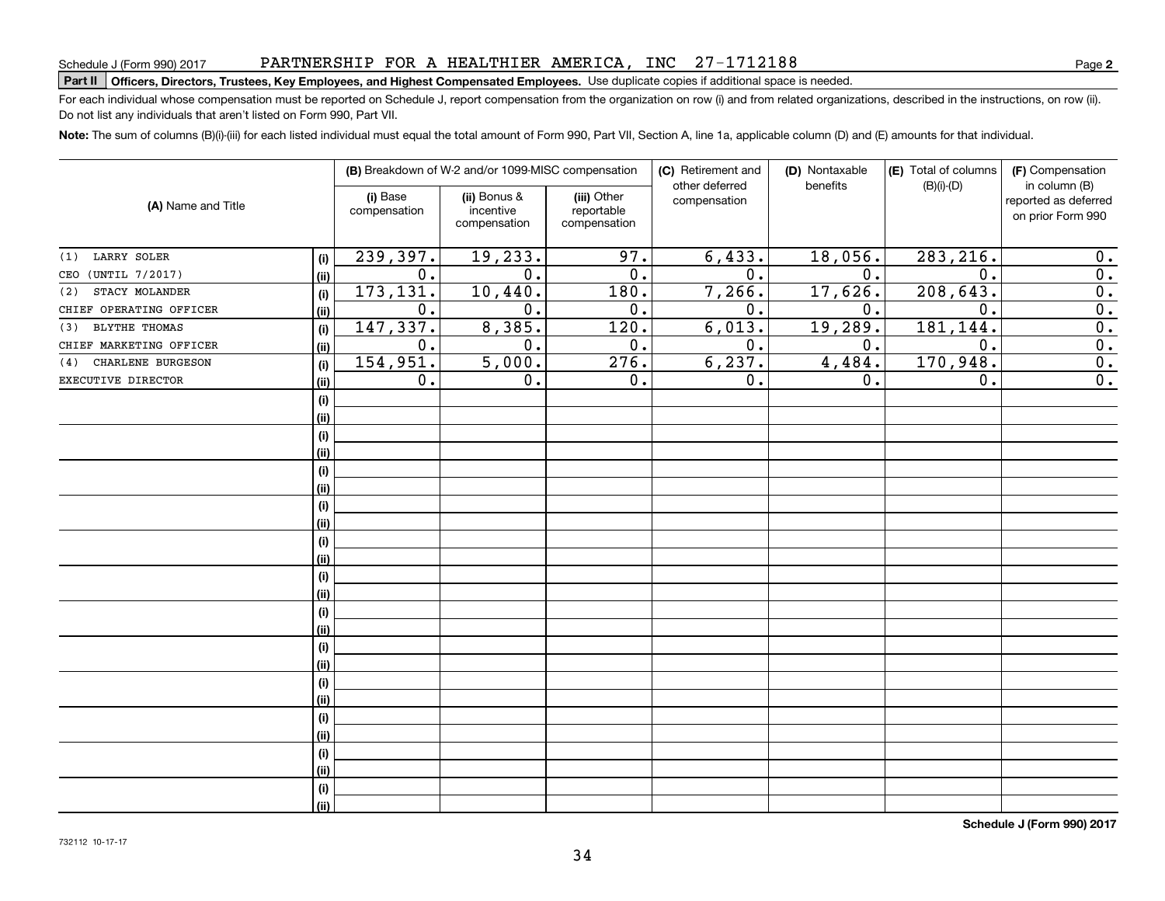Do not list any individuals that aren't listed on Form 990, Part VII.

| (A) Name and Title       |      | (B) Breakdown of W-2 and/or 1099-MISC compensation |                                           |                                           | (C) Retirement and<br>other deferred | (D) Nontaxable<br>benefits | (E) Total of columns | (F) Compensation<br>in column (B)         |  |
|--------------------------|------|----------------------------------------------------|-------------------------------------------|-------------------------------------------|--------------------------------------|----------------------------|----------------------|-------------------------------------------|--|
|                          |      | (i) Base<br>compensation                           | (ii) Bonus &<br>incentive<br>compensation | (iii) Other<br>reportable<br>compensation | compensation                         |                            | $(B)(i)-(D)$         | reported as deferred<br>on prior Form 990 |  |
| LARRY SOLER<br>(1)       | (i)  | 239,397.                                           | 19,233.                                   | 97.                                       | 6,433.                               | 18,056.                    | 283, 216.            | 0.                                        |  |
| CEO (UNTIL 7/2017)       | (ii) | 0.                                                 | $\mathbf 0$ .                             | 0.                                        | 0.                                   | 0.                         | $\mathbf 0$ .        | 0.                                        |  |
| STACY MOLANDER<br>(2)    | (i)  | 173, 131.                                          | 10, 440.                                  | 180.                                      | 7,266.                               | 17,626.                    | 208,643.             | $\overline{0}$ .                          |  |
| CHIEF OPERATING OFFICER  | (ii) | 0.                                                 | 0.                                        | 0.                                        | 0.                                   | 0.                         | 0.                   | $\overline{0}$ .                          |  |
| BLYTHE THOMAS<br>(3)     | (i)  | 147,337.                                           | 8,385.                                    | 120.                                      | 6,013.                               | 19,289.                    | 181, 144.            | $\mathbf 0$ .                             |  |
| CHIEF MARKETING OFFICER  | (ii) | 0.                                                 | 0.                                        | 0.                                        | 0.                                   | 0.                         | $\mathbf 0$ .        | $\overline{0}$ .                          |  |
| CHARLENE BURGESON<br>(4) | (i)  | 154,951.                                           | 5,000.                                    | 276.                                      | 6, 237.                              | 4,484.                     | 170,948.             | $\overline{0}$ .                          |  |
| EXECUTIVE DIRECTOR       | (ii) | 0.                                                 | 0.                                        | 0.                                        | 0.                                   | 0.                         | 0.                   | 0.                                        |  |
|                          | (i)  |                                                    |                                           |                                           |                                      |                            |                      |                                           |  |
|                          | (ii) |                                                    |                                           |                                           |                                      |                            |                      |                                           |  |
|                          | (i)  |                                                    |                                           |                                           |                                      |                            |                      |                                           |  |
|                          | (ii) |                                                    |                                           |                                           |                                      |                            |                      |                                           |  |
|                          | (i)  |                                                    |                                           |                                           |                                      |                            |                      |                                           |  |
|                          | (ii) |                                                    |                                           |                                           |                                      |                            |                      |                                           |  |
|                          | (i)  |                                                    |                                           |                                           |                                      |                            |                      |                                           |  |
|                          | (ii) |                                                    |                                           |                                           |                                      |                            |                      |                                           |  |
|                          | (i)  |                                                    |                                           |                                           |                                      |                            |                      |                                           |  |
|                          | (ii) |                                                    |                                           |                                           |                                      |                            |                      |                                           |  |
|                          | (i)  |                                                    |                                           |                                           |                                      |                            |                      |                                           |  |
|                          | (ii) |                                                    |                                           |                                           |                                      |                            |                      |                                           |  |
|                          | (i)  |                                                    |                                           |                                           |                                      |                            |                      |                                           |  |
|                          | (ii) |                                                    |                                           |                                           |                                      |                            |                      |                                           |  |
|                          | (i)  |                                                    |                                           |                                           |                                      |                            |                      |                                           |  |
|                          | (ii) |                                                    |                                           |                                           |                                      |                            |                      |                                           |  |
|                          | (i)  |                                                    |                                           |                                           |                                      |                            |                      |                                           |  |
|                          | (ii) |                                                    |                                           |                                           |                                      |                            |                      |                                           |  |
|                          | (i)  |                                                    |                                           |                                           |                                      |                            |                      |                                           |  |
|                          | (ii) |                                                    |                                           |                                           |                                      |                            |                      |                                           |  |
|                          | (i)  |                                                    |                                           |                                           |                                      |                            |                      |                                           |  |
|                          | (ii) |                                                    |                                           |                                           |                                      |                            |                      |                                           |  |
|                          | (i)  |                                                    |                                           |                                           |                                      |                            |                      |                                           |  |
|                          | (ii) |                                                    |                                           |                                           |                                      |                            |                      |                                           |  |

# Schedule J (Form 990) 2017 PAR'I'NERSHIP F'OR A HEAL'I'HILER AMERICA , INC 27 = 17 I 2 I 8 8<br>| **Part II | Officers, Directors, Trustees, Key Employees, and Highest Compensated Employee** PARTNERSHIP FOR A HEALTHIER AMERICA, INC 27-1712188

**Note:**  The sum of columns (B)(i)-(iii) for each listed individual must equal the total amount of Form 990, Part VII, Section A, line 1a, applicable column (D) and (E) amounts for that individual.

For each individual whose compensation must be reported on Schedule J, report compensation from the organization on row (i) and from related organizations, described in the instructions, on row (ii).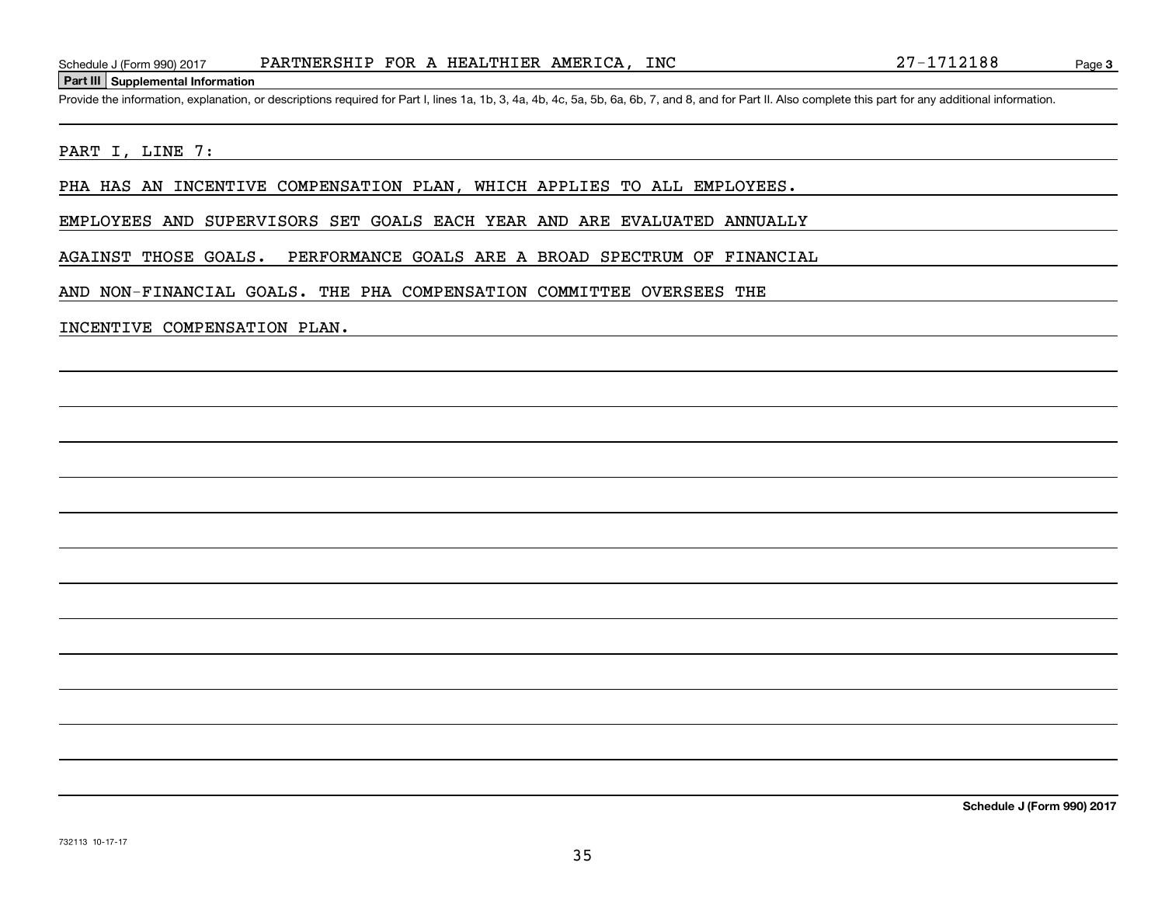## **Part III Supplemental Information**

Schedule J (Form 990) 2017 PARTNERSHIP FOR A HEALTHIER AMERICA, INC 27-1712188<br>Part III Supplemental Information<br>Provide the information, explanation, or descriptions required for Part I, lines 1a, 1b, 3, 4a, 4b, 4c, 5a, 5

## PART I, LINE 7:

PHA HAS AN INCENTIVE COMPENSATION PLAN, WHICH APPLIES TO ALL EMPLOYEES.

EMPLOYEES AND SUPERVISORS SET GOALS EACH YEAR AND ARE EVALUATED ANNUALLY

AGAINST THOSE GOALS. PERFORMANCE GOALS ARE A BROAD SPECTRUM OF FINANCIAL

AND NON-FINANCIAL GOALS. THE PHA COMPENSATION COMMITTEE OVERSEES THE

## INCENTIVE COMPENSATION PLAN.

**Schedule J (Form 990) 2017**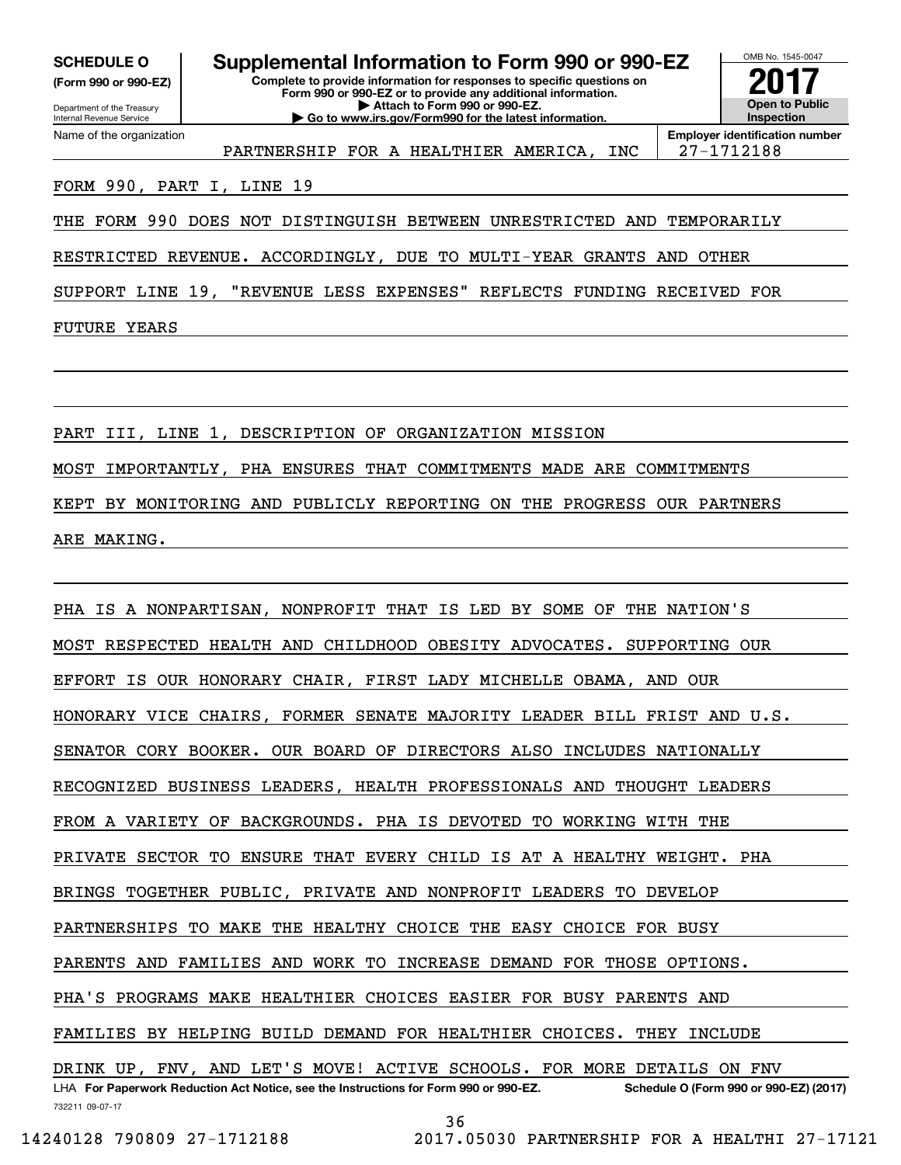**(Form 990 or 990-EZ)**

Department of the Treasury Internal Revenue Service Name of the organization

**Complete to provide information for responses to specific questions on SCHEDULE O Supplemental Information to Form 990 or 990-EZ**

**Form 990 or 990-EZ or to provide any additional information. | Attach to Form 990 or 990-EZ. | Go to www.irs.gov/Form990 for the latest information.**



PARTNERSHIP FOR A HEALTHIER AMERICA, INC | 27-1712188

**Employer identification number**

# FORM 990, PART I, LINE 19

THE FORM 990 DOES NOT DISTINGUISH BETWEEN UNRESTRICTED AND TEMPORARILY

RESTRICTED REVENUE. ACCORDINGLY, DUE TO MULTI-YEAR GRANTS AND OTHER

SUPPORT LINE 19, "REVENUE LESS EXPENSES" REFLECTS FUNDING RECEIVED FOR

FUTURE YEARS

PART III, LINE 1, DESCRIPTION OF ORGANIZATION MISSION MOST IMPORTANTLY, PHA ENSURES THAT COMMITMENTS MADE ARE COMMITMENTS KEPT BY MONITORING AND PUBLICLY REPORTING ON THE PROGRESS OUR PARTNERS ARE MAKING.

732211 09-07-17 LHA For Paperwork Reduction Act Notice, see the Instructions for Form 990 or 990-EZ. Schedule O (Form 990 or 990-EZ) (2017) PHA IS A NONPARTISAN, NONPROFIT THAT IS LED BY SOME OF THE NATION'S MOST RESPECTED HEALTH AND CHILDHOOD OBESITY ADVOCATES. SUPPORTING OUR EFFORT IS OUR HONORARY CHAIR, FIRST LADY MICHELLE OBAMA, AND OUR HONORARY VICE CHAIRS, FORMER SENATE MAJORITY LEADER BILL FRIST AND U.S. SENATOR CORY BOOKER. OUR BOARD OF DIRECTORS ALSO INCLUDES NATIONALLY RECOGNIZED BUSINESS LEADERS, HEALTH PROFESSIONALS AND THOUGHT LEADERS FROM A VARIETY OF BACKGROUNDS. PHA IS DEVOTED TO WORKING WITH THE PRIVATE SECTOR TO ENSURE THAT EVERY CHILD IS AT A HEALTHY WEIGHT. PHA BRINGS TOGETHER PUBLIC, PRIVATE AND NONPROFIT LEADERS TO DEVELOP PARTNERSHIPS TO MAKE THE HEALTHY CHOICE THE EASY CHOICE FOR BUSY PARENTS AND FAMILIES AND WORK TO INCREASE DEMAND FOR THOSE OPTIONS. PHA'S PROGRAMS MAKE HEALTHIER CHOICES EASIER FOR BUSY PARENTS AND FAMILIES BY HELPING BUILD DEMAND FOR HEALTHIER CHOICES. THEY INCLUDE DRINK UP, FNV, AND LET'S MOVE! ACTIVE SCHOOLS. FOR MORE DETAILS ON FNV

36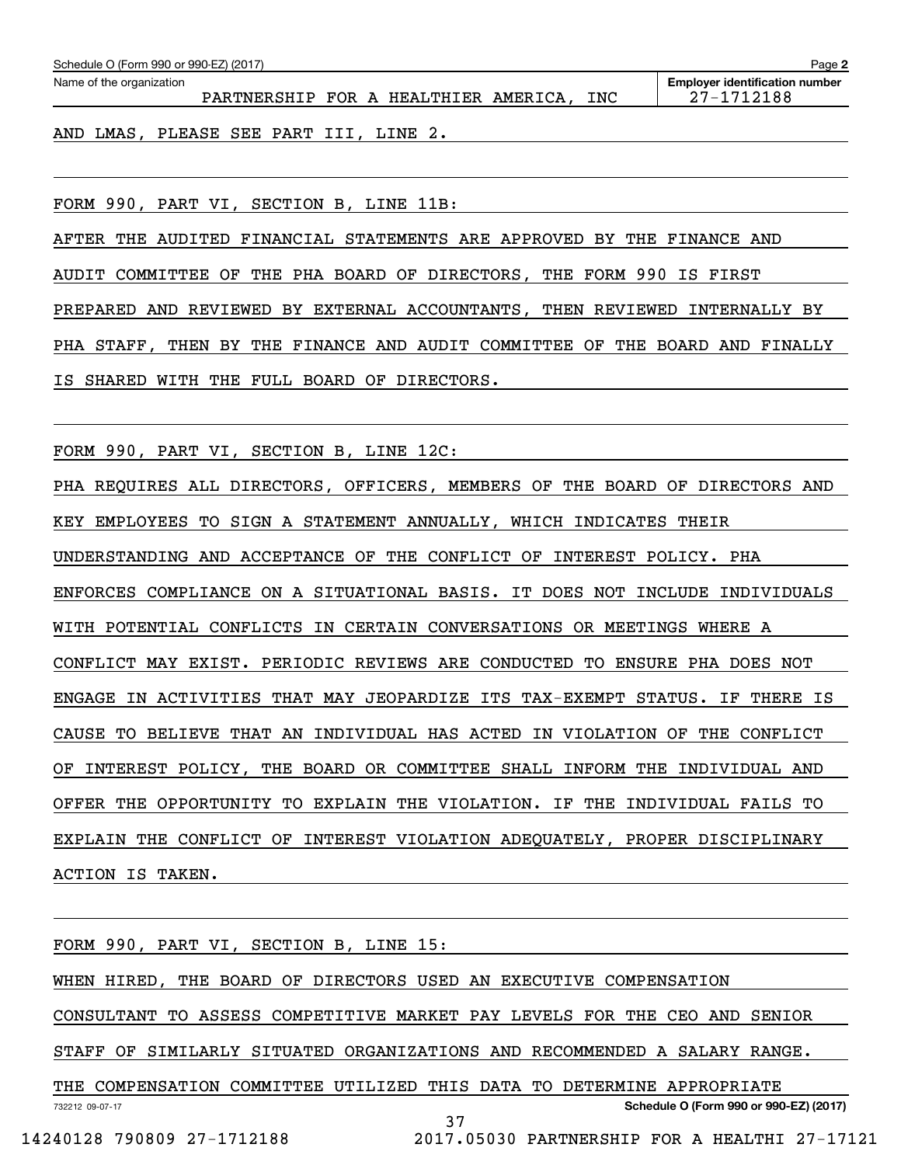| Schedule O (Form 990 or 990-EZ) (2017)<br>Page 2 |                                      |  |  |  |  |     |                                                     |
|--------------------------------------------------|--------------------------------------|--|--|--|--|-----|-----------------------------------------------------|
| Name of the organization                         | PARTNERSHIP FOR A HEALTHIER AMERICA, |  |  |  |  | INC | <b>Employer identification number</b><br>27-1712188 |
|                                                  |                                      |  |  |  |  |     |                                                     |

AND LMAS, PLEASE SEE PART III, LINE 2.

FORM 990, PART VI, SECTION B, LINE 11B:

AFTER THE AUDITED FINANCIAL STATEMENTS ARE APPROVED BY THE FINANCE AND AUDIT COMMITTEE OF THE PHA BOARD OF DIRECTORS, THE FORM 990 IS FIRST PREPARED AND REVIEWED BY EXTERNAL ACCOUNTANTS, THEN REVIEWED INTERNALLY BY PHA STAFF, THEN BY THE FINANCE AND AUDIT COMMITTEE OF THE BOARD AND FINALLY IS SHARED WITH THE FULL BOARD OF DIRECTORS.

FORM 990, PART VI, SECTION B, LINE 12C:

PHA REQUIRES ALL DIRECTORS, OFFICERS, MEMBERS OF THE BOARD OF DIRECTORS AND KEY EMPLOYEES TO SIGN A STATEMENT ANNUALLY, WHICH INDICATES THEIR UNDERSTANDING AND ACCEPTANCE OF THE CONFLICT OF INTEREST POLICY. PHA ENFORCES COMPLIANCE ON A SITUATIONAL BASIS. IT DOES NOT INCLUDE INDIVIDUALS WITH POTENTIAL CONFLICTS IN CERTAIN CONVERSATIONS OR MEETINGS WHERE A CONFLICT MAY EXIST. PERIODIC REVIEWS ARE CONDUCTED TO ENSURE PHA DOES NOT ENGAGE IN ACTIVITIES THAT MAY JEOPARDIZE ITS TAX-EXEMPT STATUS. IF THERE IS CAUSE TO BELIEVE THAT AN INDIVIDUAL HAS ACTED IN VIOLATION OF THE CONFLICT OF INTEREST POLICY, THE BOARD OR COMMITTEE SHALL INFORM THE INDIVIDUAL AND OFFER THE OPPORTUNITY TO EXPLAIN THE VIOLATION. IF THE INDIVIDUAL FAILS TO EXPLAIN THE CONFLICT OF INTEREST VIOLATION ADEQUATELY, PROPER DISCIPLINARY ACTION IS TAKEN.

732212 09-07-17 **Schedule O (Form 990 or 990-EZ) (2017)** FORM 990, PART VI, SECTION B, LINE 15: WHEN HIRED, THE BOARD OF DIRECTORS USED AN EXECUTIVE COMPENSATION CONSULTANT TO ASSESS COMPETITIVE MARKET PAY LEVELS FOR THE CEO AND SENIOR STAFF OF SIMILARLY SITUATED ORGANIZATIONS AND RECOMMENDED A SALARY RANGE. THE COMPENSATION COMMITTEE UTILIZED THIS DATA TO DETERMINE APPROPRIATE 37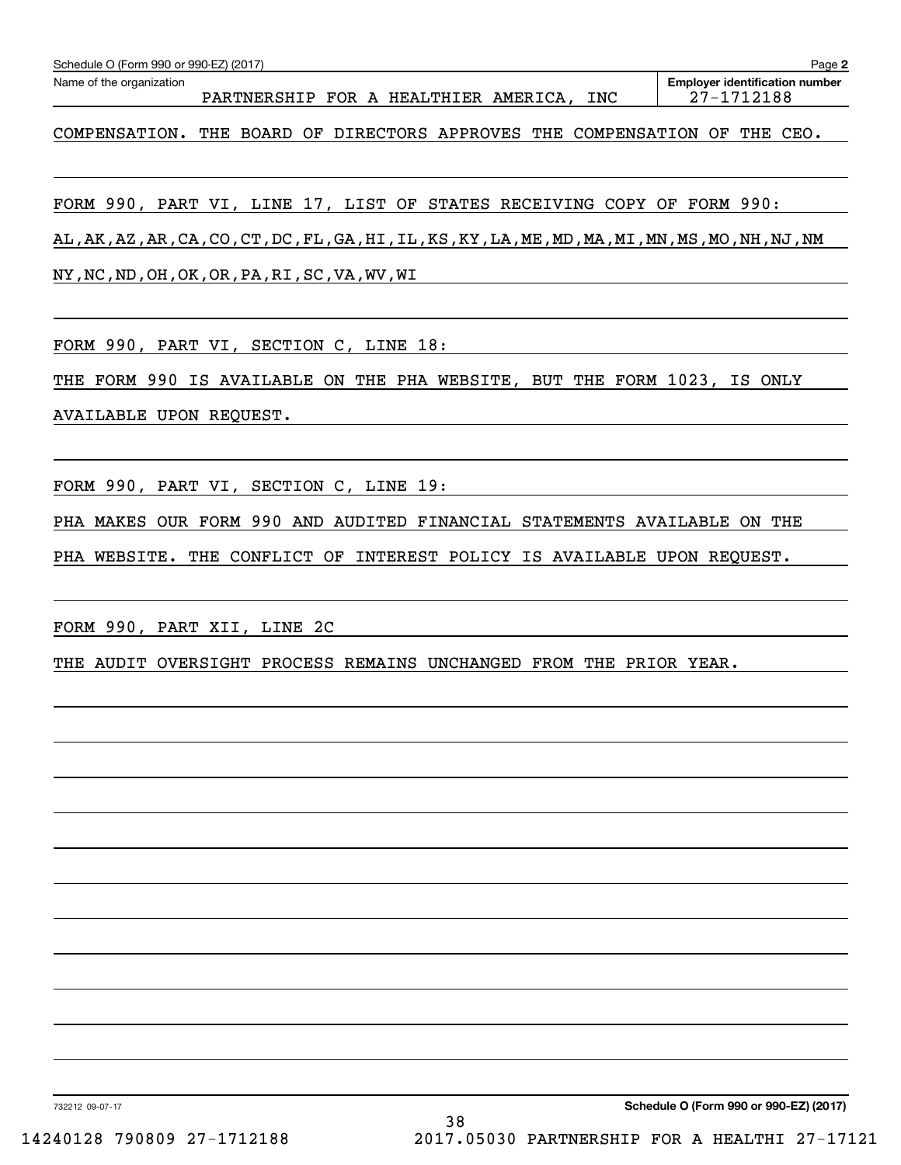| Schedule O (Form 990 or 990-EZ) (2017)                                                             | Page 2                                              |
|----------------------------------------------------------------------------------------------------|-----------------------------------------------------|
| Name of the organization<br>PARTNERSHIP FOR A HEALTHIER AMERICA,<br>INC                            | <b>Employer identification number</b><br>27-1712188 |
| COMPENSATION. THE BOARD OF DIRECTORS APPROVES THE COMPENSATION OF THE CEO.                         |                                                     |
| FORM 990, PART VI, LINE 17, LIST OF STATES RECEIVING COPY OF FORM 990:                             |                                                     |
| AL, AK, AZ, AR, CA, CO, CT, DC, FL, GA, HI, IL, KS, KY, LA, ME, MD, MA, MI, MN, MS, MO, NH, NJ, NM |                                                     |
| NY, NC, ND, OH, OK, OR, PA, RI, SC, VA, WV, WI                                                     |                                                     |
| FORM 990, PART VI, SECTION C, LINE 18:                                                             |                                                     |
| FORM 990 IS AVAILABLE ON THE PHA WEBSITE, BUT THE FORM 1023, IS ONLY<br>THE                        |                                                     |
| AVAILABLE UPON REQUEST.                                                                            |                                                     |
| FORM 990, PART VI, SECTION C, LINE 19:                                                             |                                                     |
| PHA MAKES OUR FORM 990 AND AUDITED FINANCIAL STATEMENTS AVAILABLE ON THE                           |                                                     |
| PHA WEBSITE. THE CONFLICT OF<br>INTEREST POLICY IS AVAILABLE UPON REQUEST.                         |                                                     |
| FORM 990, PART XII, LINE 2C                                                                        |                                                     |
| OVERSIGHT<br>PROCESS REMAINS UNCHANGED FROM THE PRIOR YEAR.<br>THE<br>AUDIT                        |                                                     |
|                                                                                                    |                                                     |
|                                                                                                    |                                                     |
|                                                                                                    |                                                     |
|                                                                                                    |                                                     |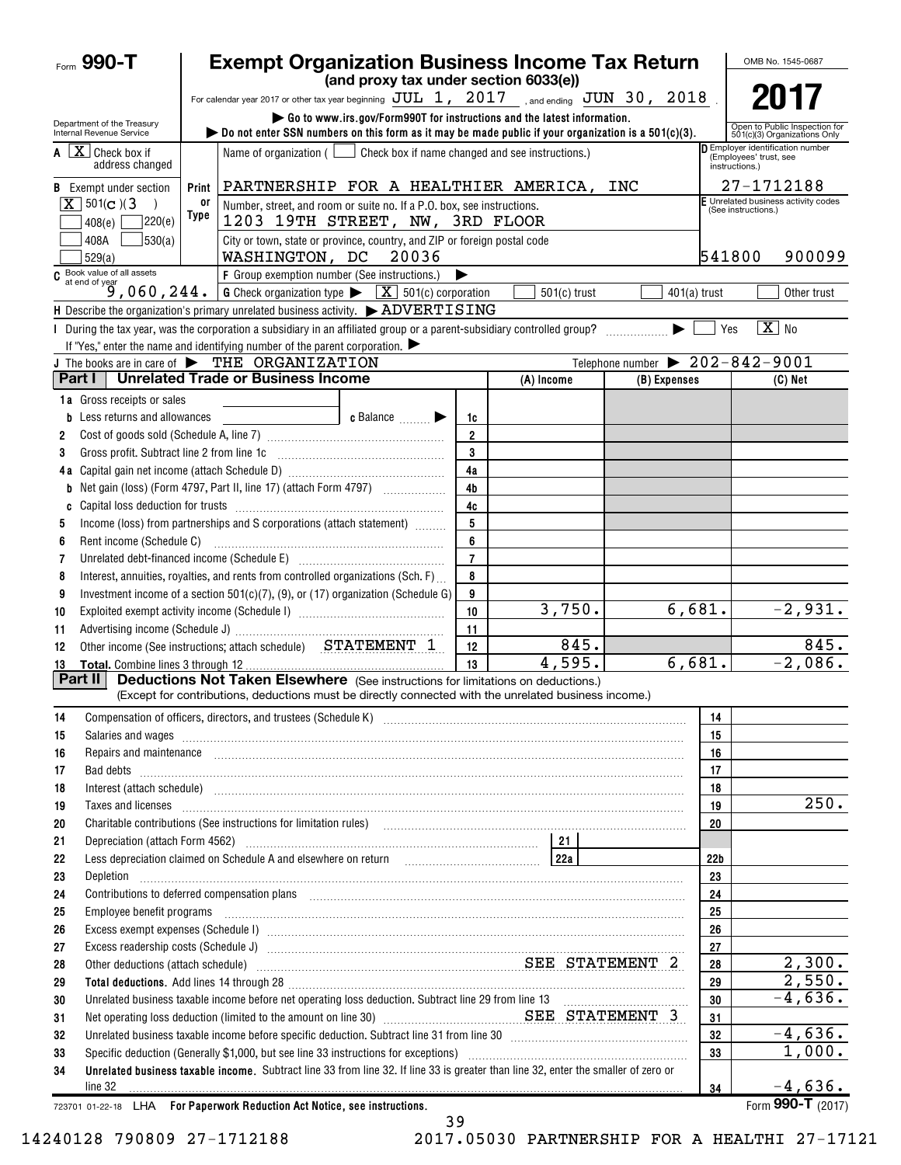| (and proxy tax under section 6033(e))<br>For calendar year 2017 or other tax year beginning $JUL$ 1, $2017$ , and ending $JUN$ 30, $2018$<br>Go to www.irs.gov/Form990T for instructions and the latest information.                                                                                                                                | 2017<br>Open to Public Inspection for<br>501(c)(3) Organizations Only |
|-----------------------------------------------------------------------------------------------------------------------------------------------------------------------------------------------------------------------------------------------------------------------------------------------------------------------------------------------------|-----------------------------------------------------------------------|
|                                                                                                                                                                                                                                                                                                                                                     |                                                                       |
|                                                                                                                                                                                                                                                                                                                                                     |                                                                       |
| Department of the Treasury<br>bo not enter SSN numbers on this form as it may be made public if your organization is a $501(c)(3)$ .<br>Internal Revenue Service                                                                                                                                                                                    |                                                                       |
| $\mathbf{A} \quad \boxed{\mathbf{X}}$ Check box if<br>Name of organization $($<br>Check box if name changed and see instructions.)<br>(Employees' trust, see<br>address changed<br>instructions.)                                                                                                                                                   | Employer identification number                                        |
| PARTNERSHIP FOR A HEALTHIER AMERICA, INC<br><b>B</b> Exempt under section<br>Print                                                                                                                                                                                                                                                                  | 27-1712188                                                            |
| $X$ 501(c)(3)<br>0ľ<br>Number, street, and room or suite no. If a P.O. box, see instructions.<br>(See instructions.)<br>Type                                                                                                                                                                                                                        | F Unrelated business activity codes                                   |
| 1203 19TH STREET, NW, 3RD FLOOR<br>7220(e)<br>408(e)                                                                                                                                                                                                                                                                                                |                                                                       |
| 530(a)<br>City or town, state or province, country, and ZIP or foreign postal code<br>408A<br>541800<br>WASHINGTON, DC<br>20036<br>529(a)                                                                                                                                                                                                           | 900099                                                                |
| $\overline{c}$ Book value of all assets<br>$\overline{9,060}$ , $244$ .<br>F Group exemption number (See instructions.)<br>▶                                                                                                                                                                                                                        |                                                                       |
| <b>G</b> Check organization type $\triangleright \begin{array}{c} \boxed{\mathbf{X}} \end{array}$ 501(c) corporation<br>$501(c)$ trust<br>$401(a)$ trust                                                                                                                                                                                            | Other trust                                                           |
| H Describe the organization's primary unrelated business activity. $\triangleright$ ADVERTISING                                                                                                                                                                                                                                                     |                                                                       |
| I During the tax year, was the corporation a subsidiary in an affiliated group or a parent-subsidiary controlled group?<br>Yes                                                                                                                                                                                                                      | $X$ No                                                                |
| If "Yes," enter the name and identifying number of the parent corporation. $\blacktriangleright$                                                                                                                                                                                                                                                    |                                                                       |
| Telephone number $\triangleright$ 202-842-9001<br>J The books are in care of $\blacktriangleright$ THE ORGANIZATION<br><b>Unrelated Trade or Business Income</b><br>Part I                                                                                                                                                                          |                                                                       |
| (A) Income<br>(B) Expenses                                                                                                                                                                                                                                                                                                                          | $(C)$ Net                                                             |
| <b>1a</b> Gross receipts or sales                                                                                                                                                                                                                                                                                                                   |                                                                       |
| <b>b</b> Less returns and allowances<br>$\bullet$ Balance $\qquad \qquad \bullet$<br>1c                                                                                                                                                                                                                                                             |                                                                       |
| $\overline{2}$<br>2<br>3                                                                                                                                                                                                                                                                                                                            |                                                                       |
| Gross profit. Subtract line 2 from line 1c [11] [11] [12] [12] [13] [14] [15] [15] [15] [15] [15] [15] [15] [1<br>3<br>4a                                                                                                                                                                                                                           |                                                                       |
| 4 <sub>b</sub>                                                                                                                                                                                                                                                                                                                                      |                                                                       |
| b<br>4c<br>C                                                                                                                                                                                                                                                                                                                                        |                                                                       |
| 5<br>Income (loss) from partnerships and S corporations (attach statement)<br>5                                                                                                                                                                                                                                                                     |                                                                       |
| 6<br>Rent income (Schedule C)<br>6                                                                                                                                                                                                                                                                                                                  |                                                                       |
| $\overline{7}$<br>Unrelated debt-financed income (Schedule E) [11] [2010] [2010] [2010] [2010] [2010] [2010] [2010] [2010] [2010<br>7                                                                                                                                                                                                               |                                                                       |
| Interest, annuities, royalties, and rents from controlled organizations (Sch. F)<br>8<br>8                                                                                                                                                                                                                                                          |                                                                       |
| Investment income of a section $501(c)(7)$ , (9), or (17) organization (Schedule G)<br>9<br>9                                                                                                                                                                                                                                                       |                                                                       |
| 3,750.<br>6,681.<br>10<br>10                                                                                                                                                                                                                                                                                                                        | $-2,931.$                                                             |
| 11<br>11                                                                                                                                                                                                                                                                                                                                            |                                                                       |
| 845.<br>Other income (See instructions; attach schedule) STATEMENT 1<br>12<br>12                                                                                                                                                                                                                                                                    | 845.                                                                  |
| 4,595.<br>6,681.<br>13<br>13                                                                                                                                                                                                                                                                                                                        | $-2,086$ .                                                            |
| <b>Deductions Not Taken Elsewhere</b> (See instructions for limitations on deductions.)<br>Part II                                                                                                                                                                                                                                                  |                                                                       |
| (Except for contributions, deductions must be directly connected with the unrelated business income.)                                                                                                                                                                                                                                               |                                                                       |
| 14<br>14                                                                                                                                                                                                                                                                                                                                            |                                                                       |
| 15<br>Salaries and wages <b>with a construction of the construction</b> and wages <b>construction</b> and wages <b>construction</b> and <b>construction</b> and <b>construction</b> and <b>construction</b> and <b>construction</b> and <b>construction</b> and <b>constructio</b><br>15                                                            |                                                                       |
| 16<br>16<br>Repairs and maintenance <i>maintenance</i> and contained and anti-                                                                                                                                                                                                                                                                      |                                                                       |
| 17<br>17                                                                                                                                                                                                                                                                                                                                            |                                                                       |
| 18<br>18                                                                                                                                                                                                                                                                                                                                            |                                                                       |
| 19<br>19<br>Taxes and licenses <b>construction and construction of the construction of the construction</b> of the construction of the construction of the construction of the construction of the construction of the construction of the cons                                                                                                     | 250.                                                                  |
| Charitable contributions (See instructions for limitation rules) [11] manufacture in the contributions (See instructions for limitation rules) [11] manufacture in the contributions (See instructions for limitation rules) [<br>20<br>20                                                                                                          |                                                                       |
| 21<br>21                                                                                                                                                                                                                                                                                                                                            |                                                                       |
| Less depreciation claimed on Schedule A and elsewhere on return [10] [22a]<br>22 <sub>b</sub><br>22<br>23                                                                                                                                                                                                                                           |                                                                       |
| 23<br>Depletion <b>Professor and Construction Construction Construction Construction Construction</b><br>24<br>24<br>Contributions to deferred compensation plans [11] manufactured contributions to deferred compensation plans [11] manufactured compensation plans [11] manufactured compensation plans [11] manufactured contributions to defer |                                                                       |
| 25<br>Employee benefit programs in the continuum contract of the contract of the contract of the contract of the contract of the contract of the contract of the contract of the contract of the contract of the contract of the con<br>25                                                                                                          |                                                                       |
| 26<br>26                                                                                                                                                                                                                                                                                                                                            |                                                                       |
| 27<br>27                                                                                                                                                                                                                                                                                                                                            |                                                                       |
| Other deductions (attach schedule) manufactured and content of the SEE STATEMENT 2<br>28<br>28                                                                                                                                                                                                                                                      | 2,300.                                                                |
| 29<br>29                                                                                                                                                                                                                                                                                                                                            | 2,550.                                                                |
| 30<br>30                                                                                                                                                                                                                                                                                                                                            | $-4,636.$                                                             |
| Net operating loss deduction (limited to the amount on line 30) <b>Manual SEE</b> STATEMENT 3<br>31<br>31                                                                                                                                                                                                                                           |                                                                       |
| Unrelated business taxable income before specific deduction. Subtract line 31 from line 30 [11] [11] Unrelated business taxable income before specific deduction. Subtract line 31 from line 30<br>32<br>32                                                                                                                                         | $-4,636.$                                                             |
| 33<br>Specific deduction (Generally \$1,000, but see line 33 instructions for exceptions) manufactured manufactured manufactured with the Specific deduction (Generally \$1,000, but see line 33 instructions for exceptions)<br>33                                                                                                                 | 1,000.                                                                |
| Unrelated business taxable income. Subtract line 33 from line 32. If line 33 is greater than line 32, enter the smaller of zero or<br>34                                                                                                                                                                                                            |                                                                       |
| line 32<br>34<br><b>Professor Controls Business Assistance</b> and Control Assistance                                                                                                                                                                                                                                                               | $-4,636.$                                                             |

39

723701 01-22-18 **For Paperwork Reduction Act Notice, see instructions.** LHA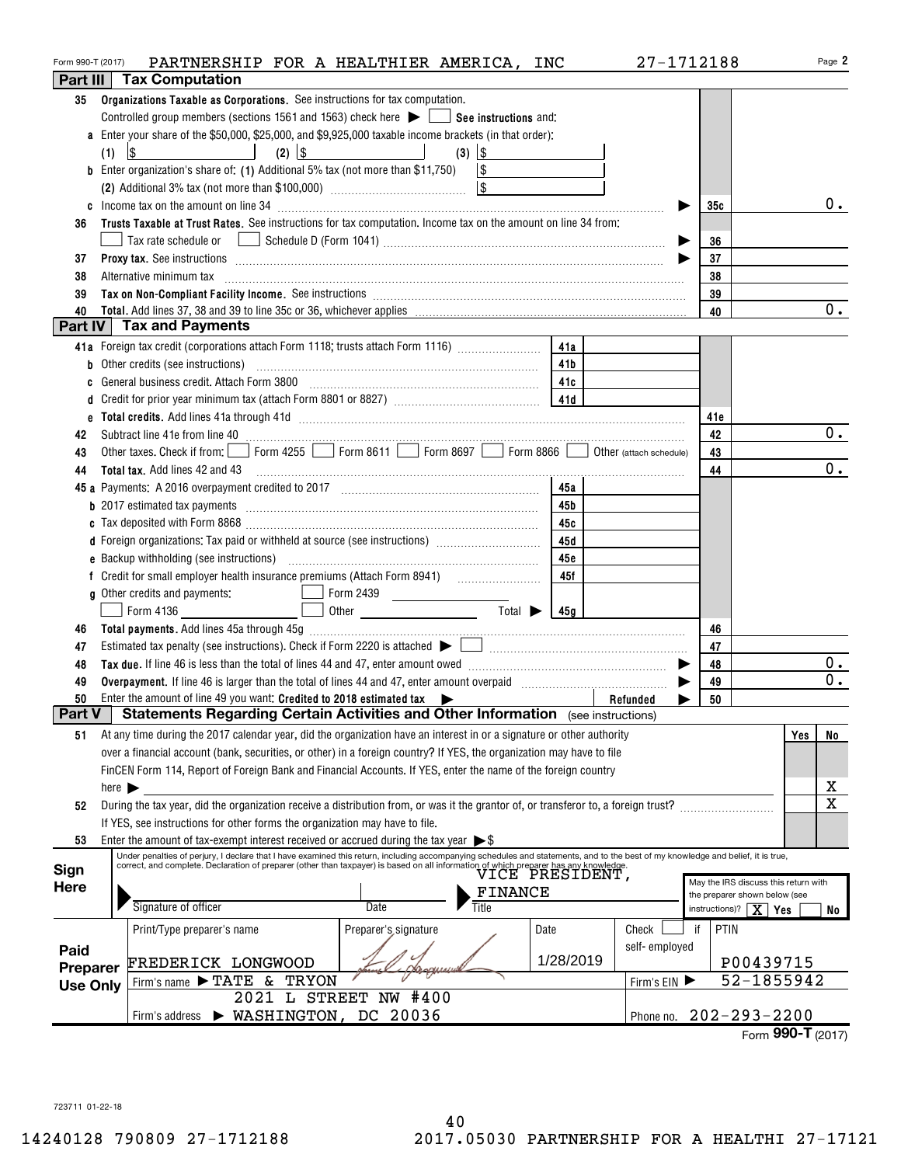| Form 990-T (2017)<br>Part III |                            | PARTNERSHIP FOR A HEALTHIER AMERICA, INC<br><b>Tax Computation</b>                                                                                                                                                                  |                                                                                                                                                                                                                                                   |                        |            |               | 27-1712188                                                            | Page 2                     |
|-------------------------------|----------------------------|-------------------------------------------------------------------------------------------------------------------------------------------------------------------------------------------------------------------------------------|---------------------------------------------------------------------------------------------------------------------------------------------------------------------------------------------------------------------------------------------------|------------------------|------------|---------------|-----------------------------------------------------------------------|----------------------------|
| 35                            |                            | Organizations Taxable as Corporations. See instructions for tax computation.                                                                                                                                                        |                                                                                                                                                                                                                                                   |                        |            |               |                                                                       |                            |
|                               |                            | Controlled group members (sections 1561 and 1563) check here $\blacktriangleright$ $\Box$ See instructions and:                                                                                                                     |                                                                                                                                                                                                                                                   |                        |            |               |                                                                       |                            |
|                               |                            | a Enter your share of the \$50,000, \$25,000, and \$9,925,000 taxable income brackets (in that order):                                                                                                                              |                                                                                                                                                                                                                                                   |                        |            |               |                                                                       |                            |
|                               | (1)                        | $(2)$ \\$<br>$\lvert \mathcal{S} \rvert$                                                                                                                                                                                            |                                                                                                                                                                                                                                                   |                        |            |               |                                                                       |                            |
|                               |                            | <b>b</b> Enter organization's share of: (1) Additional 5% tax (not more than \$11,750) $\boxed{\$}$                                                                                                                                 |                                                                                                                                                                                                                                                   |                        |            |               |                                                                       |                            |
|                               |                            |                                                                                                                                                                                                                                     |                                                                                                                                                                                                                                                   |                        |            |               |                                                                       |                            |
|                               |                            |                                                                                                                                                                                                                                     |                                                                                                                                                                                                                                                   |                        |            |               | 35c                                                                   | 0.                         |
| 36                            |                            | Trusts Taxable at Trust Rates. See instructions for tax computation. Income tax on the amount on line 34 from:                                                                                                                      |                                                                                                                                                                                                                                                   |                        |            |               |                                                                       |                            |
|                               |                            |                                                                                                                                                                                                                                     |                                                                                                                                                                                                                                                   |                        |            |               | 36                                                                    |                            |
| 37                            |                            | Proxy tax. See instructions information and contact the contract of the contract of the contract of the contract of the contract of the contract of the contract of the contract of the contract of the contract of the contra      |                                                                                                                                                                                                                                                   |                        |            |               | 37                                                                    |                            |
| 38                            |                            | Alternative minimum tax                                                                                                                                                                                                             |                                                                                                                                                                                                                                                   |                        |            |               | 38                                                                    |                            |
| 39                            |                            | Tax on Non-Compliant Facility Income. See instructions [111] [12] manufacture in the compliant Facility Income. See instructions [11] manufacture in the compliant Facility Income.                                                 |                                                                                                                                                                                                                                                   |                        |            |               | 39                                                                    |                            |
| 40                            |                            | <b>Part IV Tax and Payments</b>                                                                                                                                                                                                     |                                                                                                                                                                                                                                                   |                        |            |               | 40                                                                    | 0.                         |
|                               |                            | 41a Foreign tax credit (corporations attach Form 1118; trusts attach Form 1116) [                                                                                                                                                   |                                                                                                                                                                                                                                                   |                        |            |               |                                                                       |                            |
| b                             |                            | Other credits (see instructions)                                                                                                                                                                                                    |                                                                                                                                                                                                                                                   |                        | 41a<br>41b |               |                                                                       |                            |
| C                             |                            | General business credit. Attach Form 3800                                                                                                                                                                                           |                                                                                                                                                                                                                                                   |                        | 41c        |               |                                                                       |                            |
| d                             |                            |                                                                                                                                                                                                                                     |                                                                                                                                                                                                                                                   |                        |            |               |                                                                       |                            |
|                               |                            |                                                                                                                                                                                                                                     |                                                                                                                                                                                                                                                   |                        |            |               | 41e                                                                   |                            |
| 42                            |                            | Subtract line 41e from line 40 <b>magazine and the contract of the 40</b> magazine and the 41e from line 40 magazine and the state of the state of the state of the state of the state of the state of the state of the state of th |                                                                                                                                                                                                                                                   |                        |            |               | 42                                                                    | 0.                         |
| 43                            |                            | Other taxes. Check if from: Form 4255 Form 8611 Form 8697 Form 8866 Obther (attach schedule)                                                                                                                                        |                                                                                                                                                                                                                                                   |                        |            |               | 43                                                                    |                            |
| 44                            |                            | <b>Total tax.</b> Add lines 42 and 43                                                                                                                                                                                               |                                                                                                                                                                                                                                                   |                        |            |               | 44                                                                    | 0.                         |
|                               |                            |                                                                                                                                                                                                                                     |                                                                                                                                                                                                                                                   |                        | 45a        |               |                                                                       |                            |
|                               |                            |                                                                                                                                                                                                                                     |                                                                                                                                                                                                                                                   |                        | 45b        |               |                                                                       |                            |
|                               |                            |                                                                                                                                                                                                                                     |                                                                                                                                                                                                                                                   |                        | 45c        |               |                                                                       |                            |
|                               |                            | d Foreign organizations: Tax paid or withheld at source (see instructions) [1001111111111111111111111111111111                                                                                                                      |                                                                                                                                                                                                                                                   |                        | 45d        |               |                                                                       |                            |
|                               |                            |                                                                                                                                                                                                                                     |                                                                                                                                                                                                                                                   |                        | 45e        |               |                                                                       |                            |
|                               |                            | f Credit for small employer health insurance premiums (Attach Form 8941)                                                                                                                                                            |                                                                                                                                                                                                                                                   |                        | 45f        |               |                                                                       |                            |
|                               |                            | g Other credits and payments:                                                                                                                                                                                                       | Form 2439<br><u> El antigo de la contenentación de la contenentación de la contenentación de la contenentación de la contenentación de la contenentación de la contenentación de la contenentación de la contenentación de la contenentación </u> |                        |            |               |                                                                       |                            |
|                               |                            | <u> 1990 - John Barnett, fransk politiker</u><br>Form 4136                                                                                                                                                                          |                                                                                                                                                                                                                                                   | $Total \triangleright$ | 45 a       |               |                                                                       |                            |
| 46                            |                            |                                                                                                                                                                                                                                     |                                                                                                                                                                                                                                                   |                        |            |               | 46                                                                    |                            |
| 47                            |                            |                                                                                                                                                                                                                                     |                                                                                                                                                                                                                                                   |                        |            |               | 47                                                                    |                            |
| 48                            |                            |                                                                                                                                                                                                                                     |                                                                                                                                                                                                                                                   |                        |            |               | 48                                                                    | $0$ .                      |
| 49                            |                            | Overpayment. If line 46 is larger than the total of lines 44 and 47, enter amount overpaid manufactured contains                                                                                                                    |                                                                                                                                                                                                                                                   |                        |            |               | 49                                                                    | 0.                         |
| 50                            |                            | Enter the amount of line 49 you want: Credited to 2018 estimated tax $\blacktriangleright$                                                                                                                                          |                                                                                                                                                                                                                                                   |                        |            | Refunded      | 50                                                                    |                            |
| Part V                        |                            | <b>Statements Regarding Certain Activities and Other Information</b> (see instructions)                                                                                                                                             |                                                                                                                                                                                                                                                   |                        |            |               |                                                                       |                            |
| 51                            |                            | At any time during the 2017 calendar year, did the organization have an interest in or a signature or other authority                                                                                                               |                                                                                                                                                                                                                                                   |                        |            |               |                                                                       | Yes<br>No                  |
|                               |                            | over a financial account (bank, securities, or other) in a foreign country? If YES, the organization may have to file                                                                                                               |                                                                                                                                                                                                                                                   |                        |            |               |                                                                       |                            |
|                               |                            | FinCEN Form 114, Report of Foreign Bank and Financial Accounts. If YES, enter the name of the foreign country                                                                                                                       |                                                                                                                                                                                                                                                   |                        |            |               |                                                                       |                            |
|                               | here $\blacktriangleright$ |                                                                                                                                                                                                                                     |                                                                                                                                                                                                                                                   |                        |            |               |                                                                       | x<br>$\overline{\text{x}}$ |
| 52                            |                            | During the tax year, did the organization receive a distribution from, or was it the grantor of, or transferor to, a foreign trust?                                                                                                 |                                                                                                                                                                                                                                                   |                        |            |               |                                                                       |                            |
| 53                            |                            | If YES, see instructions for other forms the organization may have to file.<br>Enter the amount of tax-exempt interest received or accrued during the tax year $\triangleright$ \$                                                  |                                                                                                                                                                                                                                                   |                        |            |               |                                                                       |                            |
|                               |                            | Under penalties of perjury, I declare that I have examined this return, including accompanying schedules and statements, and to the best of my knowledge and belief, it is true,                                                    |                                                                                                                                                                                                                                                   |                        |            |               |                                                                       |                            |
| Sign                          |                            | correct, and complete. Declaration of preparer (other than taxpayer) is based on all information of which preparer has any knowledge.<br>VICE PRESIDENT                                                                             |                                                                                                                                                                                                                                                   |                        |            |               |                                                                       |                            |
| Here                          |                            |                                                                                                                                                                                                                                     |                                                                                                                                                                                                                                                   | <b>FINANCE</b>         |            |               | May the IRS discuss this return with<br>the preparer shown below (see |                            |
|                               |                            | Signature of officer                                                                                                                                                                                                                | Title<br>Date                                                                                                                                                                                                                                     |                        |            |               | instructions)?                                                        | xΙ<br>Yes<br>No            |
|                               |                            | Print/Type preparer's name                                                                                                                                                                                                          | Preparer's signature                                                                                                                                                                                                                              |                        | Date       | Check         | PTIN<br>if                                                            |                            |
| Paid                          |                            |                                                                                                                                                                                                                                     |                                                                                                                                                                                                                                                   |                        |            | self-employed |                                                                       |                            |
| Preparer                      |                            | FREDERICK LONGWOOD                                                                                                                                                                                                                  |                                                                                                                                                                                                                                                   |                        | 1/28/2019  |               |                                                                       | P00439715                  |
| <b>Use Only</b>               |                            | Firm's name $\blacktriangleright$ TATE &<br><b>TRYON</b>                                                                                                                                                                            |                                                                                                                                                                                                                                                   |                        |            | Firm's EIN    |                                                                       | 52-1855942                 |
|                               |                            | 2021                                                                                                                                                                                                                                | L STREET NW #400                                                                                                                                                                                                                                  |                        |            |               |                                                                       |                            |
|                               |                            | $\blacktriangleright$ WASHINGTON,<br>Firm's address                                                                                                                                                                                 | DC 20036                                                                                                                                                                                                                                          |                        |            | Phone no.     | $202 - 293 - 2200$                                                    |                            |
|                               |                            |                                                                                                                                                                                                                                     |                                                                                                                                                                                                                                                   |                        |            |               |                                                                       | Form 990-T (2017)          |

723711 01-22-18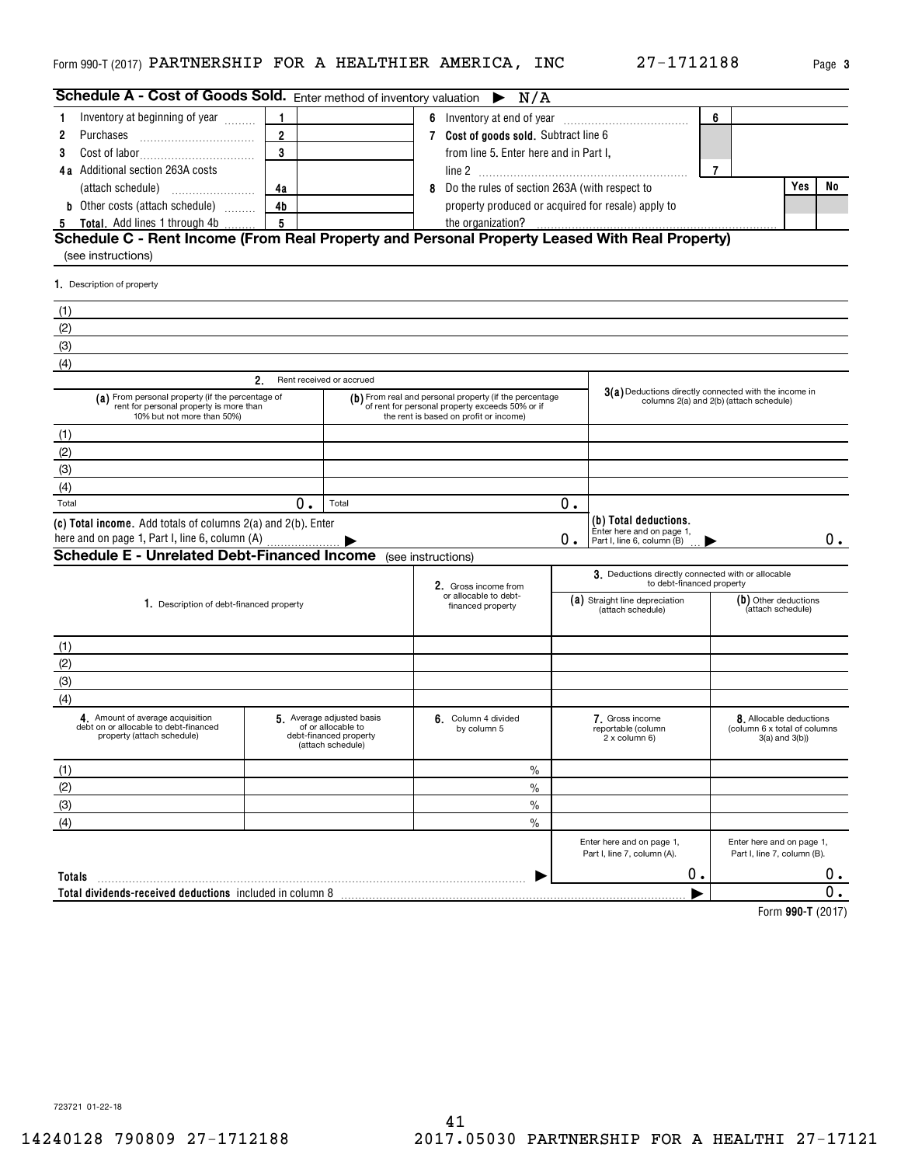|  | Page |
|--|------|
|  |      |

**3**

|                                                                                                                           |                |                                                                                               | Schedule A - Cost of Goods Sold. Enter method of inventory valuation $\triangleright N/A$                                                           |    |                                                          |                |                                                                                |       |
|---------------------------------------------------------------------------------------------------------------------------|----------------|-----------------------------------------------------------------------------------------------|-----------------------------------------------------------------------------------------------------------------------------------------------------|----|----------------------------------------------------------|----------------|--------------------------------------------------------------------------------|-------|
| Inventory at beginning of year                                                                                            | $\mathbf{1}$   |                                                                                               | 6 Inventory at end of year                                                                                                                          |    |                                                          | 6              |                                                                                |       |
| Purchases<br>2                                                                                                            | $\overline{2}$ |                                                                                               | 7 Cost of goods sold. Subtract line 6                                                                                                               |    |                                                          |                |                                                                                |       |
| 3                                                                                                                         | 3              |                                                                                               | from line 5. Enter here and in Part I,                                                                                                              |    |                                                          |                |                                                                                |       |
| <b>4a</b> Additional section 263A costs                                                                                   |                |                                                                                               |                                                                                                                                                     |    |                                                          | $\overline{7}$ |                                                                                |       |
|                                                                                                                           | 4a             |                                                                                               | Do the rules of section 263A (with respect to<br>8                                                                                                  |    |                                                          |                | Yes                                                                            | No    |
| <b>b</b> Other costs (attach schedule)                                                                                    | 4 <sub>b</sub> |                                                                                               | property produced or acquired for resale) apply to                                                                                                  |    |                                                          |                |                                                                                |       |
| 5 Total. Add lines 1 through 4b                                                                                           | 5              |                                                                                               | the organization?                                                                                                                                   |    |                                                          |                |                                                                                |       |
| Schedule C - Rent Income (From Real Property and Personal Property Leased With Real Property)                             |                |                                                                                               |                                                                                                                                                     |    |                                                          |                |                                                                                |       |
| (see instructions)                                                                                                        |                |                                                                                               |                                                                                                                                                     |    |                                                          |                |                                                                                |       |
| 1. Description of property                                                                                                |                |                                                                                               |                                                                                                                                                     |    |                                                          |                |                                                                                |       |
| (1)                                                                                                                       |                |                                                                                               |                                                                                                                                                     |    |                                                          |                |                                                                                |       |
| (2)                                                                                                                       |                |                                                                                               |                                                                                                                                                     |    |                                                          |                |                                                                                |       |
| (3)                                                                                                                       |                |                                                                                               |                                                                                                                                                     |    |                                                          |                |                                                                                |       |
| (4)                                                                                                                       |                |                                                                                               |                                                                                                                                                     |    |                                                          |                |                                                                                |       |
|                                                                                                                           | $2_{-}$        | Rent received or accrued                                                                      |                                                                                                                                                     |    |                                                          |                |                                                                                |       |
| (a) From personal property (if the percentage of<br>rent for personal property is more than<br>10% but not more than 50%) |                |                                                                                               | (b) From real and personal property (if the percentage<br>of rent for personal property exceeds 50% or if<br>the rent is based on profit or income) |    | 3(a) Deductions directly connected with the income in    |                | columns 2(a) and 2(b) (attach schedule)                                        |       |
| (1)                                                                                                                       |                |                                                                                               |                                                                                                                                                     |    |                                                          |                |                                                                                |       |
| (2)                                                                                                                       |                |                                                                                               |                                                                                                                                                     |    |                                                          |                |                                                                                |       |
| (3)                                                                                                                       |                |                                                                                               |                                                                                                                                                     |    |                                                          |                |                                                                                |       |
| (4)                                                                                                                       |                |                                                                                               |                                                                                                                                                     |    |                                                          |                |                                                                                |       |
| Total                                                                                                                     | 0.             | Total                                                                                         |                                                                                                                                                     | 0. |                                                          |                |                                                                                |       |
| (c) Total income. Add totals of columns 2(a) and 2(b). Enter                                                              |                |                                                                                               |                                                                                                                                                     |    | (b) Total deductions.<br>Enter here and on page 1,       |                |                                                                                |       |
| here and on page 1, Part I, line 6, column (A)<br><b>Schedule E - Unrelated Debt-Financed Income</b> (see instructions)   |                |                                                                                               |                                                                                                                                                     | 0. | Part I, line 6, column (B)                               |                |                                                                                | $0$ . |
|                                                                                                                           |                |                                                                                               |                                                                                                                                                     |    |                                                          |                |                                                                                |       |
|                                                                                                                           |                |                                                                                               |                                                                                                                                                     |    | 3. Deductions directly connected with or allocable       |                |                                                                                |       |
|                                                                                                                           |                |                                                                                               | 2. Gross income from<br>or allocable to debt-                                                                                                       |    | to debt-financed property                                |                |                                                                                |       |
| 1. Description of debt-financed property                                                                                  |                |                                                                                               | financed property                                                                                                                                   |    | (a) Straight line depreciation<br>(attach schedule)      |                | $(b)$ Other deductions<br>(attach schedule)                                    |       |
|                                                                                                                           |                |                                                                                               |                                                                                                                                                     |    |                                                          |                |                                                                                |       |
|                                                                                                                           |                |                                                                                               |                                                                                                                                                     |    |                                                          |                |                                                                                |       |
| (1)                                                                                                                       |                |                                                                                               |                                                                                                                                                     |    |                                                          |                |                                                                                |       |
| (2)                                                                                                                       |                |                                                                                               |                                                                                                                                                     |    |                                                          |                |                                                                                |       |
| (3)                                                                                                                       |                |                                                                                               |                                                                                                                                                     |    |                                                          |                |                                                                                |       |
| (4)<br>4. Amount of average acquisition<br>debt on or allocable to debt-financed<br>property (attach schedule)            |                | 5 Average adjusted basis<br>of or allocable to<br>debt-financed property<br>(attach schedule) | 6. Column 4 divided<br>by column 5                                                                                                                  |    | 7. Gross income<br>reportable (column<br>2 x column 6)   |                | 8. Allocable deductions<br>(column 6 x total of columns<br>$3(a)$ and $3(b)$ ) |       |
|                                                                                                                           |                |                                                                                               | $\%$                                                                                                                                                |    |                                                          |                |                                                                                |       |
| (1)                                                                                                                       |                |                                                                                               | $\frac{0}{0}$                                                                                                                                       |    |                                                          |                |                                                                                |       |
| (2)                                                                                                                       |                |                                                                                               | $\frac{0}{0}$                                                                                                                                       |    |                                                          |                |                                                                                |       |
| $\overline{3}$                                                                                                            |                |                                                                                               | $\frac{0}{0}$                                                                                                                                       |    |                                                          |                |                                                                                |       |
| (4)                                                                                                                       |                |                                                                                               |                                                                                                                                                     |    | Enter here and on page 1,<br>Part I, line 7, column (A). |                | Enter here and on page 1,<br>Part I, line 7, column (B).                       |       |
| Totals                                                                                                                    |                |                                                                                               |                                                                                                                                                     |    | 0.                                                       |                |                                                                                | 0.    |

**990-T**  Form (2017)

723721 01-22-18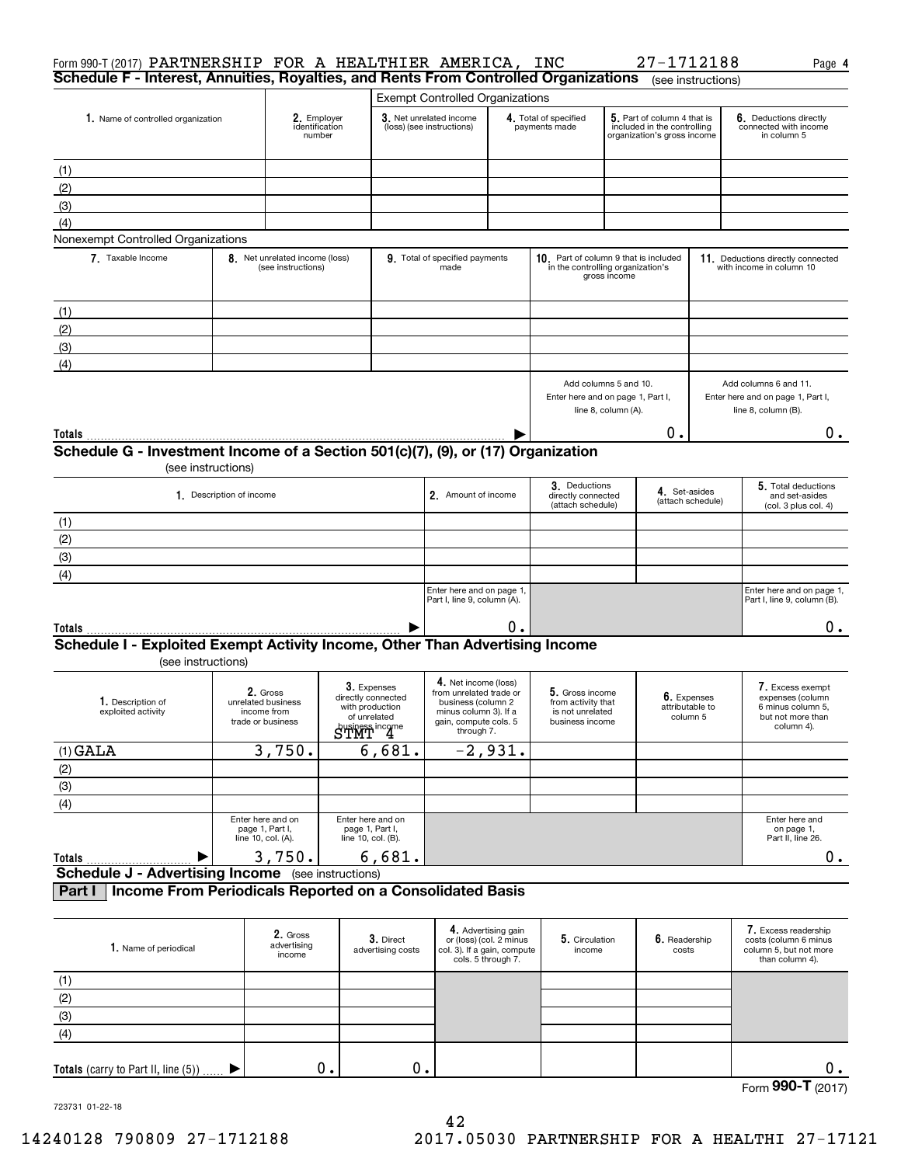| Form 990-T (2017) PARTNERSHIP FOR A HEALTHIER AMERICA, INC<br>Schedule F - Interest, Annuities, Royalties, and Rents From Controlled Organizations |                          |                                                                    |                                                                                                      |                                |                                                                                                                                       |                                                                      |                                                                              |                     | 27-1712188                                                                                | (see instructions) | Page 4                                                                                       |
|----------------------------------------------------------------------------------------------------------------------------------------------------|--------------------------|--------------------------------------------------------------------|------------------------------------------------------------------------------------------------------|--------------------------------|---------------------------------------------------------------------------------------------------------------------------------------|----------------------------------------------------------------------|------------------------------------------------------------------------------|---------------------|-------------------------------------------------------------------------------------------|--------------------|----------------------------------------------------------------------------------------------|
|                                                                                                                                                    |                          |                                                                    |                                                                                                      |                                | <b>Exempt Controlled Organizations</b>                                                                                                |                                                                      |                                                                              |                     |                                                                                           |                    |                                                                                              |
| 1. Name of controlled organization                                                                                                                 |                          | 2. Employer<br>identification<br>number                            |                                                                                                      |                                | 3. Net unrelated income<br>(loss) (see instructions)                                                                                  |                                                                      | 4. Total of specified<br>payments made                                       |                     | 5. Part of column 4 that is<br>included in the controlling<br>organization's gross income |                    | 6. Deductions directly<br>connected with income<br>in column 5                               |
| (1)                                                                                                                                                |                          |                                                                    |                                                                                                      |                                |                                                                                                                                       |                                                                      |                                                                              |                     |                                                                                           |                    |                                                                                              |
| (2)                                                                                                                                                |                          |                                                                    |                                                                                                      |                                |                                                                                                                                       |                                                                      |                                                                              |                     |                                                                                           |                    |                                                                                              |
|                                                                                                                                                    |                          |                                                                    |                                                                                                      |                                |                                                                                                                                       |                                                                      |                                                                              |                     |                                                                                           |                    |                                                                                              |
| (3)                                                                                                                                                |                          |                                                                    |                                                                                                      |                                |                                                                                                                                       |                                                                      |                                                                              |                     |                                                                                           |                    |                                                                                              |
| (4)                                                                                                                                                |                          |                                                                    |                                                                                                      |                                |                                                                                                                                       |                                                                      |                                                                              |                     |                                                                                           |                    |                                                                                              |
| Nonexempt Controlled Organizations<br>7. Taxable Income                                                                                            |                          | 8. Net unrelated income (loss)<br>(see instructions)               |                                                                                                      |                                | 9. Total of specified payments<br>made                                                                                                |                                                                      | 10. Part of column 9 that is included<br>in the controlling organization's   | gross income        |                                                                                           |                    | 11. Deductions directly connected<br>with income in column 10                                |
|                                                                                                                                                    |                          |                                                                    |                                                                                                      |                                |                                                                                                                                       |                                                                      |                                                                              |                     |                                                                                           |                    |                                                                                              |
| (1)                                                                                                                                                |                          |                                                                    |                                                                                                      |                                |                                                                                                                                       |                                                                      |                                                                              |                     |                                                                                           |                    |                                                                                              |
| (2)                                                                                                                                                |                          |                                                                    |                                                                                                      |                                |                                                                                                                                       |                                                                      |                                                                              |                     |                                                                                           |                    |                                                                                              |
| (3)                                                                                                                                                |                          |                                                                    |                                                                                                      |                                |                                                                                                                                       |                                                                      |                                                                              |                     |                                                                                           |                    |                                                                                              |
| (4)                                                                                                                                                |                          |                                                                    |                                                                                                      |                                |                                                                                                                                       |                                                                      | Add columns 5 and 10.<br>Enter here and on page 1, Part I,                   |                     |                                                                                           |                    | Add columns 6 and 11.<br>Enter here and on page 1, Part I,                                   |
|                                                                                                                                                    |                          |                                                                    |                                                                                                      |                                |                                                                                                                                       |                                                                      |                                                                              | line 8, column (A). |                                                                                           |                    | line 8, column (B).                                                                          |
| Totals                                                                                                                                             |                          |                                                                    |                                                                                                      |                                |                                                                                                                                       |                                                                      |                                                                              |                     | О.                                                                                        |                    | $0$ .                                                                                        |
| Schedule G - Investment Income of a Section 501(c)(7), (9), or (17) Organization<br>(see instructions)                                             |                          |                                                                    |                                                                                                      |                                |                                                                                                                                       |                                                                      |                                                                              |                     |                                                                                           |                    |                                                                                              |
|                                                                                                                                                    | 1. Description of income |                                                                    |                                                                                                      |                                | 2. Amount of income                                                                                                                   |                                                                      | 3. Deductions<br>directly connected<br>(attach schedule)                     |                     | 4. Set-asides                                                                             | (attach schedule)  | 5. Total deductions<br>and set-asides<br>(col. 3 plus col. 4)                                |
| (1)                                                                                                                                                |                          |                                                                    |                                                                                                      |                                |                                                                                                                                       |                                                                      |                                                                              |                     |                                                                                           |                    |                                                                                              |
| (2)                                                                                                                                                |                          |                                                                    |                                                                                                      |                                |                                                                                                                                       |                                                                      |                                                                              |                     |                                                                                           |                    |                                                                                              |
| (3)                                                                                                                                                |                          |                                                                    |                                                                                                      |                                |                                                                                                                                       |                                                                      |                                                                              |                     |                                                                                           |                    |                                                                                              |
|                                                                                                                                                    |                          |                                                                    |                                                                                                      |                                |                                                                                                                                       |                                                                      |                                                                              |                     |                                                                                           |                    |                                                                                              |
| (4)                                                                                                                                                |                          |                                                                    |                                                                                                      |                                | Enter here and on page 1,                                                                                                             |                                                                      |                                                                              |                     |                                                                                           |                    | Enter here and on page 1,                                                                    |
|                                                                                                                                                    |                          |                                                                    |                                                                                                      |                                | Part I, line 9, column (A).                                                                                                           |                                                                      |                                                                              |                     |                                                                                           |                    | Part I, line 9, column (B).                                                                  |
| Totals                                                                                                                                             |                          |                                                                    |                                                                                                      |                                |                                                                                                                                       | ο.                                                                   |                                                                              |                     |                                                                                           |                    | 0.                                                                                           |
| Schedule I - Exploited Exempt Activity Income, Other Than Advertising Income<br>(see instructions)                                                 |                          |                                                                    |                                                                                                      |                                |                                                                                                                                       |                                                                      |                                                                              |                     |                                                                                           |                    |                                                                                              |
| 1. Description of<br>exploited activity                                                                                                            |                          | 2. Gross<br>unrelated business<br>income from<br>trade or business | 3. Expenses<br>directly connected<br>with production<br>of unrelated<br>STMT <sup>iness income</sup> |                                | 4. Net income (loss)<br>from unrelated trade or<br>business (column 2<br>minus column 3). If a<br>gain, compute cols, 5<br>through 7. |                                                                      | 5. Gross income<br>from activity that<br>is not unrelated<br>business income |                     | 6. Expenses<br>attributable to<br>column 5                                                |                    | 7. Excess exempt<br>expenses (column<br>6 minus column 5,<br>but not more than<br>column 4). |
| $(1)$ GALA                                                                                                                                         |                          | 3,750.                                                             |                                                                                                      | 6,681.                         |                                                                                                                                       | $\overline{-2,931}$ .                                                |                                                                              |                     |                                                                                           |                    |                                                                                              |
|                                                                                                                                                    |                          |                                                                    |                                                                                                      |                                |                                                                                                                                       |                                                                      |                                                                              |                     |                                                                                           |                    |                                                                                              |
| $\frac{(2)}{(3)}$                                                                                                                                  |                          |                                                                    |                                                                                                      |                                |                                                                                                                                       |                                                                      |                                                                              |                     |                                                                                           |                    |                                                                                              |
| $\overline{(4)}$                                                                                                                                   |                          |                                                                    |                                                                                                      |                                |                                                                                                                                       |                                                                      |                                                                              |                     |                                                                                           |                    |                                                                                              |
|                                                                                                                                                    |                          | Enter here and on<br>page 1, Part I,<br>line 10, col. (A).         | Enter here and on<br>page 1, Part I,<br>line 10, col. (B).                                           |                                |                                                                                                                                       |                                                                      |                                                                              |                     |                                                                                           |                    | Enter here and<br>on page 1,<br>Part II. line 26.                                            |
| <b>Totals</b>                                                                                                                                      |                          | 3,750.                                                             |                                                                                                      | 6,681.                         |                                                                                                                                       |                                                                      |                                                                              |                     |                                                                                           |                    | 0.                                                                                           |
| <b>Schedule J - Advertising Income</b> (see instructions)                                                                                          |                          |                                                                    |                                                                                                      |                                |                                                                                                                                       |                                                                      |                                                                              |                     |                                                                                           |                    |                                                                                              |
| Income From Periodicals Reported on a Consolidated Basis<br>Part I                                                                                 |                          |                                                                    |                                                                                                      |                                |                                                                                                                                       |                                                                      |                                                                              |                     |                                                                                           |                    |                                                                                              |
| 1. Name of periodical                                                                                                                              |                          | 2. Gross<br>advertising<br>income                                  |                                                                                                      | 3. Direct<br>advertising costs | col. 3). If a gain, compute                                                                                                           | 4. Advertising gain<br>or (loss) (col. 2 minus<br>cols. 5 through 7. | 5. Circulation<br>income                                                     |                     | 6. Readership<br>costs                                                                    |                    | 7. Excess readership<br>costs (column 6 minus<br>column 5, but not more<br>than column 4).   |
| (1)                                                                                                                                                |                          |                                                                    |                                                                                                      |                                |                                                                                                                                       |                                                                      |                                                                              |                     |                                                                                           |                    |                                                                                              |

723731 01-22-18

(2) (3) (4)

 $\blacktriangleright$ 

**Totals** (carry to Part II, line (5))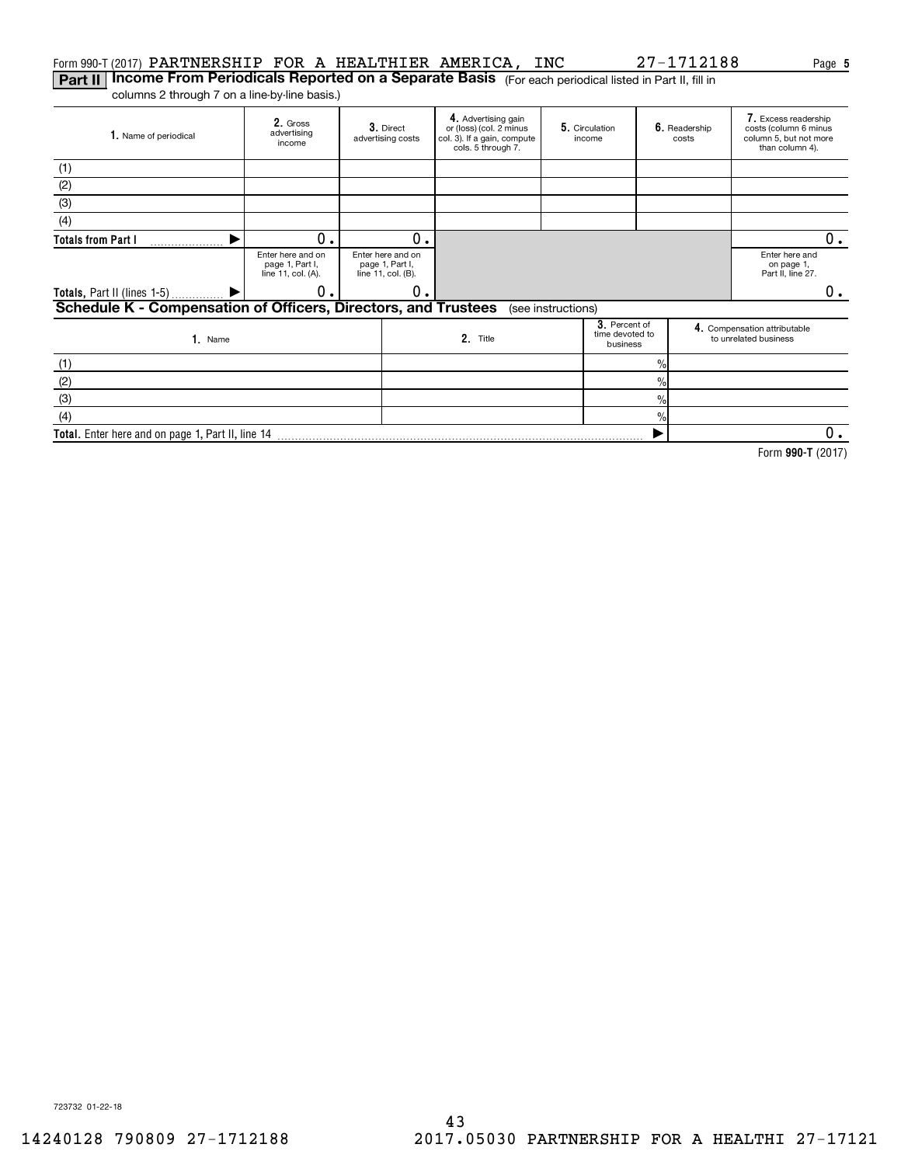# Form 990-T (2017)  $\verb|PARTNERSHIP FOR A HEALTHIER AMERICA, INC 27-1712188 \textcolor{red}{Page}$

**Part II | Income From Periodicals Reported on a Separate Basis** (For each periodical listed in Part II, fill in columns 2 through 7 on a line-by-line basis.)

Gross**2.**  advertising income **3.** Direct advertising costs **4.** Advertising gain<br>or (loss) (col. 2 minus col. 3). If a gain, compute cols. 5 through 7. **5.** Circulation | **6.** income Readership costs Excess readership **7.**  costs (column 6 minus column 5, but not more than column 4). **1.** Name of periodical Enter here and on page 1, Part I, line 11, col. (A). Enter here and on page 1, Part I, line 11, col. (B). Enter here and on page 1, Part II, line 27. **3**. Percent of<br>time devoted to<br>business e and the compensation attributable<br>
2. Title to unrelated business<br>
to unrelated business<br>
to unrelated business Name**1. 2. Totals from Part I Totals,** Part II (lines 1-5) **Schedule K - Compensation of Officers, Directors, and Trustees 3. 4.**  $\frac{1}{2}$  $\frac{1}{2}$ % $\frac{1}{2}$ (1) (2) (3) (4) (see instructions) (1) (2) (3)(4)  $\blacktriangleright$  $\blacktriangleright$  $0.1$  0 0. 0. 0.  $0_{.}$ 

**Total.**  Enter here and on page 1, Part II, line 14  $\blacktriangleright$  $\overline{0}$ .

**990-T**  Form (2017)

723732 01-22-18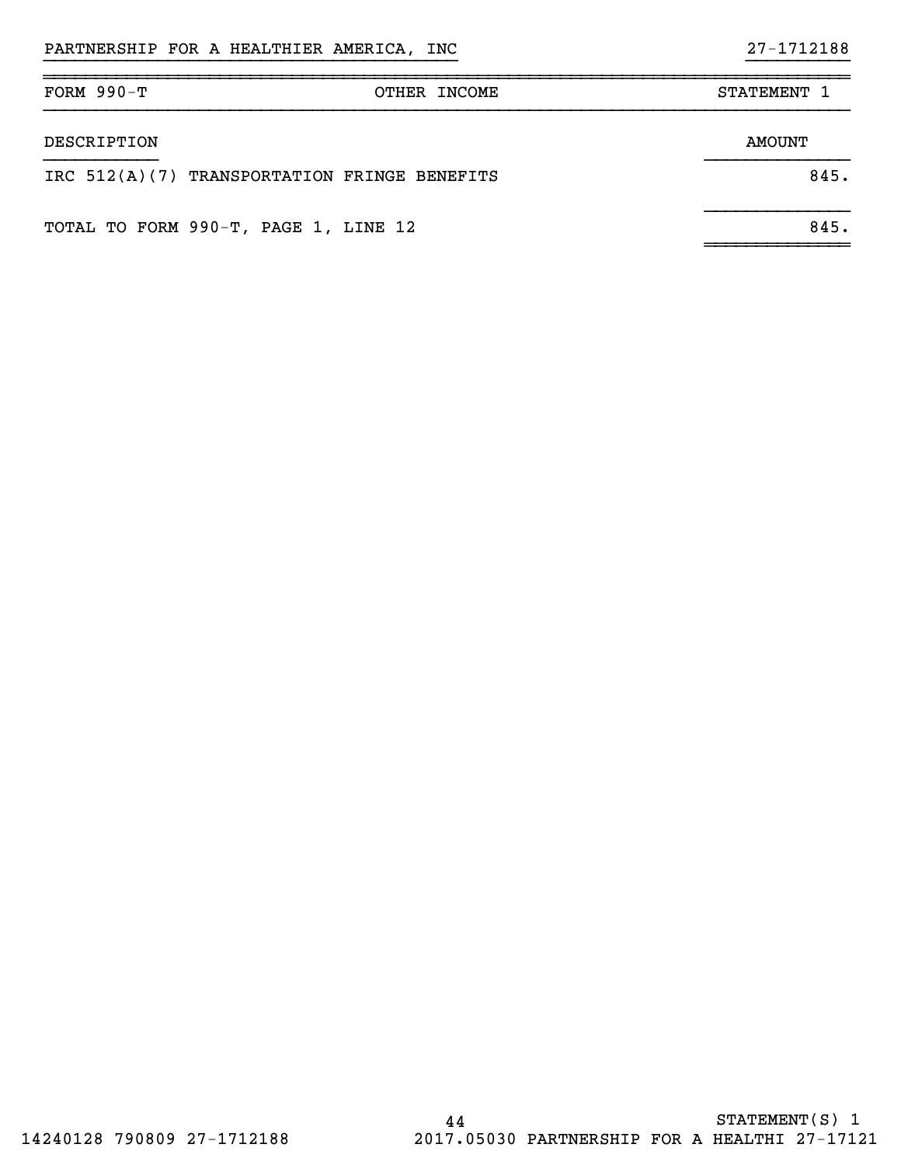# ~~~~~~~~~~~~~~~~~~~~~~~~~~~~~~~~~~~~~~~~~~~~~~~~~~~~~~~~~~~~~~~~~~~~~~~~~~~~~~

| $FORM 990-T$ | OTHER INCOME                                 | STATEMENT 1 |
|--------------|----------------------------------------------|-------------|
| DESCRIPTION  |                                              | AMOUNT      |
|              | IRC 512(A)(7) TRANSPORTATION FRINGE BENEFITS | 845.        |
|              | TOTAL TO FORM 990-T, PAGE 1, LINE 12         | 845.        |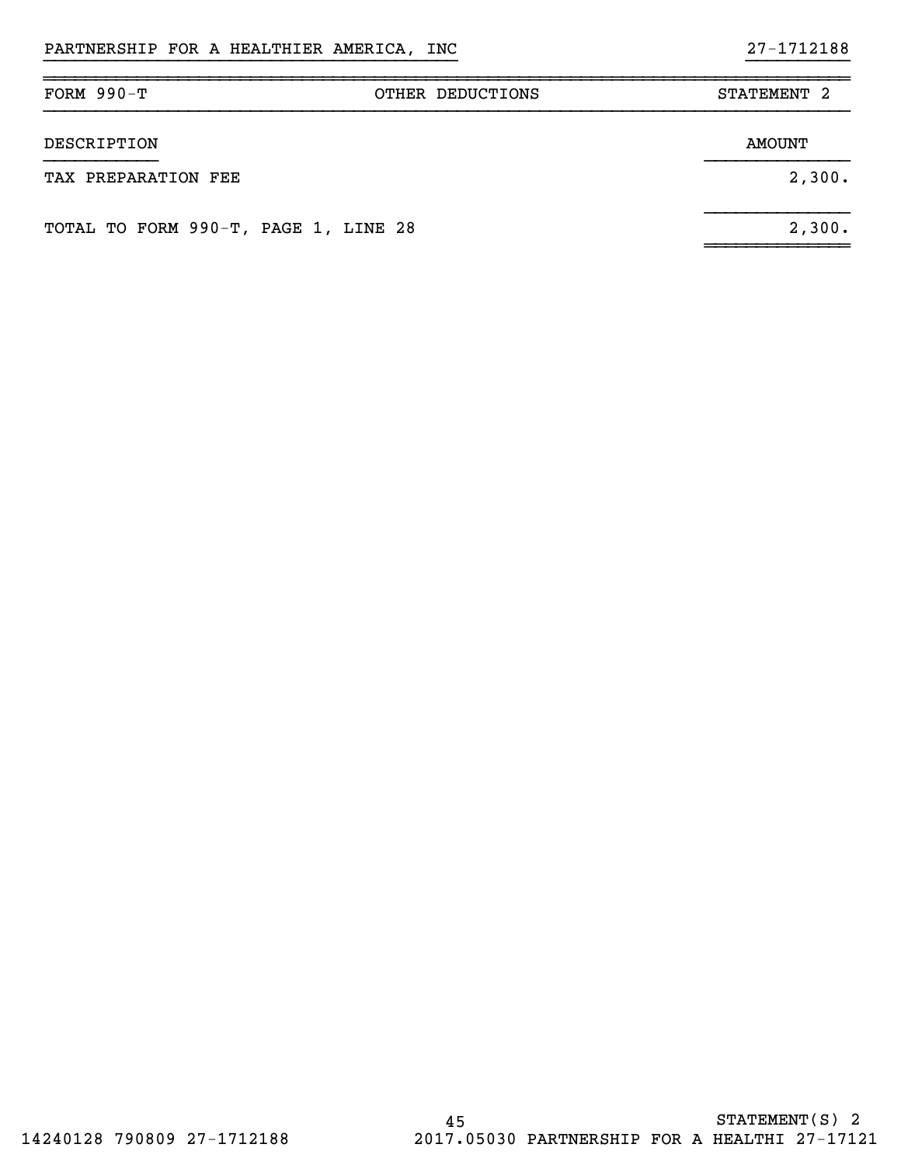| FORM $990-T$                         | OTHER DEDUCTIONS | STATEMENT 2   |
|--------------------------------------|------------------|---------------|
| DESCRIPTION                          |                  | <b>AMOUNT</b> |
| TAX PREPARATION FEE                  |                  | 2,300.        |
| TOTAL TO FORM 990-T, PAGE 1, LINE 28 |                  | 2,300.        |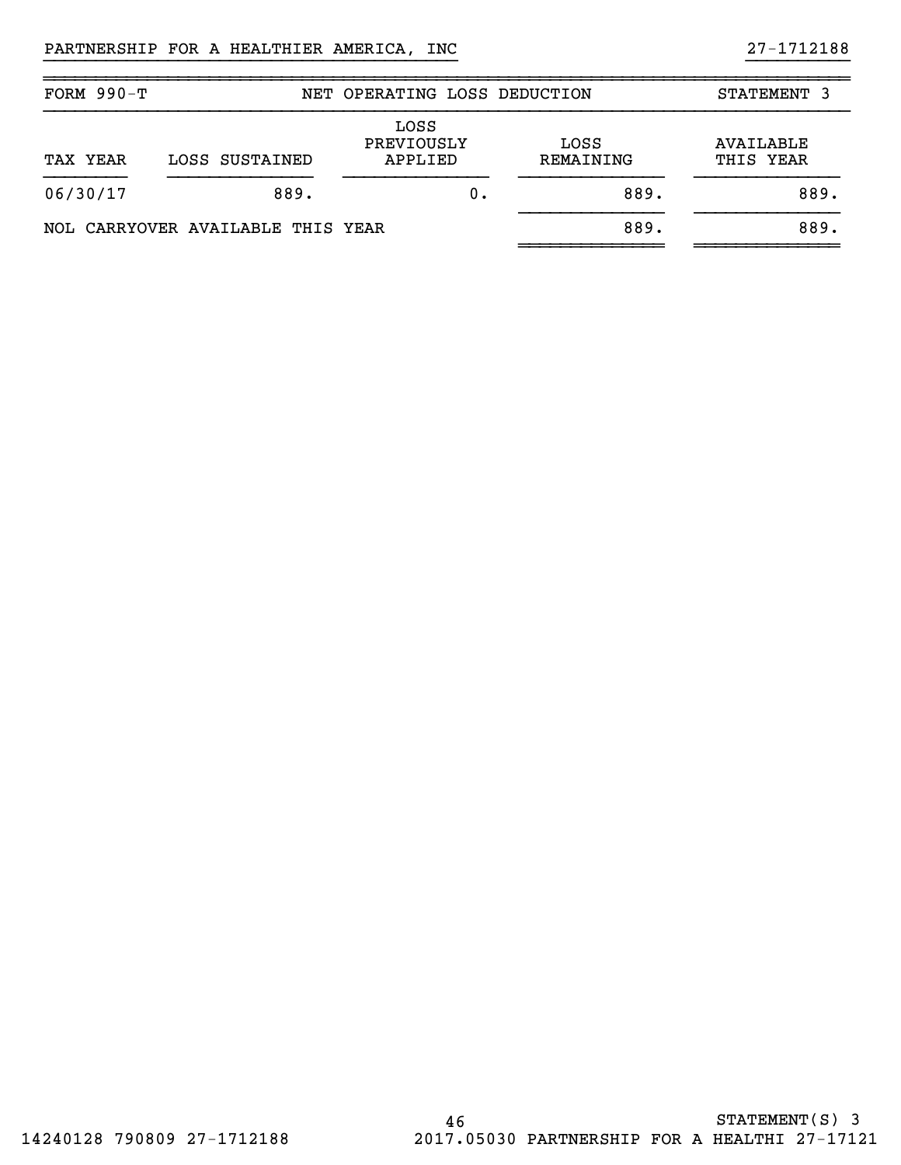| FORM $990-T$ |                                   | NET OPERATING LOSS DEDUCTION  |                   | STATEMENT 3            |
|--------------|-----------------------------------|-------------------------------|-------------------|------------------------|
| TAX YEAR     | LOSS SUSTAINED                    | LOSS<br>PREVIOUSLY<br>APPLIED | LOSS<br>REMAINING | AVAILABLE<br>THIS YEAR |
| 06/30/17     | 889.                              | 0.                            | 889.              | 889.                   |
|              | NOL CARRYOVER AVAILABLE THIS YEAR |                               | 889.              | 889.                   |

~~~~~~~~~~~~~~~~~~~~~~~~~~~~~~~~~~~~~~~~~~~~~~~~~~~~~~~~~~~~~~~~~~~~~~~~~~~~~~